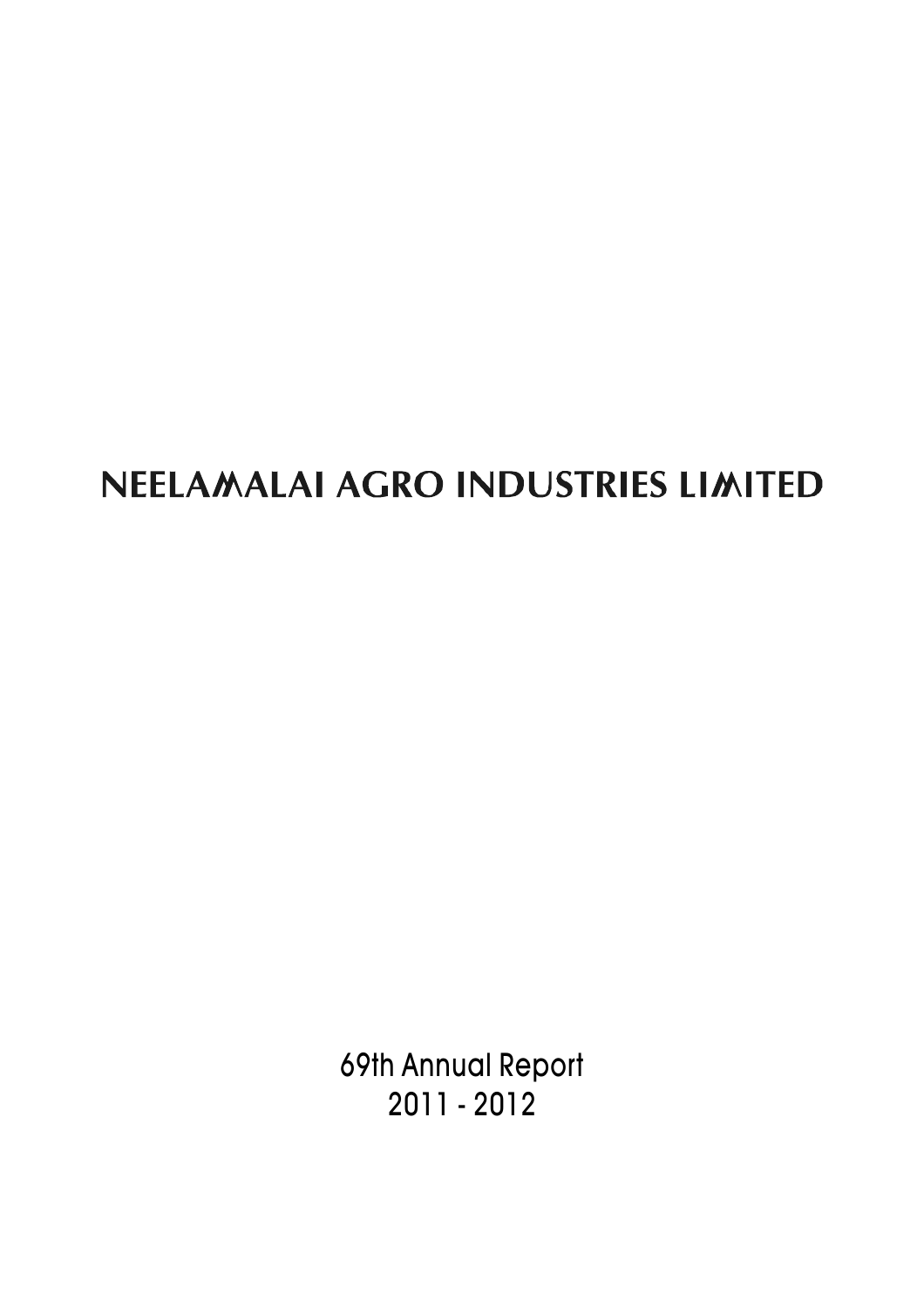# NEELAMALAI AGRO INDUSTRIES LIMITED

69th Annual Report 2011 - 2012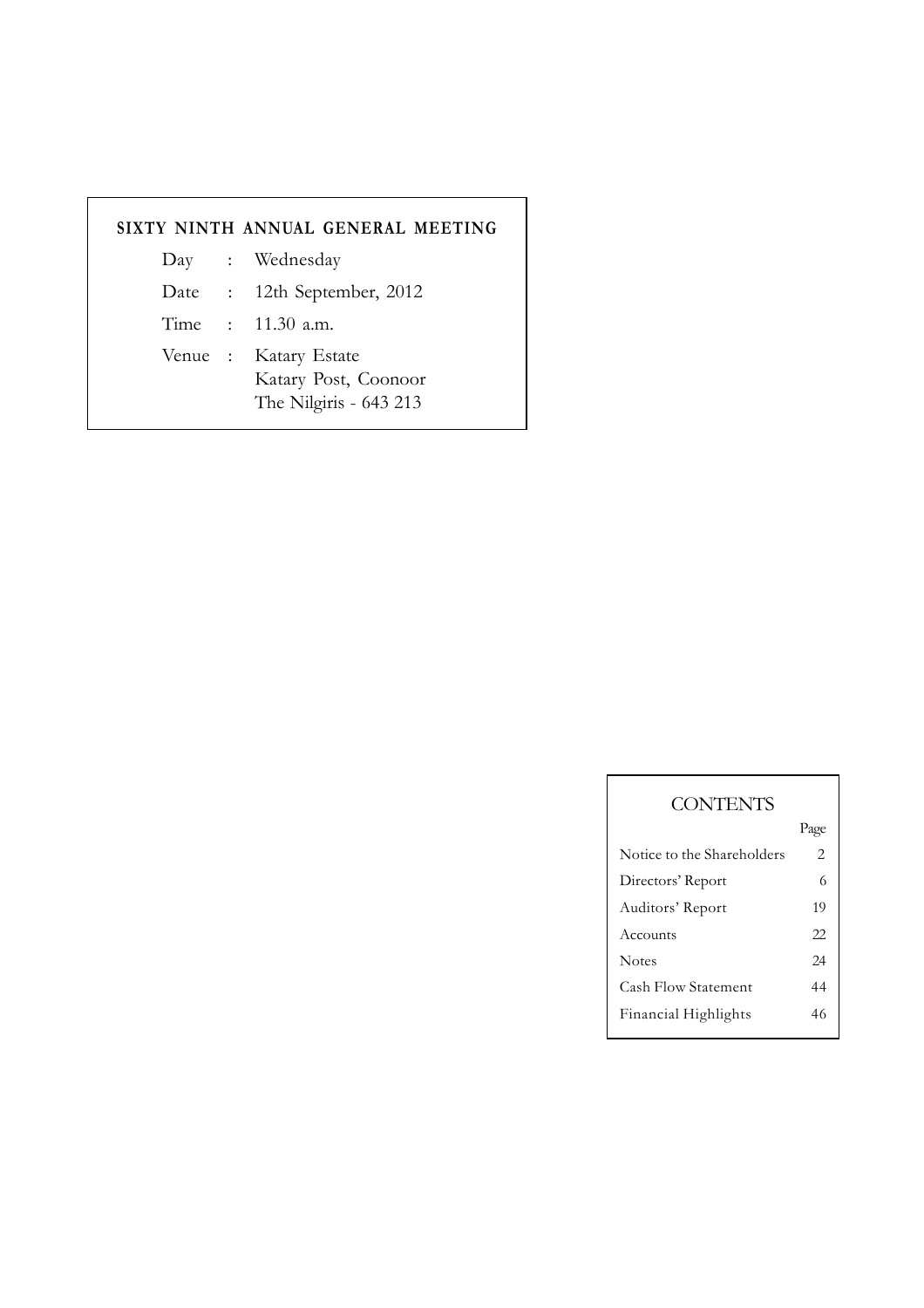# **SIXTY NINTH ANNUAL GENERAL MEETING**

- Day : Wednesday
- Date : 12th September, 2012
- Time : 11.30 a.m.
- Venue : Katary Estate Katary Post, Coonoor The Nilgiris - 643 213

| <b>CONTENTS</b>            |      |
|----------------------------|------|
|                            | Page |
| Notice to the Shareholders | 2    |
| Directors' Report          | 6    |
| Auditors' Report           | 19   |
| Accounts                   | 22   |
| <b>Notes</b>               | 24   |
| <b>Cash Flow Statement</b> | 44   |
| Financial Highlights       | 46   |
|                            |      |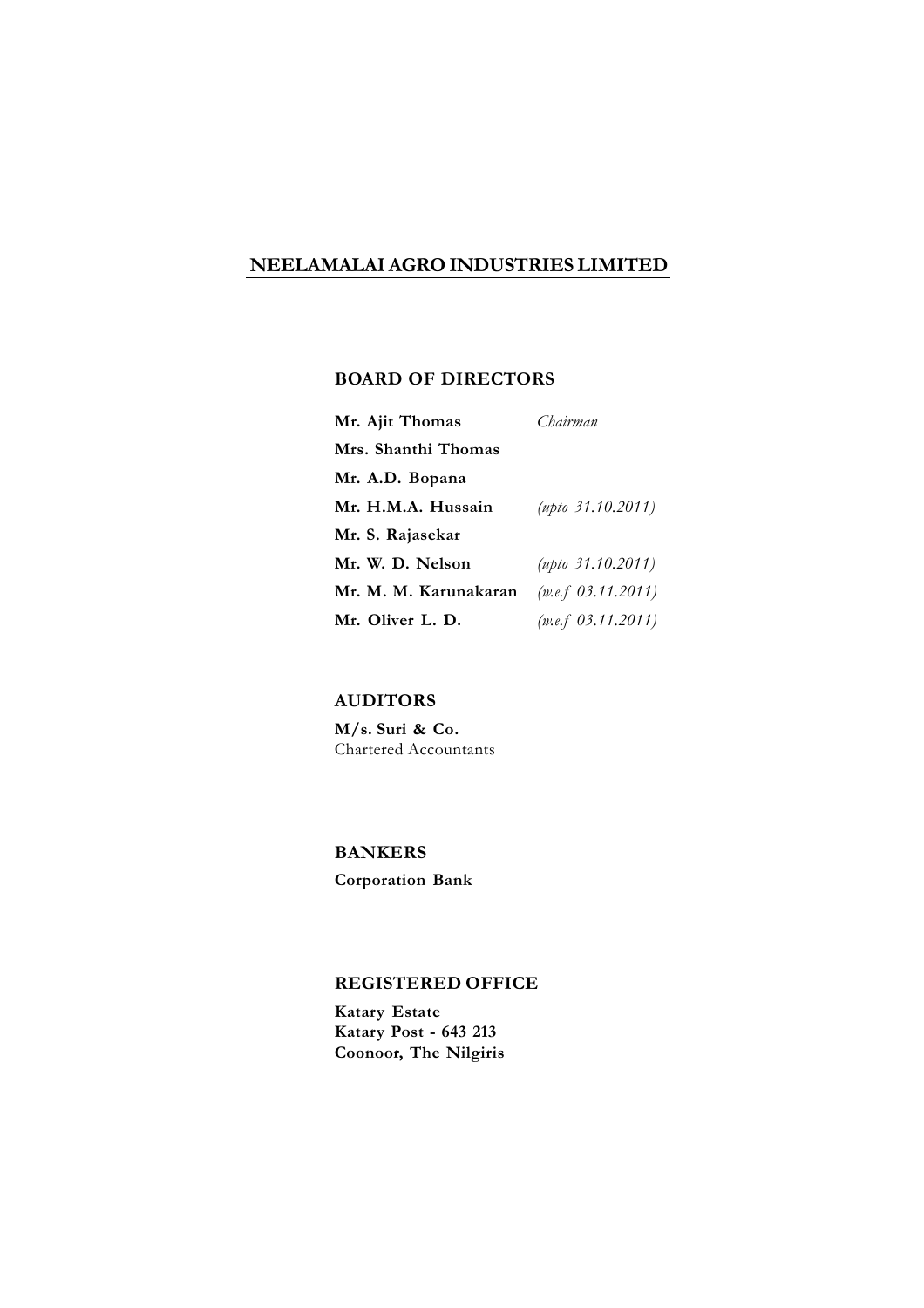# **NEELAMALAI AGRO INDUSTRIES LIMITED**

# **BOARD OF DIRECTORS**

| Mr. Ajit Thomas       | Chairman                 |
|-----------------------|--------------------------|
| Mrs. Shanthi Thomas   |                          |
| Mr. A.D. Bopana       |                          |
| Mr. H.M.A. Hussain    | $(\mu p t_0 31.10.2011)$ |
| Mr. S. Rajasekar      |                          |
| Mr. W. D. Nelson      | $(\mu p to 31.10.2011)$  |
| Mr. M. M. Karunakaran | (w.e.f 03.11.2011)       |
| Mr. Oliver L. D.      | (w.e.f 03.11.2011)       |

# **AUDITORS**

**M/s. Suri & Co.** Chartered Accountants

# **BANKERS**

**Corporation Bank**

### **REGISTERED OFFICE**

**Katary Estate Katary Post - 643 213 Coonoor, The Nilgiris**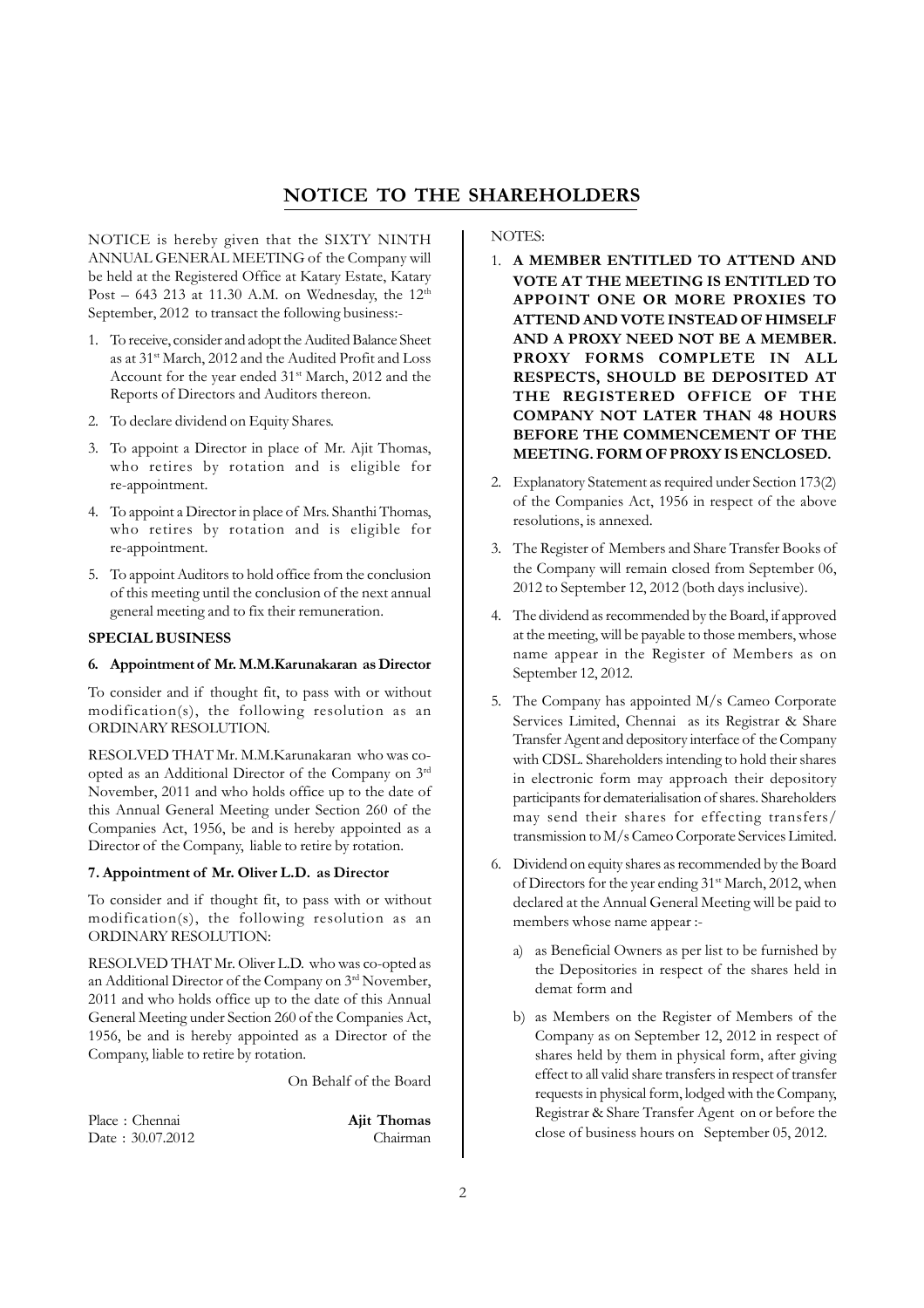# **NOTICE TO THE SHAREHOLDERS**

NOTICE is hereby given that the SIXTY NINTH ANNUAL GENERAL MEETING of the Company will be held at the Registered Office at Katary Estate, Katary Post – 643 213 at 11.30 A.M. on Wednesday, the 12<sup>th</sup> September, 2012 to transact the following business:-

- 1. To receive, consider and adopt the Audited Balance Sheet as at 31<sup>st</sup> March, 2012 and the Audited Profit and Loss Account for the year ended 31<sup>st</sup> March, 2012 and the Reports of Directors and Auditors thereon.
- 2. To declare dividend on Equity Shares.
- 3. To appoint a Director in place of Mr. Ajit Thomas, who retires by rotation and is eligible for re-appointment.
- 4. To appoint a Director in place of Mrs. Shanthi Thomas, who retires by rotation and is eligible for re-appointment.
- 5. To appoint Auditors to hold office from the conclusion of this meeting until the conclusion of the next annual general meeting and to fix their remuneration.

### **SPECIAL BUSINESS**

#### **6. Appointment of Mr. M.M.Karunakaran as Director**

To consider and if thought fit, to pass with or without modification(s), the following resolution as an ORDINARY RESOLUTION.

RESOLVED THAT Mr. M.M.Karunakaran who was coopted as an Additional Director of the Company on 3rd November, 2011 and who holds office up to the date of this Annual General Meeting under Section 260 of the Companies Act, 1956, be and is hereby appointed as a Director of the Company, liable to retire by rotation.

### **7. Appointment of Mr. Oliver L.D. as Director**

To consider and if thought fit, to pass with or without modification(s), the following resolution as an ORDINARY RESOLUTION:

RESOLVED THAT Mr. Oliver L.D. who was co-opted as an Additional Director of the Company on 3rd November, 2011 and who holds office up to the date of this Annual General Meeting under Section 260 of the Companies Act, 1956, be and is hereby appointed as a Director of the Company, liable to retire by rotation.

On Behalf of the Board

| Place: Chennai   | <b>Ajit Thomas</b> |
|------------------|--------------------|
| Date: 30.07.2012 | Chairman           |

NOTES:

- 1. **A MEMBER ENTITLED TO ATTEND AND VOTE AT THE MEETING IS ENTITLED TO APPOINT ONE OR MORE PROXIES TO ATTEND AND VOTE INSTEAD OF HIMSELF AND A PROXY NEED NOT BE A MEMBER. PROXY FORMS COMPLETE IN ALL RESPECTS, SHOULD BE DEPOSITED AT THE REGISTERED OFFICE OF THE COMPANY NOT LATER THAN 48 HOURS BEFORE THE COMMENCEMENT OF THE MEETING. FORM OF PROXY IS ENCLOSED.**
- 2. Explanatory Statement as required under Section 173(2) of the Companies Act, 1956 in respect of the above resolutions, is annexed.
- 3. The Register of Members and Share Transfer Books of the Company will remain closed from September 06, 2012 to September 12, 2012 (both days inclusive).
- 4. The dividend as recommended by the Board, if approved at the meeting, will be payable to those members, whose name appear in the Register of Members as on September 12, 2012.
- 5. The Company has appointed M/s Cameo Corporate Services Limited, Chennai as its Registrar & Share Transfer Agent and depository interface of the Company with CDSL. Shareholders intending to hold their shares in electronic form may approach their depository participants for dematerialisation of shares. Shareholders may send their shares for effecting transfers/ transmission to M/s Cameo Corporate Services Limited.
- 6. Dividend on equity shares as recommended by the Board of Directors for the year ending 31<sup>st</sup> March, 2012, when declared at the Annual General Meeting will be paid to members whose name appear :
	- a) as Beneficial Owners as per list to be furnished by the Depositories in respect of the shares held in demat form and
	- b) as Members on the Register of Members of the Company as on September 12, 2012 in respect of shares held by them in physical form, after giving effect to all valid share transfers in respect of transfer requests in physical form, lodged with the Company, Registrar & Share Transfer Agent on or before the close of business hours on September 05, 2012.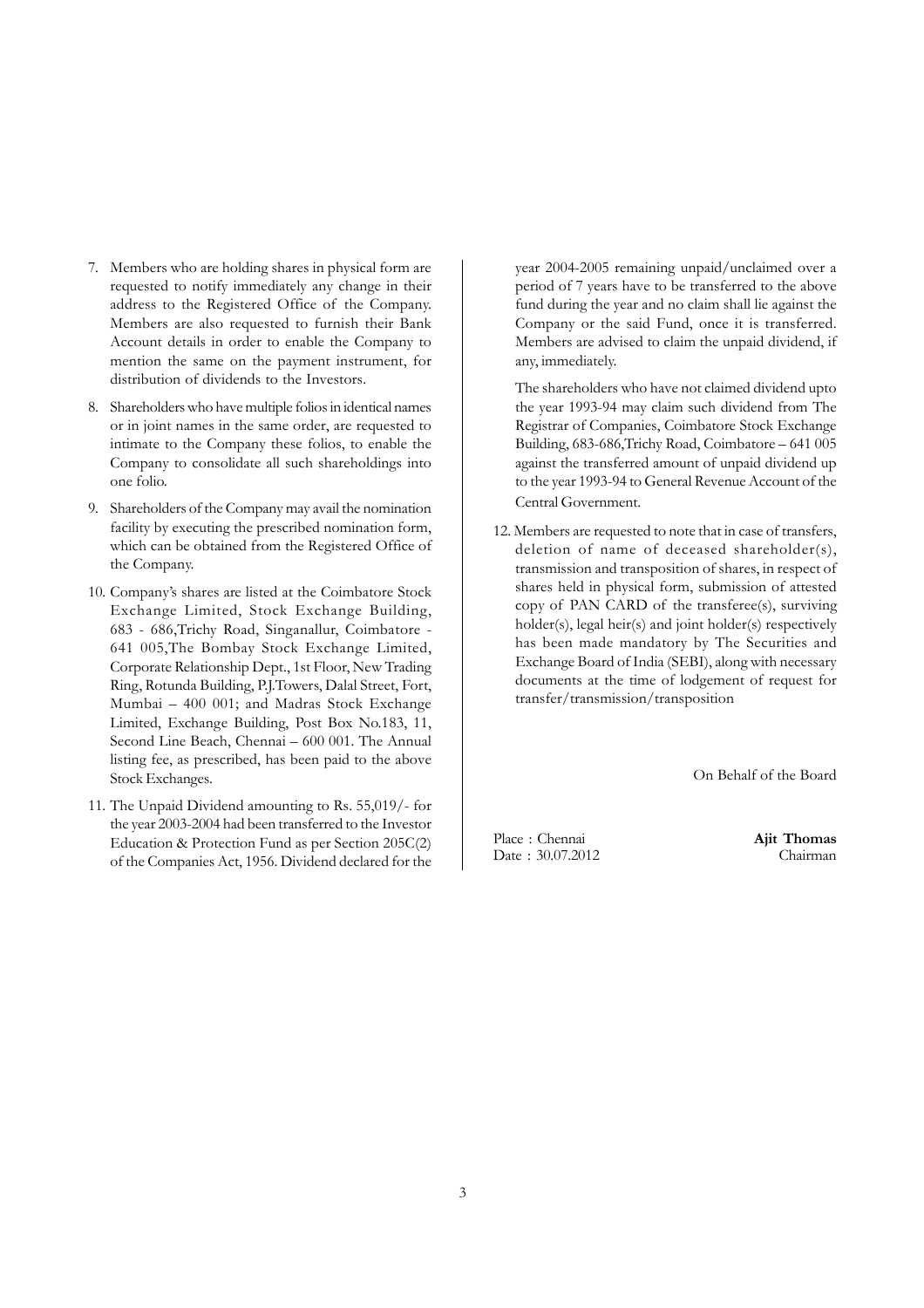- 7. Members who are holding shares in physical form are requested to notify immediately any change in their address to the Registered Office of the Company. Members are also requested to furnish their Bank Account details in order to enable the Company to mention the same on the payment instrument, for distribution of dividends to the Investors.
- 8. Shareholders who have multiple folios in identical names or in joint names in the same order, are requested to intimate to the Company these folios, to enable the Company to consolidate all such shareholdings into one folio.
- 9. Shareholders of the Company may avail the nomination facility by executing the prescribed nomination form, which can be obtained from the Registered Office of the Company.
- 10. Company's shares are listed at the Coimbatore Stock Exchange Limited, Stock Exchange Building, 683 - 686,Trichy Road, Singanallur, Coimbatore - 641 005,The Bombay Stock Exchange Limited, Corporate Relationship Dept., 1st Floor, New Trading Ring, Rotunda Building, P.J.Towers, Dalal Street, Fort, Mumbai – 400 001; and Madras Stock Exchange Limited, Exchange Building, Post Box No.183, 11, Second Line Beach, Chennai – 600 001. The Annual listing fee, as prescribed, has been paid to the above Stock Exchanges.
- 11. The Unpaid Dividend amounting to Rs. 55,019/- for the year 2003-2004 had been transferred to the Investor Education & Protection Fund as per Section 205C(2) of the Companies Act, 1956. Dividend declared for the

year 2004-2005 remaining unpaid/unclaimed over a period of 7 years have to be transferred to the above fund during the year and no claim shall lie against the Company or the said Fund, once it is transferred. Members are advised to claim the unpaid dividend, if any, immediately.

The shareholders who have not claimed dividend upto the year 1993-94 may claim such dividend from The Registrar of Companies, Coimbatore Stock Exchange Building, 683-686,Trichy Road, Coimbatore – 641 005 against the transferred amount of unpaid dividend up to the year 1993-94 to General Revenue Account of the Central Government.

12. Members are requested to note that in case of transfers, deletion of name of deceased shareholder(s), transmission and transposition of shares, in respect of shares held in physical form, submission of attested copy of PAN CARD of the transferee(s), surviving holder(s), legal heir(s) and joint holder(s) respectively has been made mandatory by The Securities and Exchange Board of India (SEBI), along with necessary documents at the time of lodgement of request for transfer/transmission/transposition

On Behalf of the Board

Place : Chennai **Ajit Thomas** Date : 30.07.2012 Chairman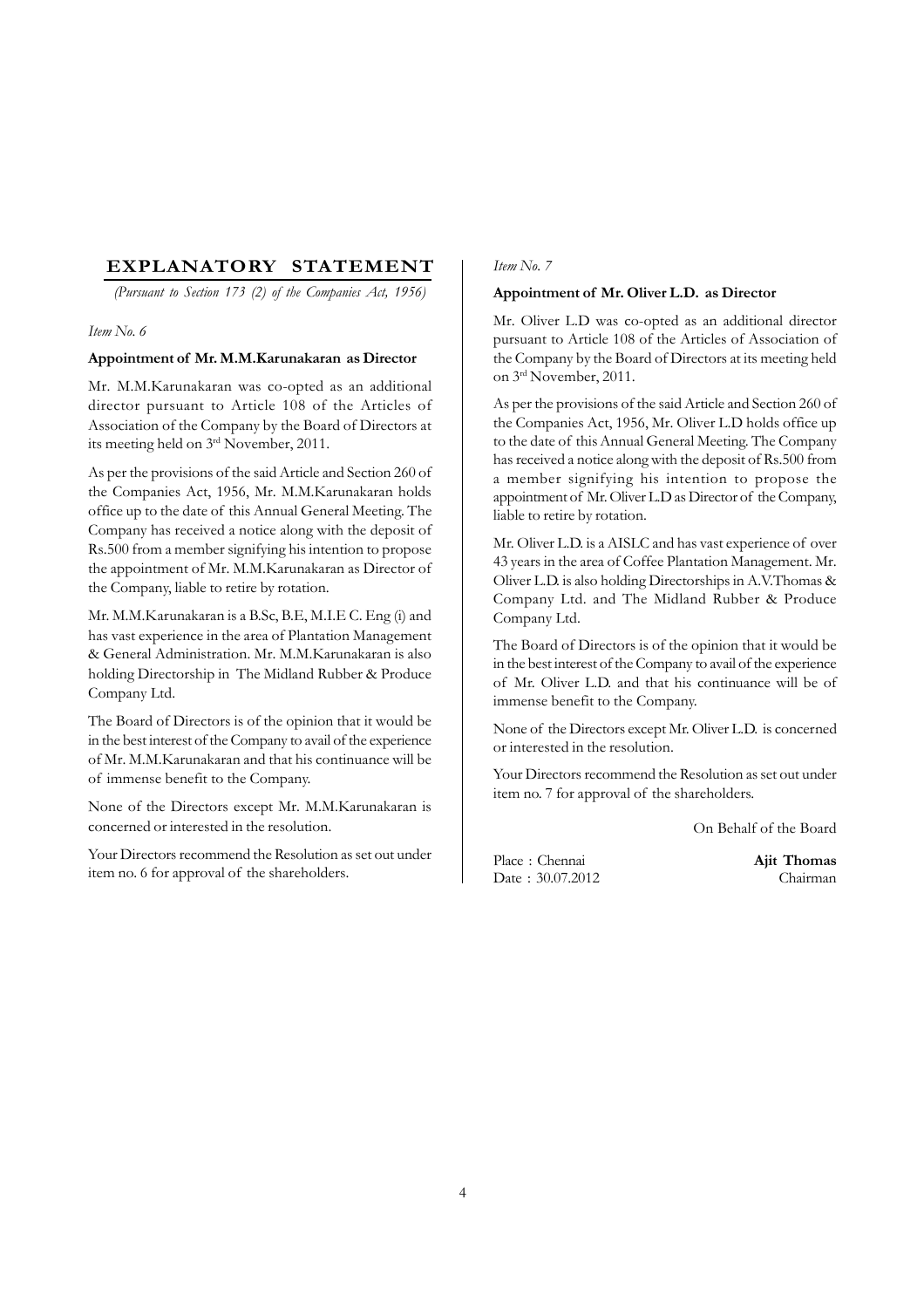# **EXPLANATORY STATEMENT**

*(Pursuant to Section 173 (2) of the Companies Act, 1956)*

### *Item No. 6*

### **Appointment of Mr. M.M.Karunakaran as Director**

Mr. M.M.Karunakaran was co-opted as an additional director pursuant to Article 108 of the Articles of Association of the Company by the Board of Directors at its meeting held on 3rd November, 2011.

As per the provisions of the said Article and Section 260 of the Companies Act, 1956, Mr. M.M.Karunakaran holds office up to the date of this Annual General Meeting. The Company has received a notice along with the deposit of Rs.500 from a member signifying his intention to propose the appointment of Mr. M.M.Karunakaran as Director of the Company, liable to retire by rotation.

Mr. M.M.Karunakaran is a B.Sc, B.E, M.I.E C. Eng (i) and has vast experience in the area of Plantation Management & General Administration. Mr. M.M.Karunakaran is also holding Directorship in The Midland Rubber & Produce Company Ltd.

The Board of Directors is of the opinion that it would be in the best interest of the Company to avail of the experience of Mr. M.M.Karunakaran and that his continuance will be of immense benefit to the Company.

None of the Directors except Mr. M.M.Karunakaran is concerned or interested in the resolution.

Your Directors recommend the Resolution as set out under item no. 6 for approval of the shareholders.

### *Item No. 7*

### **Appointment of Mr. Oliver L.D. as Director**

Mr. Oliver L.D was co-opted as an additional director pursuant to Article 108 of the Articles of Association of the Company by the Board of Directors at its meeting held on 3rd November, 2011.

As per the provisions of the said Article and Section 260 of the Companies Act, 1956, Mr. Oliver L.D holds office up to the date of this Annual General Meeting. The Company has received a notice along with the deposit of Rs.500 from a member signifying his intention to propose the appointment of Mr. Oliver L.D as Director of the Company, liable to retire by rotation.

Mr. Oliver L.D. is a AISLC and has vast experience of over 43 years in the area of Coffee Plantation Management. Mr. Oliver L.D. is also holding Directorships in A.V.Thomas & Company Ltd. and The Midland Rubber & Produce Company Ltd.

The Board of Directors is of the opinion that it would be in the best interest of the Company to avail of the experience of Mr. Oliver L.D. and that his continuance will be of immense benefit to the Company.

None of the Directors except Mr. Oliver L.D. is concerned or interested in the resolution.

Your Directors recommend the Resolution as set out under item no. 7 for approval of the shareholders.

On Behalf of the Board

Place : Chennai **Ajit Thomas** Date:  $30.07.2012$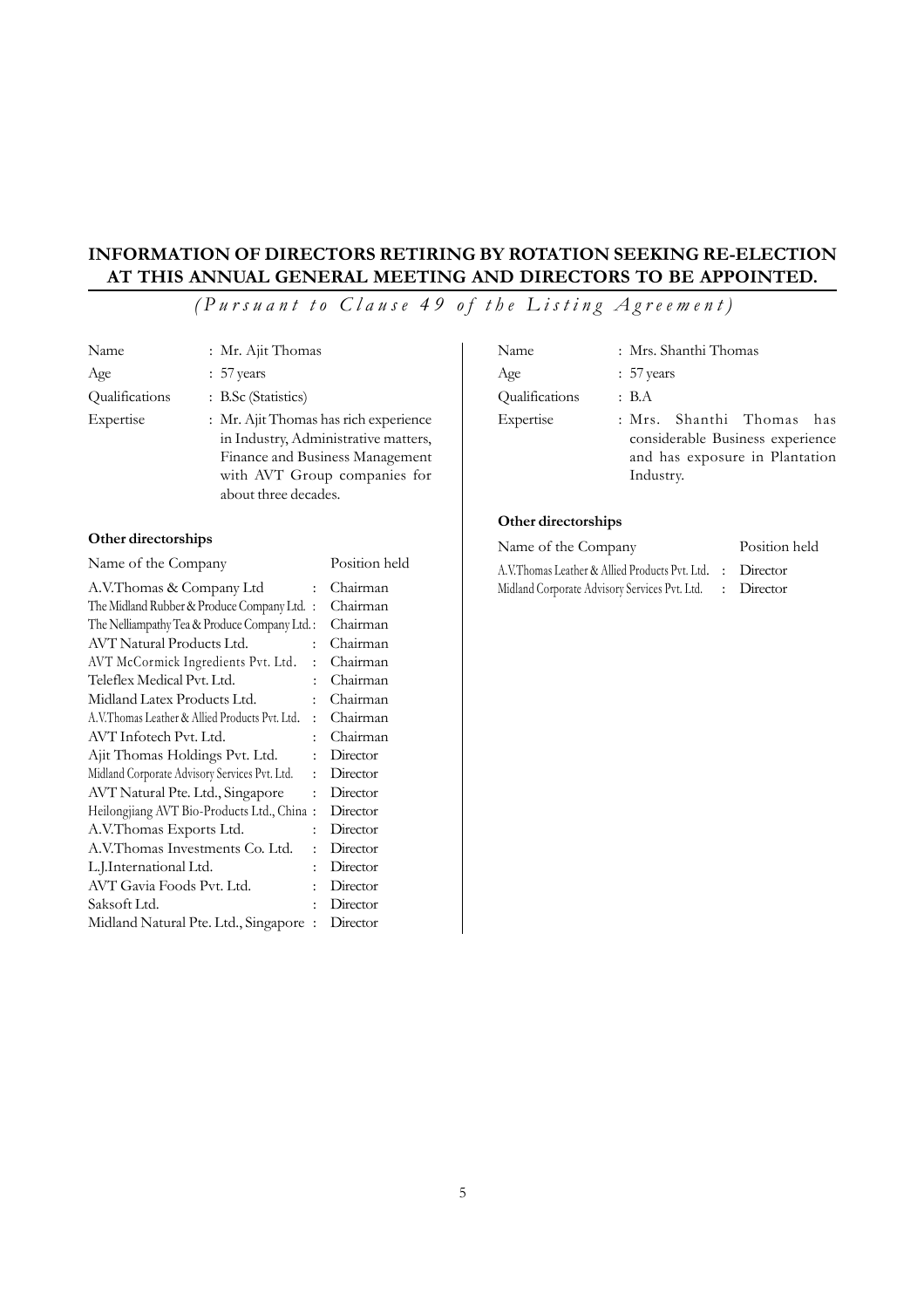# **INFORMATION OF DIRECTORS RETIRING BY ROTATION SEEKING RE-ELECTION AT THIS ANNUAL GENERAL MEETING AND DIRECTORS TO BE APPOINTED.**

*(Pursuant to Clause 49 of the Listing Agreement)*

| Name           | : Mr. Ajit Thomas                     |
|----------------|---------------------------------------|
| Age            | $: 57$ years                          |
| Qualifications | : B.Sc (Statistics)                   |
| Expertise      | : Mr. Ajit Thomas has rich experience |
|                | in Industry, Administrative matters,  |
|                | Finance and Business Management       |
|                | with AVT Group companies for          |
|                | about three decades.                  |

### **Other directorships**

| Name of the Company                            |                      | Position held |
|------------------------------------------------|----------------------|---------------|
| A.V.Thomas & Company Ltd                       |                      | Chairman      |
| The Midland Rubber & Produce Company Ltd. :    |                      | Chairman      |
| The Nelliampathy Tea & Produce Company Ltd.:   |                      | Chairman      |
| AVT Natural Products Ltd.                      |                      | Chairman      |
| AVT McCormick Ingredients Pvt. Ltd.            |                      | Chairman      |
| Teleflex Medical Pvt. Ltd.                     |                      | Chairman      |
| Midland Latex Products Ltd.                    |                      | Chairman      |
| A.V.Thomas Leather & Allied Products Pvt. Ltd. | $\cdot$              | Chairman      |
| AVT Infotech Pvt. Ltd.                         |                      | Chairman      |
| Ajit Thomas Holdings Pvt. Ltd.                 |                      | Director      |
| Midland Corporate Advisory Services Pvt. Ltd.  | $\ddot{\phantom{0}}$ | Director      |
| AVT Natural Pte. Ltd., Singapore               |                      | Director      |
| Heilongjiang AVT Bio-Products Ltd., China :    |                      | Director      |
| A.V.Thomas Exports Ltd.                        | ٠                    | Director      |
| A.V.Thomas Investments Co. Ltd.                |                      | Director      |
| L.J.International Ltd.                         |                      | Director      |
| AVT Gavia Foods Pvt. Ltd.                      |                      | Director      |
| Saksoft Ltd.                                   |                      | Director      |
| Midland Natural Pte. Ltd., Singapore           |                      | Director      |
|                                                |                      |               |

| Name           | : Mrs. Shanthi Thomas                                                                                        |
|----------------|--------------------------------------------------------------------------------------------------------------|
| Age            | $: 57$ years                                                                                                 |
| Qualifications | : B.A                                                                                                        |
| Expertise      | : Mrs. Shanthi Thomas has<br>considerable Business experience<br>and has exposure in Plantation<br>Industry. |

### **Other directorships**

| Name of the Company                                       | Position held |
|-----------------------------------------------------------|---------------|
| A.V.Thomas Leather & Allied Products Pvt. Ltd. : Director |               |
| Midland Corporate Advisory Services Pvt. Ltd. : Director  |               |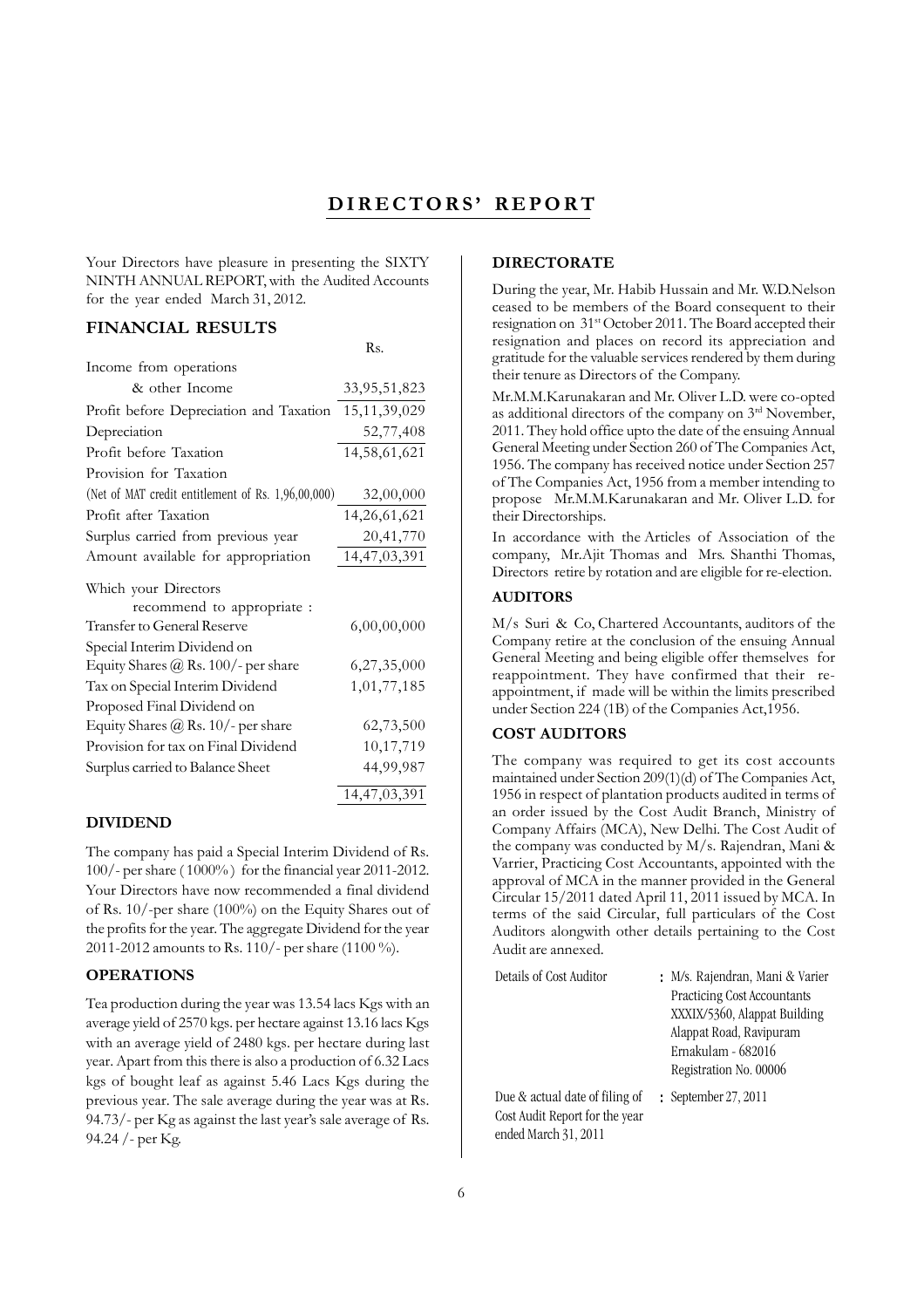# **DIRECTORS' REPORT**

Your Directors have pleasure in presenting the SIXTY NINTH ANNUAL REPORT, with the Audited Accounts for the year ended March 31, 2012.

### **FINANCIAL RESULTS**

|                                                    | Rs.             |
|----------------------------------------------------|-----------------|
| Income from operations                             |                 |
| & other Income                                     | 33,95,51,823    |
| Profit before Depreciation and Taxation            | 15, 11, 39, 029 |
| Depreciation                                       | 52,77,408       |
| Profit before Taxation                             | 14,58,61,621    |
| Provision for Taxation                             |                 |
| (Net of MAT credit entitlement of Rs. 1,96,00,000) | 32,00,000       |
| Profit after Taxation                              | 14,26,61,621    |
| Surplus carried from previous year                 | 20,41,770       |
| Amount available for appropriation                 | 14,47,03,391    |
| Which your Directors                               |                 |
| recommend to appropriate :                         |                 |
| Transfer to General Reserve                        | 6,00,00,000     |
| Special Interim Dividend on                        |                 |
| Equity Shares $@$ Rs. 100/- per share              | 6,27,35,000     |
| Tax on Special Interim Dividend                    | 1,01,77,185     |
| Proposed Final Dividend on                         |                 |
| Equity Shares $@$ Rs. 10/- per share               | 62,73,500       |
| Provision for tax on Final Dividend                | 10,17,719       |
| Surplus carried to Balance Sheet                   | 44,99,987       |
|                                                    | 14,47,03,391    |

### **DIVIDEND**

The company has paid a Special Interim Dividend of Rs. 100/- per share ( 1000% ) for the financial year 2011-2012. Your Directors have now recommended a final dividend of Rs. 10/-per share (100%) on the Equity Shares out of the profits for the year. The aggregate Dividend for the year 2011-2012 amounts to Rs. 110/- per share (1100 %).

### **OPERATIONS**

Tea production during the year was 13.54 lacs Kgs with an average yield of 2570 kgs. per hectare against 13.16 lacs Kgs with an average yield of 2480 kgs. per hectare during last year. Apart from this there is also a production of 6.32 Lacs kgs of bought leaf as against 5.46 Lacs Kgs during the previous year. The sale average during the year was at Rs. 94.73/- per Kg as against the last year's sale average of Rs. 94.24 /- per Kg.

### **DIRECTORATE**

During the year, Mr. Habib Hussain and Mr. W.D.Nelson ceased to be members of the Board consequent to their resignation on 31st October 2011. The Board accepted their resignation and places on record its appreciation and gratitude for the valuable services rendered by them during their tenure as Directors of the Company.

Mr.M.M.Karunakaran and Mr. Oliver L.D. were co-opted as additional directors of the company on 3rd November, 2011. They hold office upto the date of the ensuing Annual General Meeting under Section 260 of The Companies Act, 1956. The company has received notice under Section 257 of The Companies Act, 1956 from a member intending to propose Mr.M.M.Karunakaran and Mr. Oliver L.D. for their Directorships.

In accordance with the Articles of Association of the company, Mr.Ajit Thomas and Mrs. Shanthi Thomas, Directors retire by rotation and are eligible for re-election.

#### **AUDITORS**

M/s Suri & Co, Chartered Accountants, auditors of the Company retire at the conclusion of the ensuing Annual General Meeting and being eligible offer themselves for reappointment. They have confirmed that their reappointment, if made will be within the limits prescribed under Section 224 (1B) of the Companies Act,1956.

### **COST AUDITORS**

The company was required to get its cost accounts maintained under Section 209(1)(d) of The Companies Act, 1956 in respect of plantation products audited in terms of an order issued by the Cost Audit Branch, Ministry of Company Affairs (MCA), New Delhi. The Cost Audit of the company was conducted by M/s. Rajendran, Mani & Varrier, Practicing Cost Accountants, appointed with the approval of MCA in the manner provided in the General Circular 15/2011 dated April 11, 2011 issued by MCA. In terms of the said Circular, full particulars of the Cost Auditors alongwith other details pertaining to the Cost Audit are annexed.

| Details of Cost Auditor                                                                  | : M/s. Rajendran, Mani & Varier<br>Practicing Cost Accountants<br>XXXIX/5360, Alappat Building<br>Alappat Road, Ravipuram<br>Ernakulam - 682016<br>Registration No. 00006 |
|------------------------------------------------------------------------------------------|---------------------------------------------------------------------------------------------------------------------------------------------------------------------------|
| Due & actual date of filing of<br>Cost Audit Report for the year<br>ended March 31, 2011 | : September 27, 2011                                                                                                                                                      |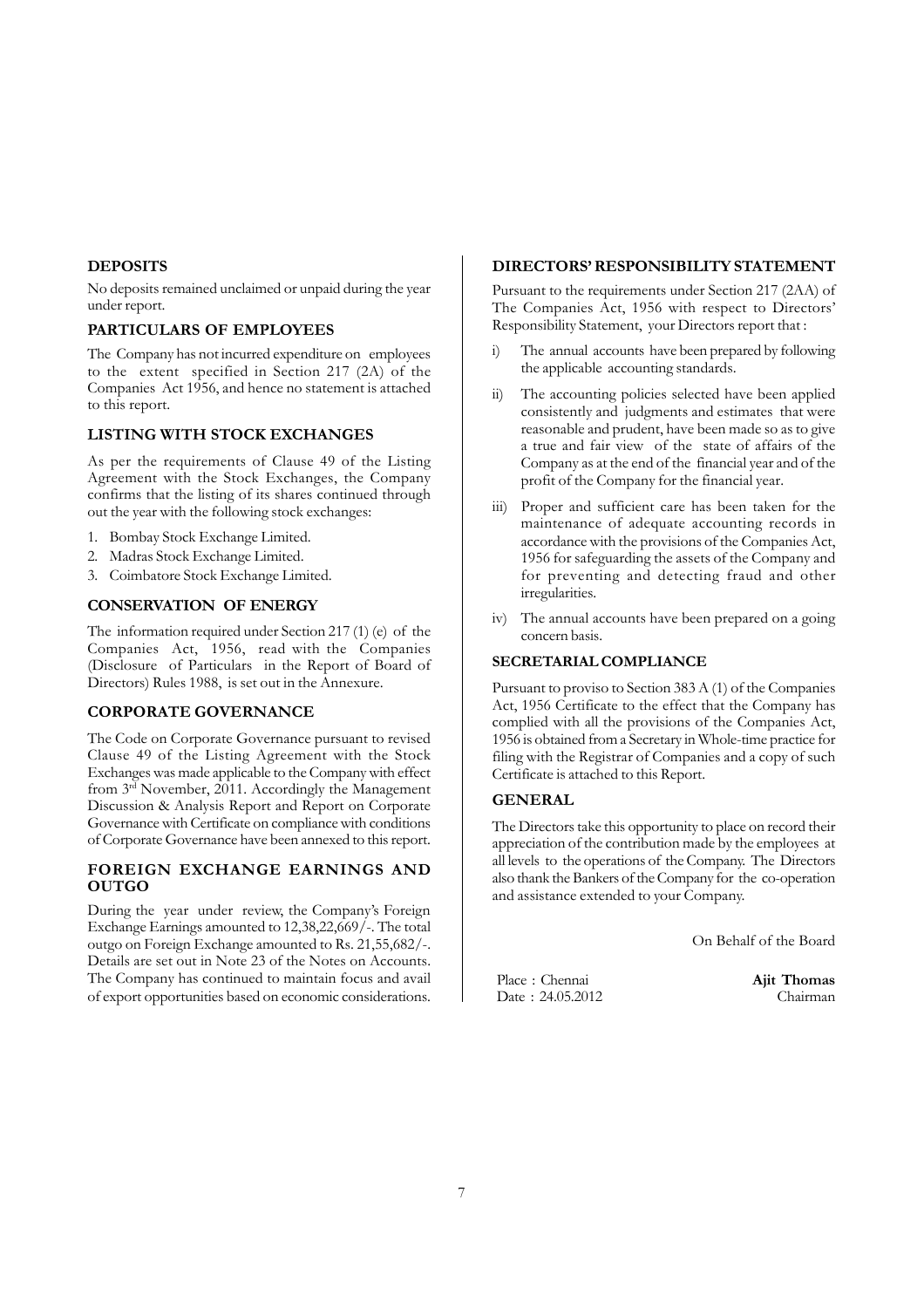### **DEPOSITS**

No deposits remained unclaimed or unpaid during the year under report.

### **PARTICULARS OF EMPLOYEES**

The Company has not incurred expenditure on employees to the extent specified in Section 217 (2A) of the Companies Act 1956, and hence no statement is attached to this report.

### **LISTING WITH STOCK EXCHANGES**

As per the requirements of Clause 49 of the Listing Agreement with the Stock Exchanges, the Company confirms that the listing of its shares continued through out the year with the following stock exchanges:

- 1. Bombay Stock Exchange Limited.
- 2. Madras Stock Exchange Limited.
- 3. Coimbatore Stock Exchange Limited.

#### **CONSERVATION OF ENERGY**

The information required under Section 217 (1) (e) of the Companies Act, 1956, read with the Companies (Disclosure of Particulars in the Report of Board of Directors) Rules 1988, is set out in the Annexure.

### **CORPORATE GOVERNANCE**

The Code on Corporate Governance pursuant to revised Clause 49 of the Listing Agreement with the Stock Exchanges was made applicable to the Company with effect from  $3<sup>rd</sup>$  November, 2011. Accordingly the Management Discussion & Analysis Report and Report on Corporate Governance with Certificate on compliance with conditions of Corporate Governance have been annexed to this report.

### **FOREIGN EXCHANGE EARNINGS AND OUTGO**

During the year under review, the Company's Foreign Exchange Earnings amounted to 12,38,22,669/-. The total outgo on Foreign Exchange amounted to Rs. 21,55,682/-. Details are set out in Note 23 of the Notes on Accounts. The Company has continued to maintain focus and avail of export opportunities based on economic considerations.

#### **DIRECTORS' RESPONSIBILITY STATEMENT**

Pursuant to the requirements under Section 217 (2AA) of The Companies Act, 1956 with respect to Directors' Responsibility Statement, your Directors report that :

- i) The annual accounts have been prepared by following the applicable accounting standards.
- ii) The accounting policies selected have been applied consistently and judgments and estimates that were reasonable and prudent, have been made so as to give a true and fair view of the state of affairs of the Company as at the end of the financial year and of the profit of the Company for the financial year.
- iii) Proper and sufficient care has been taken for the maintenance of adequate accounting records in accordance with the provisions of the Companies Act, 1956 for safeguarding the assets of the Company and for preventing and detecting fraud and other irregularities.
- iv) The annual accounts have been prepared on a going concern basis.

#### **SECRETARIAL COMPLIANCE**

Pursuant to proviso to Section 383 A (1) of the Companies Act, 1956 Certificate to the effect that the Company has complied with all the provisions of the Companies Act, 1956 is obtained from a Secretary in Whole-time practice for filing with the Registrar of Companies and a copy of such Certificate is attached to this Report.

#### **GENERAL**

The Directors take this opportunity to place on record their appreciation of the contribution made by the employees at all levels to the operations of the Company. The Directors also thank the Bankers of the Company for the co-operation and assistance extended to your Company.

On Behalf of the Board

Place : Chennai **Ajit Thomas** Date : 24.05.2012 Chairman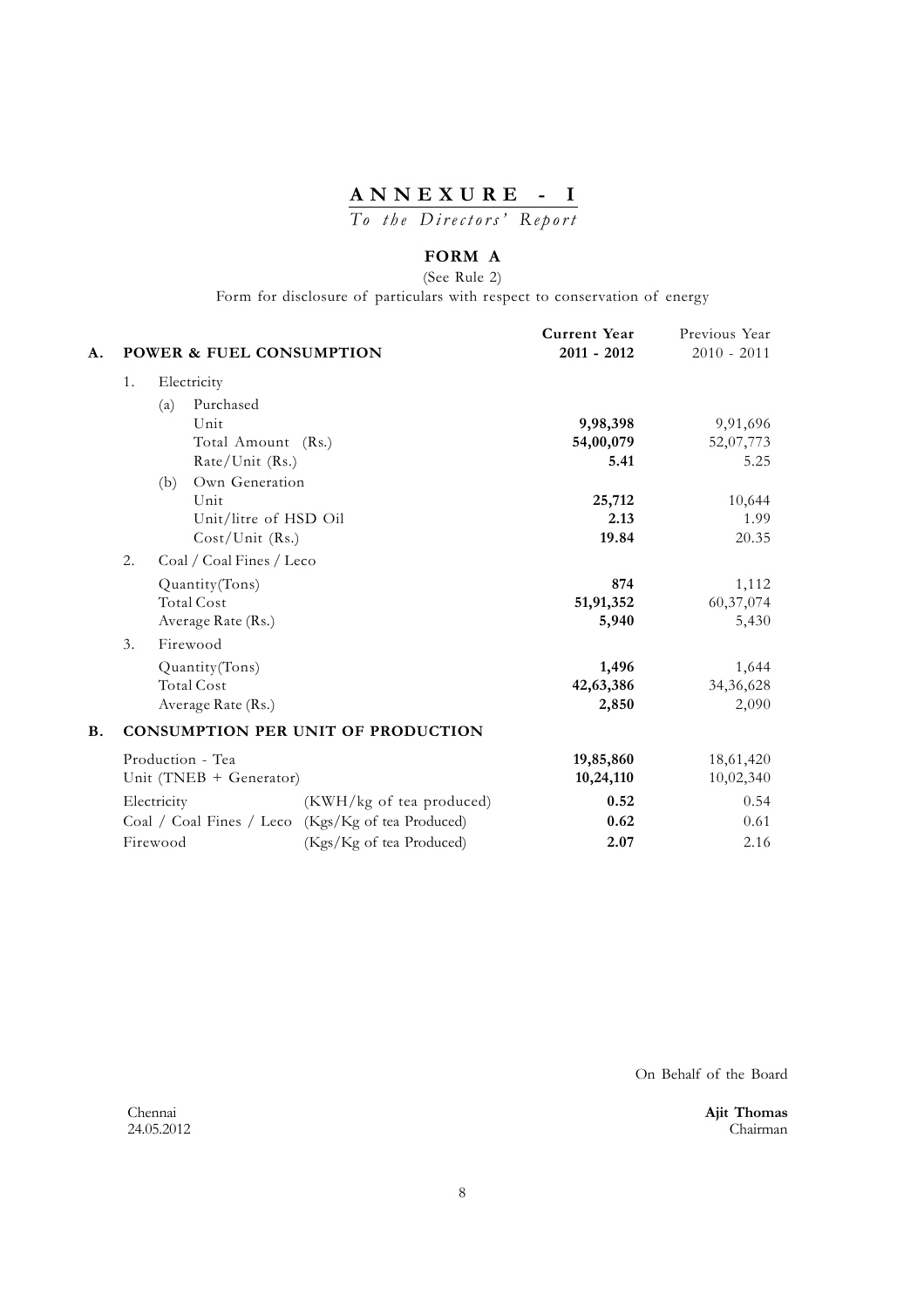# **ANNEXURE - I**

*To the Directors' Report*

# **FORM A**

(See Rule 2)

Form for disclosure of particulars with respect to conservation of energy

| A.        |    | <b>POWER &amp; FUEL CONSUMPTION</b> |                                           | Current Year<br>$2011 - 2012$ | Previous Year<br>$2010 - 2011$ |
|-----------|----|-------------------------------------|-------------------------------------------|-------------------------------|--------------------------------|
|           | 1. | Electricity                         |                                           |                               |                                |
|           |    | Purchased<br>(a)                    |                                           |                               |                                |
|           |    | Unit                                |                                           | 9,98,398                      | 9,91,696                       |
|           |    | Total Amount (Rs.)                  |                                           | 54,00,079                     | 52,07,773                      |
|           |    | Rate/Unit (Rs.)                     |                                           | 5.41                          | 5.25                           |
|           |    | Own Generation<br>(b)               |                                           |                               |                                |
|           |    | Unit                                |                                           | 25,712                        | 10,644                         |
|           |    | Unit/litre of HSD Oil               |                                           | 2.13                          | 1.99                           |
|           |    | $Cost/Unit$ (Rs.)                   |                                           | 19.84                         | 20.35                          |
|           | 2. | Coal / Coal Fines / Leco            |                                           |                               |                                |
|           |    | Quantity(Tons)                      |                                           | 874                           | 1,112                          |
|           |    | <b>Total Cost</b>                   |                                           | 51,91,352                     | 60,37,074                      |
|           |    | Average Rate (Rs.)                  |                                           | 5,940                         | 5,430                          |
|           | 3. | Firewood                            |                                           |                               |                                |
|           |    | Quantity (Tons)                     |                                           | 1,496                         | 1,644                          |
|           |    | <b>Total Cost</b>                   |                                           | 42,63,386                     | 34,36,628                      |
|           |    | Average Rate (Rs.)                  |                                           | 2,850                         | 2,090                          |
| <b>B.</b> |    |                                     | <b>CONSUMPTION PER UNIT OF PRODUCTION</b> |                               |                                |
|           |    | Production - Tea                    |                                           | 19,85,860                     | 18,61,420                      |
|           |    | Unit (TNEB + Generator)             |                                           | 10,24,110                     | 10,02,340                      |
|           |    | Electricity                         | (KWH/kg of tea produced)                  | 0.52                          | 0.54                           |
|           |    | Coal / Coal Fines / Leco            | (Kgs/Kg of tea Produced)                  | 0.62                          | 0.61                           |
|           |    | Firewood                            | (Kgs/Kg of tea Produced)                  | 2.07                          | 2.16                           |

On Behalf of the Board

Chennai **Ajit Thomas** 24.05.2012 Chairman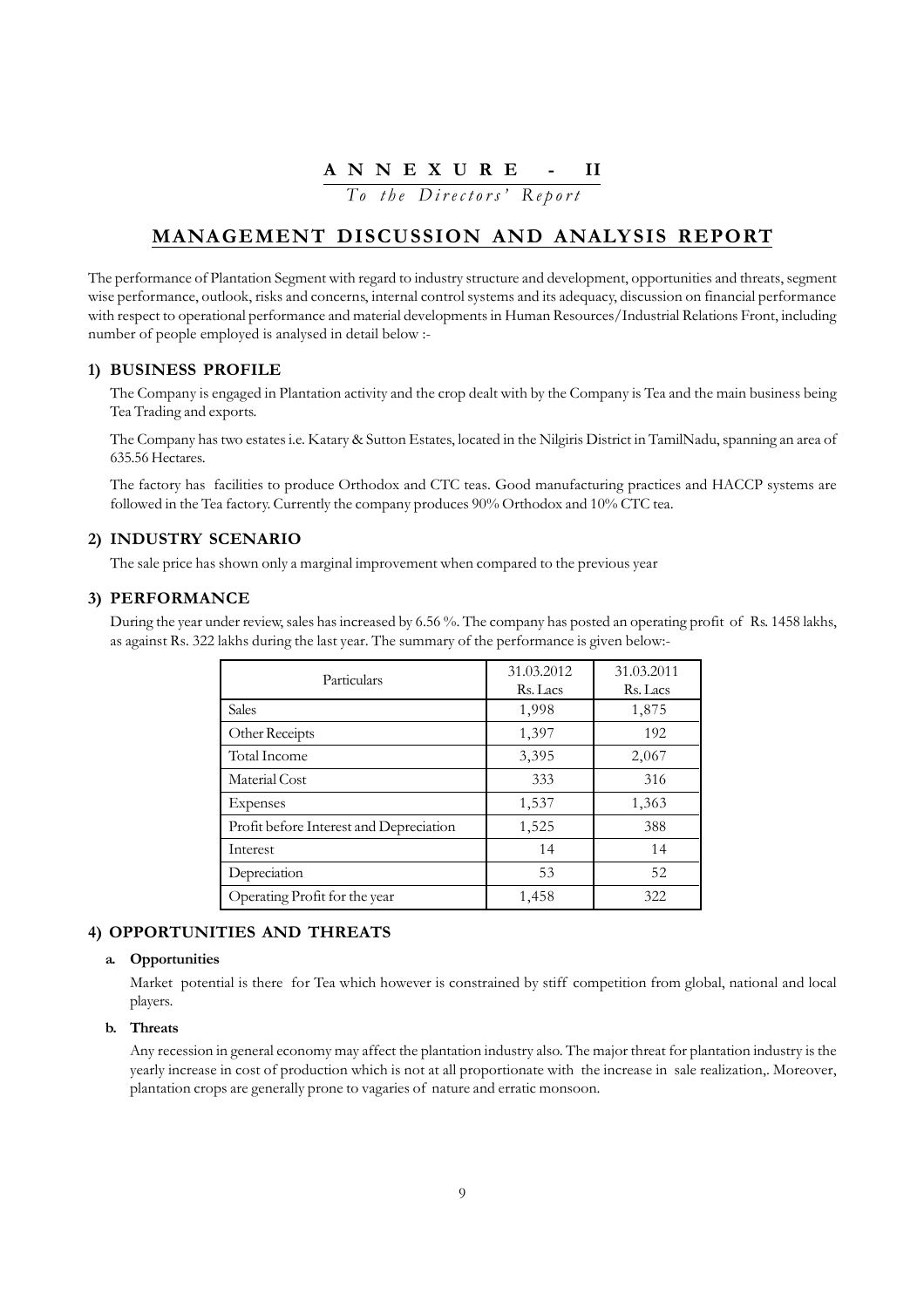## **A N N E X U R E - II**

*To the Directors' Report*

# **MANAGEMENT DISCUSSION AND ANALYSIS REPORT**

The performance of Plantation Segment with regard to industry structure and development, opportunities and threats, segment wise performance, outlook, risks and concerns, internal control systems and its adequacy, discussion on financial performance with respect to operational performance and material developments in Human Resources/Industrial Relations Front, including number of people employed is analysed in detail below :-

### **1) BUSINESS PROFILE**

The Company is engaged in Plantation activity and the crop dealt with by the Company is Tea and the main business being Tea Trading and exports.

The Company has two estates i.e. Katary & Sutton Estates, located in the Nilgiris District in TamilNadu, spanning an area of 635.56 Hectares.

The factory has facilities to produce Orthodox and CTC teas. Good manufacturing practices and HACCP systems are followed in the Tea factory. Currently the company produces 90% Orthodox and 10% CTC tea.

### **2) INDUSTRY SCENARIO**

The sale price has shown only a marginal improvement when compared to the previous year

### **3) PERFORMANCE**

During the year under review, sales has increased by 6.56 %. The company has posted an operating profit of Rs. 1458 lakhs, as against Rs. 322 lakhs during the last year. The summary of the performance is given below:-

| Particulars                             | 31.03.2012<br>Rs. Lacs | 31.03.2011<br>Rs. Lacs |
|-----------------------------------------|------------------------|------------------------|
| <b>Sales</b>                            | 1,998                  | 1,875                  |
| Other Receipts                          | 1,397                  | 192                    |
| Total Income                            | 3,395                  | 2,067                  |
| Material Cost                           | 333                    | 316                    |
| Expenses                                | 1,537                  | 1,363                  |
| Profit before Interest and Depreciation | 1,525                  | 388                    |
| Interest                                | 14                     | 14                     |
| Depreciation                            | 53                     | 52                     |
| Operating Profit for the year           | 1,458                  | 322                    |

### **4) OPPORTUNITIES AND THREATS**

#### **a. Opportunities**

Market potential is there for Tea which however is constrained by stiff competition from global, national and local players.

#### **b. Threats**

Any recession in general economy may affect the plantation industry also. The major threat for plantation industry is the yearly increase in cost of production which is not at all proportionate with the increase in sale realization,. Moreover, plantation crops are generally prone to vagaries of nature and erratic monsoon.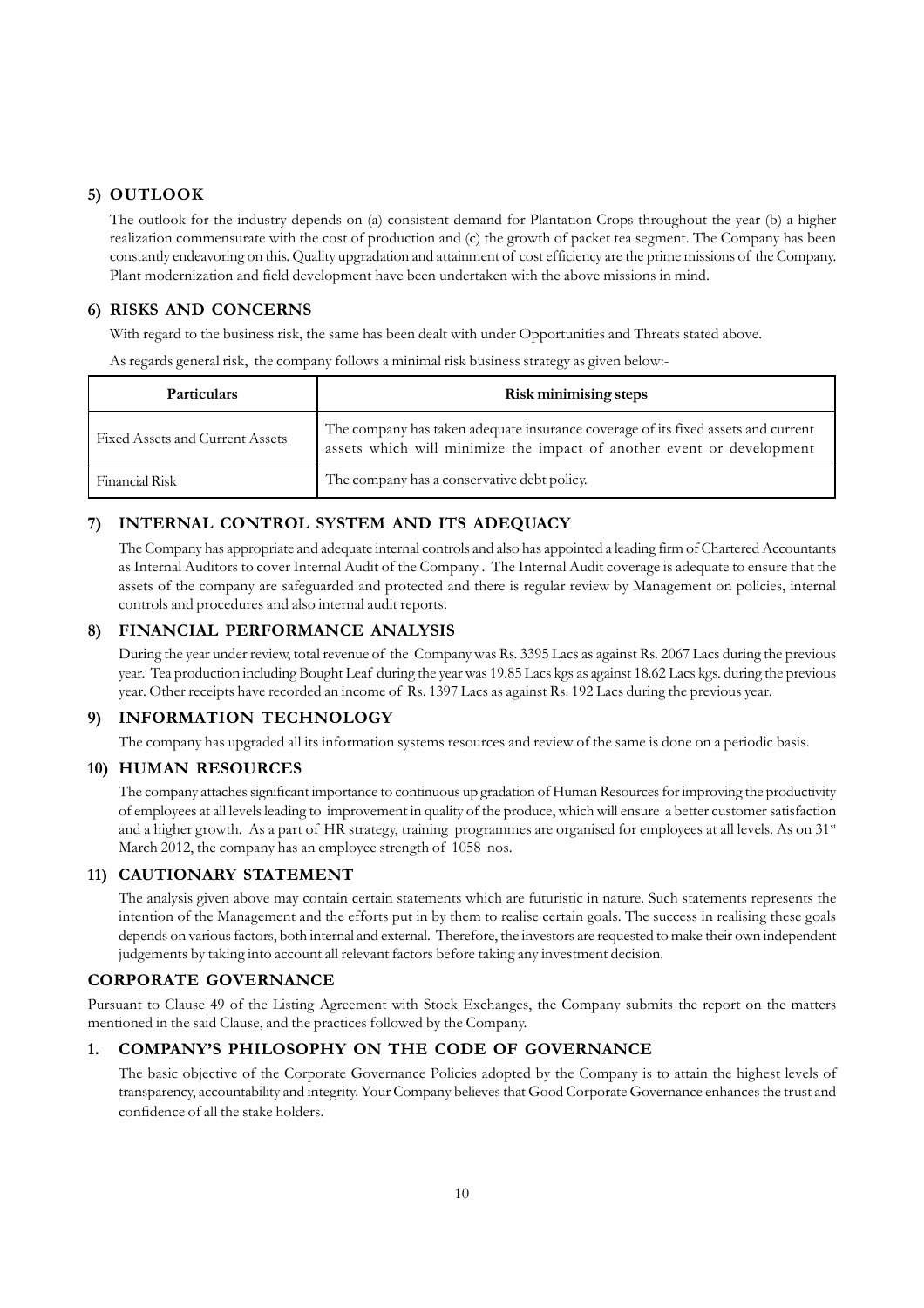### **5) OUTLOOK**

The outlook for the industry depends on (a) consistent demand for Plantation Crops throughout the year (b) a higher realization commensurate with the cost of production and (c) the growth of packet tea segment. The Company has been constantly endeavoring on this. Quality upgradation and attainment of cost efficiency are the prime missions of the Company. Plant modernization and field development have been undertaken with the above missions in mind.

## **6) RISKS AND CONCERNS**

With regard to the business risk, the same has been dealt with under Opportunities and Threats stated above.

As regards general risk, the company follows a minimal risk business strategy as given below:-

| <b>Particulars</b>              | Risk minimising steps                                                                                                                                      |
|---------------------------------|------------------------------------------------------------------------------------------------------------------------------------------------------------|
| Fixed Assets and Current Assets | The company has taken adequate insurance coverage of its fixed assets and current<br>assets which will minimize the impact of another event or development |
| Financial Risk                  | The company has a conservative debt policy.                                                                                                                |

### **7) INTERNAL CONTROL SYSTEM AND ITS ADEQUACY**

The Company has appropriate and adequate internal controls and also has appointed a leading firm of Chartered Accountants as Internal Auditors to cover Internal Audit of the Company . The Internal Audit coverage is adequate to ensure that the assets of the company are safeguarded and protected and there is regular review by Management on policies, internal controls and procedures and also internal audit reports.

### **8) FINANCIAL PERFORMANCE ANALYSIS**

During the year under review, total revenue of the Company was Rs. 3395 Lacs as against Rs. 2067 Lacs during the previous year. Tea production including Bought Leaf during the year was 19.85 Lacs kgs as against 18.62 Lacs kgs. during the previous year. Other receipts have recorded an income of Rs. 1397 Lacs as against Rs. 192 Lacs during the previous year.

### **9) INFORMATION TECHNOLOGY**

The company has upgraded all its information systems resources and review of the same is done on a periodic basis.

### **10) HUMAN RESOURCES**

The company attaches significant importance to continuous up gradation of Human Resources for improving the productivity of employees at all levels leading to improvement in quality of the produce, which will ensure a better customer satisfaction and a higher growth. As a part of HR strategy, training programmes are organised for employees at all levels. As on 31<sup>st</sup> March 2012, the company has an employee strength of 1058 nos.

### **11) CAUTIONARY STATEMENT**

The analysis given above may contain certain statements which are futuristic in nature. Such statements represents the intention of the Management and the efforts put in by them to realise certain goals. The success in realising these goals depends on various factors, both internal and external. Therefore, the investors are requested to make their own independent judgements by taking into account all relevant factors before taking any investment decision.

### **CORPORATE GOVERNANCE**

Pursuant to Clause 49 of the Listing Agreement with Stock Exchanges, the Company submits the report on the matters mentioned in the said Clause, and the practices followed by the Company.

### **1. COMPANY'S PHILOSOPHY ON THE CODE OF GOVERNANCE**

The basic objective of the Corporate Governance Policies adopted by the Company is to attain the highest levels of transparency, accountability and integrity. Your Company believes that Good Corporate Governance enhances the trust and confidence of all the stake holders.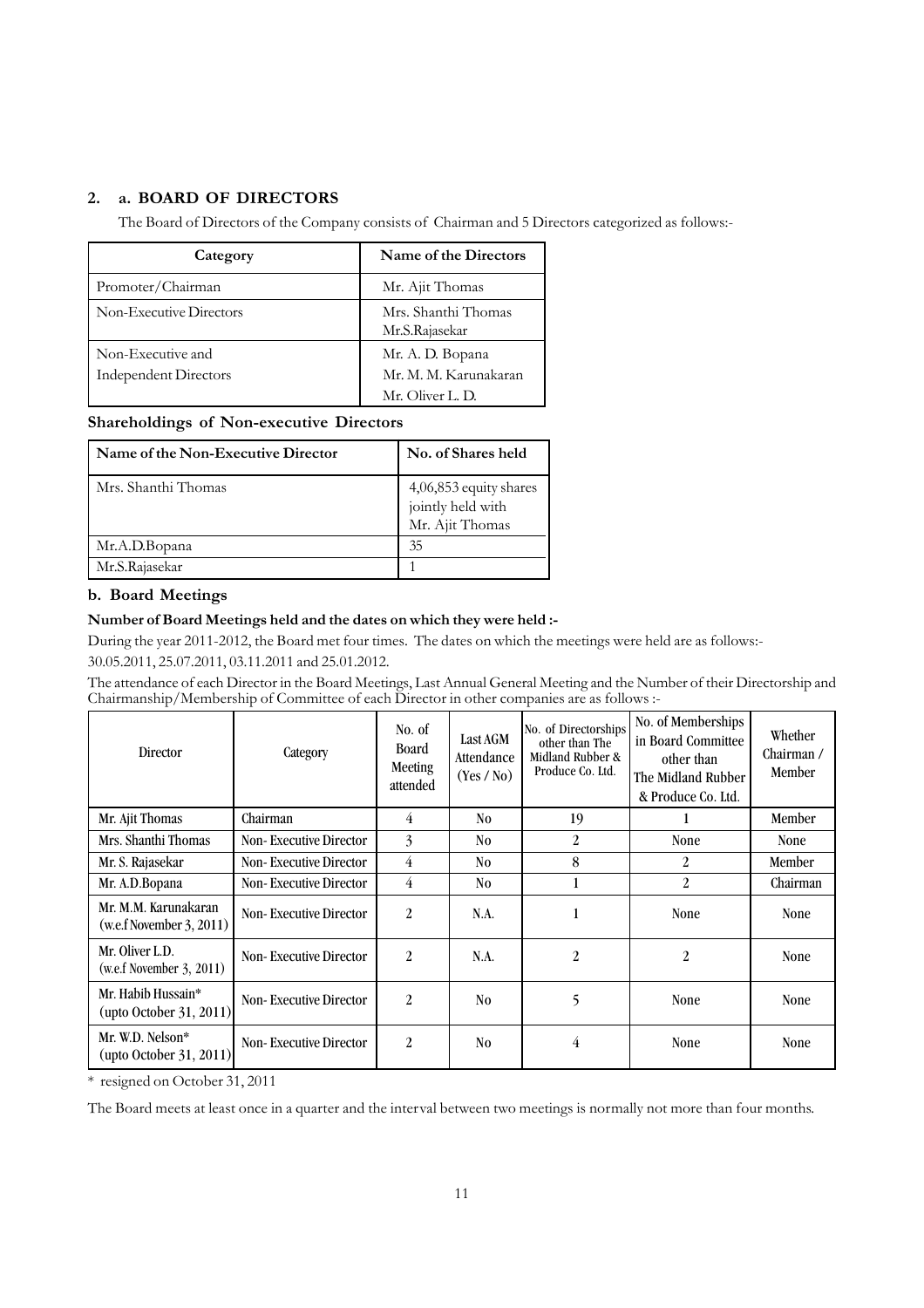# **2. a. BOARD OF DIRECTORS**

The Board of Directors of the Company consists of Chairman and 5 Directors categorized as follows:-

| Category                                          | Name of the Directors                                         |
|---------------------------------------------------|---------------------------------------------------------------|
| Promoter/Chairman                                 | Mr. Ajit Thomas                                               |
| Non-Executive Directors                           | Mrs. Shanthi Thomas<br>Mr.S.Rajasekar                         |
| Non-Executive and<br><b>Independent Directors</b> | Mr. A. D. Bopana<br>Mr. M. M. Karunakaran<br>Mr. Oliver L. D. |

### **Shareholdings of Non-executive Directors**

| Name of the Non-Executive Director | No. of Shares held                                             |
|------------------------------------|----------------------------------------------------------------|
| Mrs. Shanthi Thomas                | 4,06,853 equity shares<br>jointly held with<br>Mr. Ajit Thomas |
| Mr.A.D.Bopana                      | 35                                                             |
| Mr.S.Rajasekar                     |                                                                |

### **b. Board Meetings**

### **Number of Board Meetings held and the dates on which they were held :-**

During the year 2011-2012, the Board met four times. The dates on which the meetings were held are as follows:- 30.05.2011, 25.07.2011, 03.11.2011 and 25.01.2012.

The attendance of each Director in the Board Meetings, Last Annual General Meeting and the Number of their Directorship and Chairmanship/Membership of Committee of each Director in other companies are as follows :-

| Director                                                | Category                      | No. of<br><b>Board</b><br>Meeting<br>attended | Last AGM<br>Attendance<br>(Yes / No) | No. of Directorships<br>other than The<br>Midland Rubber &<br>Produce Co. Ltd. | No. of Memberships<br>in Board Committee<br>other than<br>The Midland Rubber<br>& Produce Co. Ltd. | Whether<br>Chairman /<br>Member |
|---------------------------------------------------------|-------------------------------|-----------------------------------------------|--------------------------------------|--------------------------------------------------------------------------------|----------------------------------------------------------------------------------------------------|---------------------------------|
| Mr. Ajit Thomas                                         | Chairman                      | 4                                             | N <sub>0</sub>                       | 19                                                                             |                                                                                                    | Member                          |
| Mrs. Shanthi Thomas                                     | <b>Non-Executive Director</b> | 3                                             | N <sub>0</sub>                       | 2                                                                              | <b>None</b>                                                                                        | <b>None</b>                     |
| Mr. S. Rajasekar                                        | <b>Non-Executive Director</b> | 4                                             | No.                                  | 8                                                                              | 2                                                                                                  | Member                          |
| Mr. A.D.Bopana                                          | <b>Non-Executive Director</b> | 4                                             | No.                                  |                                                                                | 2                                                                                                  | Chairman                        |
| Mr. M.M. Karunakaran<br>(w.e.f. November 3, 2011)       | <b>Non-Executive Director</b> | 2                                             | N.A.                                 |                                                                                | <b>None</b>                                                                                        | <b>None</b>                     |
| Mr. Oliver L.D.<br>(w.e.f. November 3, 2011)            | <b>Non-Executive Director</b> | $\overline{2}$                                | N.A.                                 | 2                                                                              | 2                                                                                                  | <b>None</b>                     |
| Mr. Habib Hussain*<br>$(\text{upto October } 31, 2011)$ | <b>Non-Executive Director</b> | $\overline{2}$                                | N <sub>0</sub>                       | 5                                                                              | <b>None</b>                                                                                        | <b>None</b>                     |
| Mr. W.D. Nelson*<br>$(\text{upto October } 31, 2011)$   | <b>Non-Executive Director</b> | $\overline{2}$                                | N <sub>0</sub>                       | 4                                                                              | <b>None</b>                                                                                        | <b>None</b>                     |

\* resigned on October 31, 2011

The Board meets at least once in a quarter and the interval between two meetings is normally not more than four months.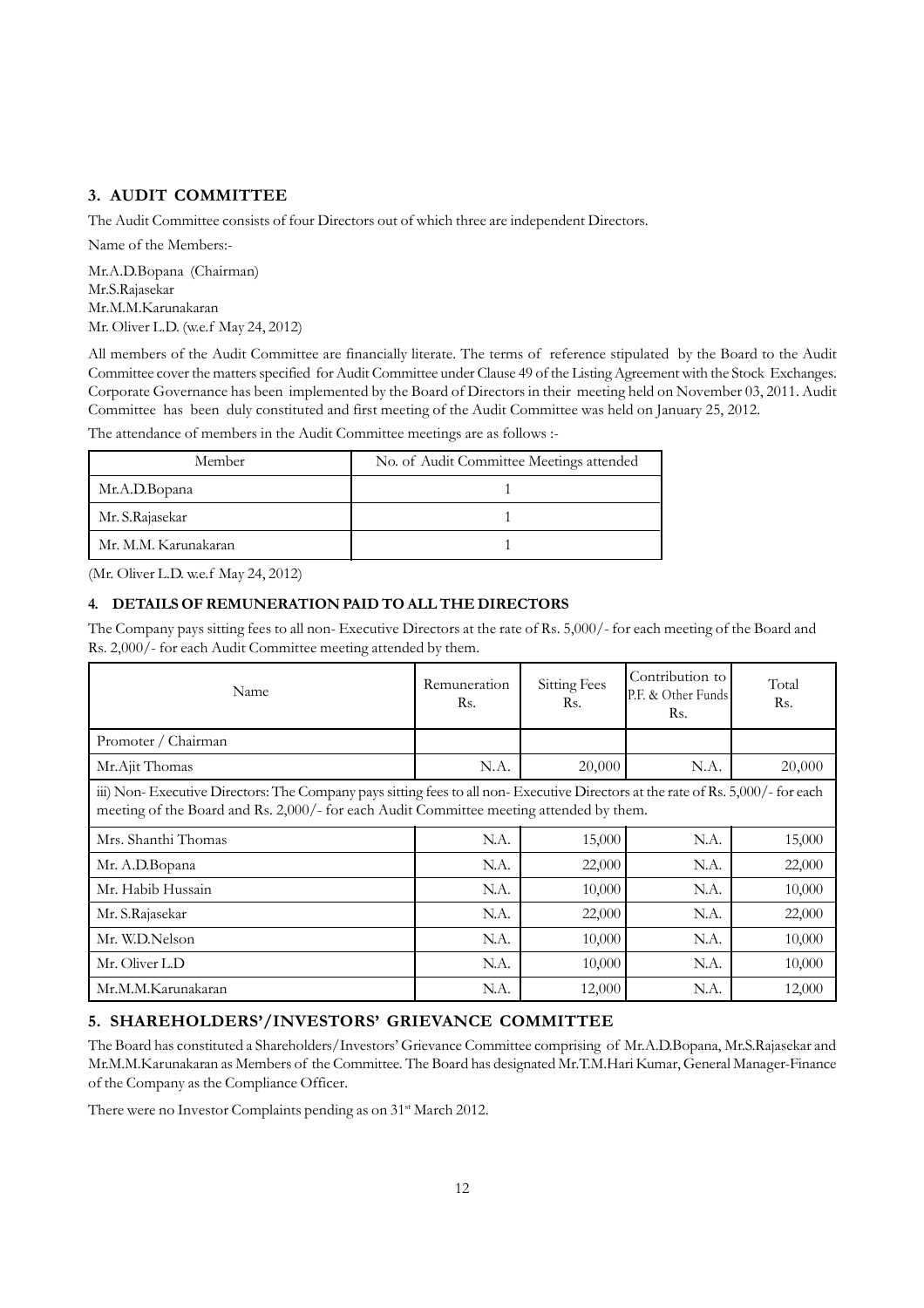### **3. AUDIT COMMITTEE**

The Audit Committee consists of four Directors out of which three are independent Directors.

Name of the Members:- Mr.A.D.Bopana (Chairman) Mr.S.Rajasekar Mr.M.M.Karunakaran

Mr. Oliver L.D. (w.e.f May 24, 2012)

All members of the Audit Committee are financially literate. The terms of reference stipulated by the Board to the Audit Committee cover the matters specified for Audit Committee under Clause 49 of the Listing Agreement with the Stock Exchanges. Corporate Governance has been implemented by the Board of Directors in their meeting held on November 03, 2011. Audit Committee has been duly constituted and first meeting of the Audit Committee was held on January 25, 2012.

The attendance of members in the Audit Committee meetings are as follows :-

| Member               | No. of Audit Committee Meetings attended |
|----------------------|------------------------------------------|
| Mr.A.D.Bopana        |                                          |
| Mr. S.Rajasekar      |                                          |
| Mr. M.M. Karunakaran |                                          |

(Mr. Oliver L.D. w.e.f May 24, 2012)

### **4. DETAILS OF REMUNERATION PAID TO ALL THE DIRECTORS**

The Company pays sitting fees to all non- Executive Directors at the rate of Rs. 5,000/- for each meeting of the Board and Rs. 2,000/- for each Audit Committee meeting attended by them.

| Name                                                                                                                                                                                                                      | Remuneration<br>Rs. | <b>Sitting Fees</b><br>Rs. | Contribution to<br>P.F. & Other Funds<br>Rs. | Total<br>Rs. |
|---------------------------------------------------------------------------------------------------------------------------------------------------------------------------------------------------------------------------|---------------------|----------------------------|----------------------------------------------|--------------|
| Promoter / Chairman                                                                                                                                                                                                       |                     |                            |                                              |              |
| Mr.Ajit Thomas                                                                                                                                                                                                            | N.A.                | 20,000                     | N.A.                                         | 20,000       |
| iii) Non-Executive Directors: The Company pays sitting fees to all non-Executive Directors at the rate of Rs. 5,000/- for each<br>meeting of the Board and Rs. 2,000/- for each Audit Committee meeting attended by them. |                     |                            |                                              |              |
| Mrs. Shanthi Thomas                                                                                                                                                                                                       | N.A.                | 15,000                     | N.A.                                         | 15,000       |
| Mr. A.D.Bopana                                                                                                                                                                                                            | N.A.                | 22,000                     | N.A.                                         | 22,000       |
| Mr. Habib Hussain                                                                                                                                                                                                         | N.A.                | 10,000                     | N.A.                                         | 10,000       |
| Mr. S.Rajasekar                                                                                                                                                                                                           | N.A.                | 22,000                     | N.A.                                         | 22,000       |
| Mr. W.D.Nelson                                                                                                                                                                                                            | N.A.                | 10,000                     | N.A.                                         | 10,000       |
| Mr. Oliver L.D                                                                                                                                                                                                            | N.A.                | 10,000                     | N.A.                                         | 10,000       |
| Mr.M.M.Karunakaran                                                                                                                                                                                                        | N.A.                | 12,000                     | N.A.                                         | 12,000       |

### **5. SHAREHOLDERS'/INVESTORS' GRIEVANCE COMMITTEE**

The Board has constituted a Shareholders/Investors' Grievance Committee comprising of Mr.A.D.Bopana, Mr.S.Rajasekar and Mr.M.M.Karunakaran as Members of the Committee. The Board has designated Mr.T.M.Hari Kumar, General Manager-Finance of the Company as the Compliance Officer.

There were no Investor Complaints pending as on 31<sup>st</sup> March 2012.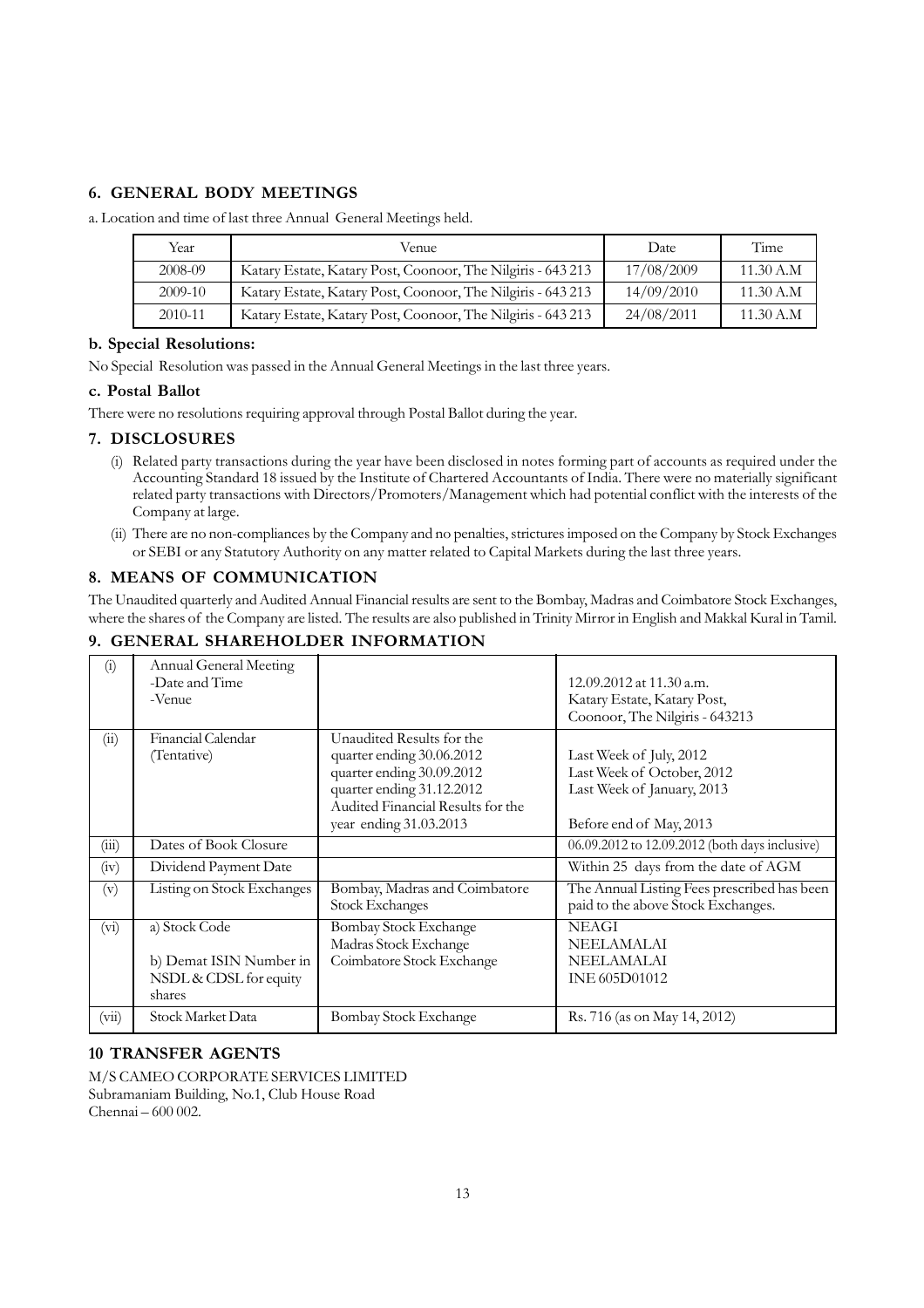# **6. GENERAL BODY MEETINGS**

a. Location and time of last three Annual General Meetings held.

| Year      | Venue                                                       | Date       | Time      |
|-----------|-------------------------------------------------------------|------------|-----------|
| 2008-09   | Katary Estate, Katary Post, Coonoor, The Nilgiris - 643 213 | 17/08/2009 | 11.30 A.M |
| $2009-10$ | Katary Estate, Katary Post, Coonoor, The Nilgiris - 643 213 | 14/09/2010 | 11.30 A.M |
| 2010-11   | Katary Estate, Katary Post, Coonoor, The Nilgiris - 643 213 | 24/08/2011 | 11.30 A.M |

### **b. Special Resolutions:**

No Special Resolution was passed in the Annual General Meetings in the last three years.

### **c. Postal Ballot**

There were no resolutions requiring approval through Postal Ballot during the year.

### **7. DISCLOSURES**

- (i) Related party transactions during the year have been disclosed in notes forming part of accounts as required under the Accounting Standard 18 issued by the Institute of Chartered Accountants of India. There were no materially significant related party transactions with Directors/Promoters/Management which had potential conflict with the interests of the Company at large.
- (ii) There are no non-compliances by the Company and no penalties, strictures imposed on the Company by Stock Exchanges or SEBI or any Statutory Authority on any matter related to Capital Markets during the last three years.

### **8. MEANS OF COMMUNICATION**

The Unaudited quarterly and Audited Annual Financial results are sent to the Bombay, Madras and Coimbatore Stock Exchanges, where the shares of the Company are listed. The results are also published in Trinity Mirror in English and Makkal Kural in Tamil.

| $\left( 1\right)$ | Annual General Meeting<br>-Date and Time<br>-Venue                           |                                                                                                                                                                                 | 12.09.2012 at 11.30 a.m.<br>Katary Estate, Katary Post,<br>Coonoor, The Nilgiris - 643213                      |
|-------------------|------------------------------------------------------------------------------|---------------------------------------------------------------------------------------------------------------------------------------------------------------------------------|----------------------------------------------------------------------------------------------------------------|
| (ii)              | Financial Calendar<br>(Tentative)                                            | Unaudited Results for the<br>quarter ending 30.06.2012<br>quarter ending 30.09.2012<br>quarter ending 31.12.2012<br>Audited Financial Results for the<br>year ending 31.03.2013 | Last Week of July, 2012<br>Last Week of October, 2012<br>Last Week of January, 2013<br>Before end of May, 2013 |
| (iii)             | Dates of Book Closure                                                        |                                                                                                                                                                                 | 06.09.2012 to 12.09.2012 (both days inclusive)                                                                 |
| (iv)              | Dividend Payment Date                                                        |                                                                                                                                                                                 | Within 25 days from the date of AGM                                                                            |
| (v)               | Listing on Stock Exchanges                                                   | Bombay, Madras and Coimbatore<br><b>Stock Exchanges</b>                                                                                                                         | The Annual Listing Fees prescribed has been<br>paid to the above Stock Exchanges.                              |
| $(v_i)$           | a) Stock Code<br>b) Demat ISIN Number in<br>NSDL & CDSL for equity<br>shares | <b>Bombay Stock Exchange</b><br>Madras Stock Exchange<br>Coimbatore Stock Exchange                                                                                              | <b>NEAGI</b><br><b>NEELAMALAI</b><br><b>NEELAMALAI</b><br><b>INE 605D01012</b>                                 |
| (vii)             | Stock Market Data                                                            | Bombay Stock Exchange                                                                                                                                                           | Rs. 716 (as on May 14, 2012)                                                                                   |

# **9. GENERAL SHAREHOLDER INFORMATION**

## **10 TRANSFER AGENTS**

M/S CAMEO CORPORATE SERVICES LIMITED Subramaniam Building, No.1, Club House Road Chennai – 600 002.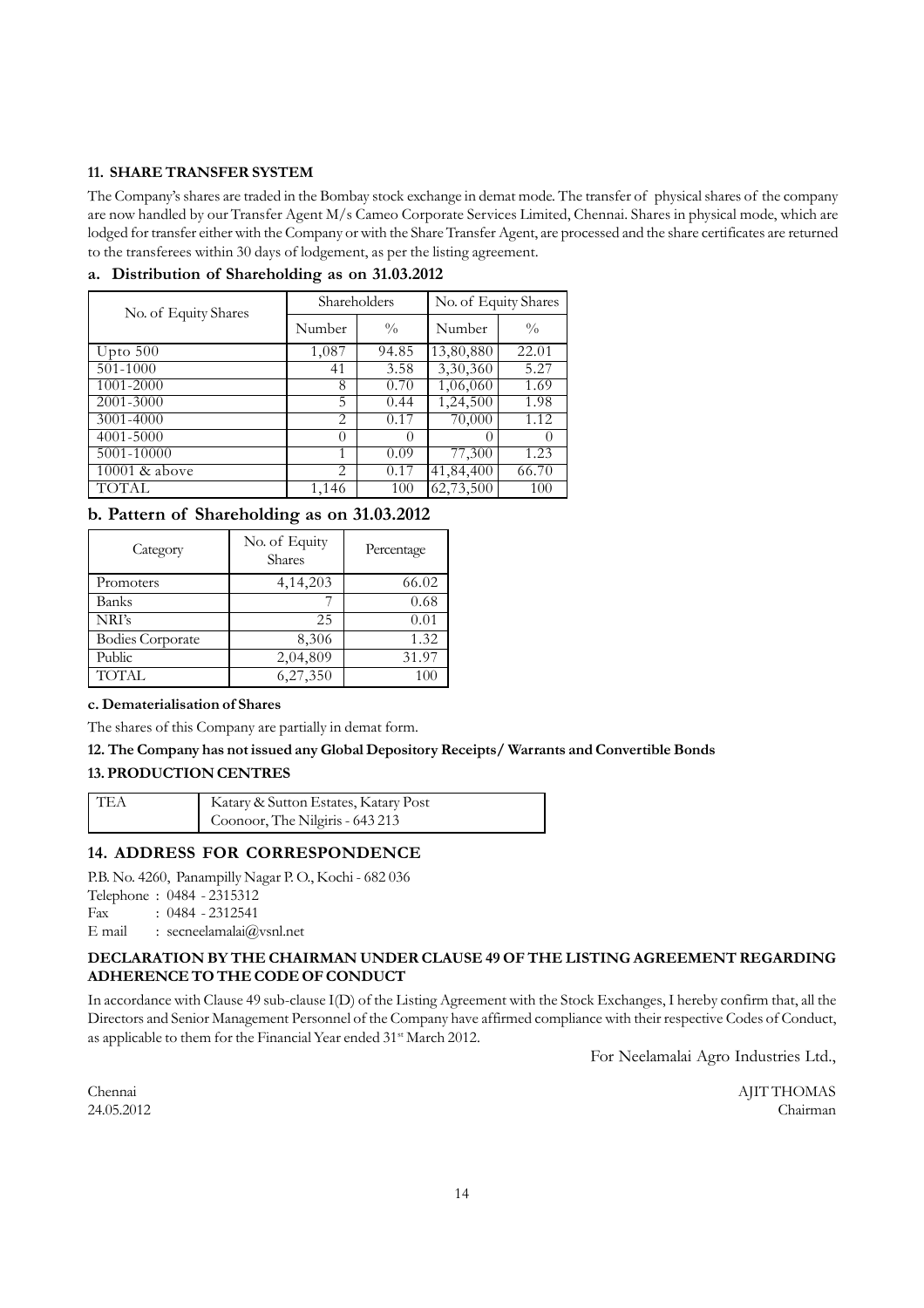### **11. SHARE TRANSFER SYSTEM**

The Company's shares are traded in the Bombay stock exchange in demat mode. The transfer of physical shares of the company are now handled by our Transfer Agent M/s Cameo Corporate Services Limited, Chennai. Shares in physical mode, which are lodged for transfer either with the Company or with the Share Transfer Agent, are processed and the share certificates are returned to the transferees within 30 days of lodgement, as per the listing agreement.

| No. of Equity Shares | Shareholders |               | No. of Equity Shares |               |
|----------------------|--------------|---------------|----------------------|---------------|
|                      | Number       | $\frac{0}{0}$ | Number               | $\frac{0}{0}$ |
| Upto $500$           | 1,087        | 94.85         | 13,80,880            | 22.01         |
| 501-1000             | 41           | 3.58          | 3,30,360             | 5.27          |
| 1001-2000            | 8            | 0.70          | 1,06,060             | 1.69          |
| 2001-3000            | 5            | 0.44          | 1,24,500             | 1.98          |
| 3001-4000            | 2            | 0.17          | 70,000               | 1.12          |
| 4001-5000            | $\theta$     | $\theta$      |                      | $\theta$      |
| 5001-10000           | 1            | 0.09          | 77,300               | 1.23          |
| 10001 & above        | 2            | 0.17          | 41,84,400            | 66.70         |
| <b>TOTAL</b>         | 1,146        | 100           | 62,73,500            | 100           |

### **a. Distribution of Shareholding as on 31.03.2012**

# **b. Pattern of Shareholding as on 31.03.2012**

| Category                | No. of Equity<br><b>Shares</b> | Percentage |
|-------------------------|--------------------------------|------------|
| Promoters               | 4, 14, 203                     | 66.02      |
| Banks                   |                                | 0.68       |
| NRI's                   | 25                             | 0.01       |
| <b>Bodies Corporate</b> | 8,306                          | 1.32       |
| Public                  | $2,04,80\overline{9}$          | 31.97      |
| <b>TOTAL</b>            | 6,27,350                       | 100        |

### **c. Dematerialisation of Shares**

The shares of this Company are partially in demat form.

### **12. The Company has not issued any Global Depository Receipts/ Warrants and Convertible Bonds**

### **13. PRODUCTION CENTRES**

| l TEA | Katary & Sutton Estates, Katary Post |
|-------|--------------------------------------|
|       | Coonoor, The Nilgiris - 643 213      |

### **14. ADDRESS FOR CORRESPONDENCE**

P.B. No. 4260, Panampilly Nagar P. O., Kochi - 682 036

Telephone : 0484 - 2315312

Fax : 0484 - 2312541

E mail : secneelamalai $@v$ snl.net

### **DECLARATION BY THE CHAIRMAN UNDER CLAUSE 49 OF THE LISTING AGREEMENT REGARDING ADHERENCE TO THE CODE OF CONDUCT**

In accordance with Clause 49 sub-clause I(D) of the Listing Agreement with the Stock Exchanges, I hereby confirm that, all the Directors and Senior Management Personnel of the Company have affirmed compliance with their respective Codes of Conduct, as applicable to them for the Financial Year ended 31<sup>st</sup> March 2012.

For Neelamalai Agro Industries Ltd.,

Chennai AJIT THOMAS 24.05.2012 Chairman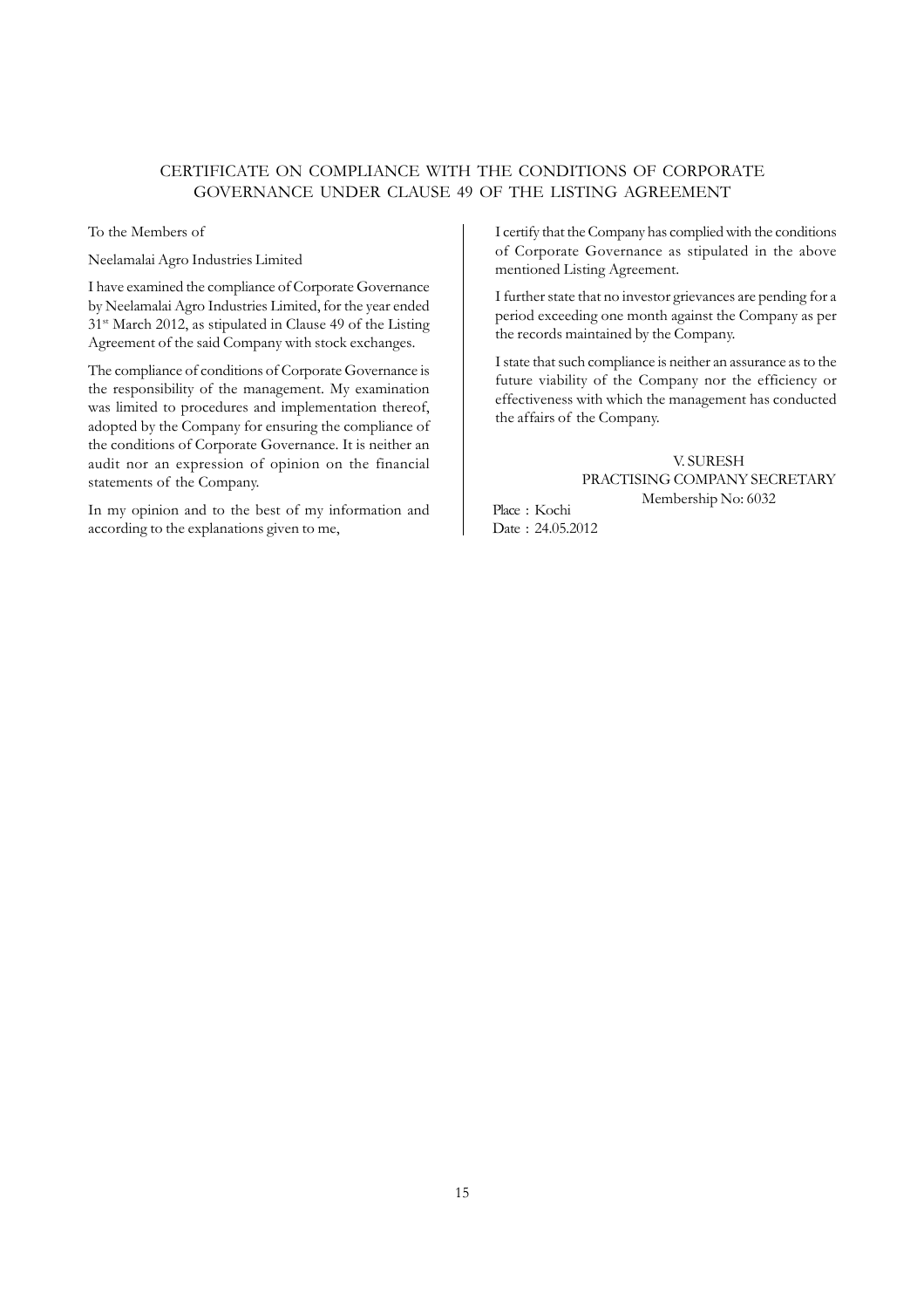### CERTIFICATE ON COMPLIANCE WITH THE CONDITIONS OF CORPORATE GOVERNANCE UNDER CLAUSE 49 OF THE LISTING AGREEMENT

To the Members of

Neelamalai Agro Industries Limited

I have examined the compliance of Corporate Governance by Neelamalai Agro Industries Limited, for the year ended 31st March 2012, as stipulated in Clause 49 of the Listing Agreement of the said Company with stock exchanges.

The compliance of conditions of Corporate Governance is the responsibility of the management. My examination was limited to procedures and implementation thereof, adopted by the Company for ensuring the compliance of the conditions of Corporate Governance. It is neither an audit nor an expression of opinion on the financial statements of the Company.

In my opinion and to the best of my information and according to the explanations given to me,

I certify that the Company has complied with the conditions of Corporate Governance as stipulated in the above mentioned Listing Agreement.

I further state that no investor grievances are pending for a period exceeding one month against the Company as per the records maintained by the Company.

I state that such compliance is neither an assurance as to the future viability of the Company nor the efficiency or effectiveness with which the management has conducted the affairs of the Company.

> V. SURESH PRACTISING COMPANY SECRETARY Membership No: 6032

Place : Kochi Date : 24.05.2012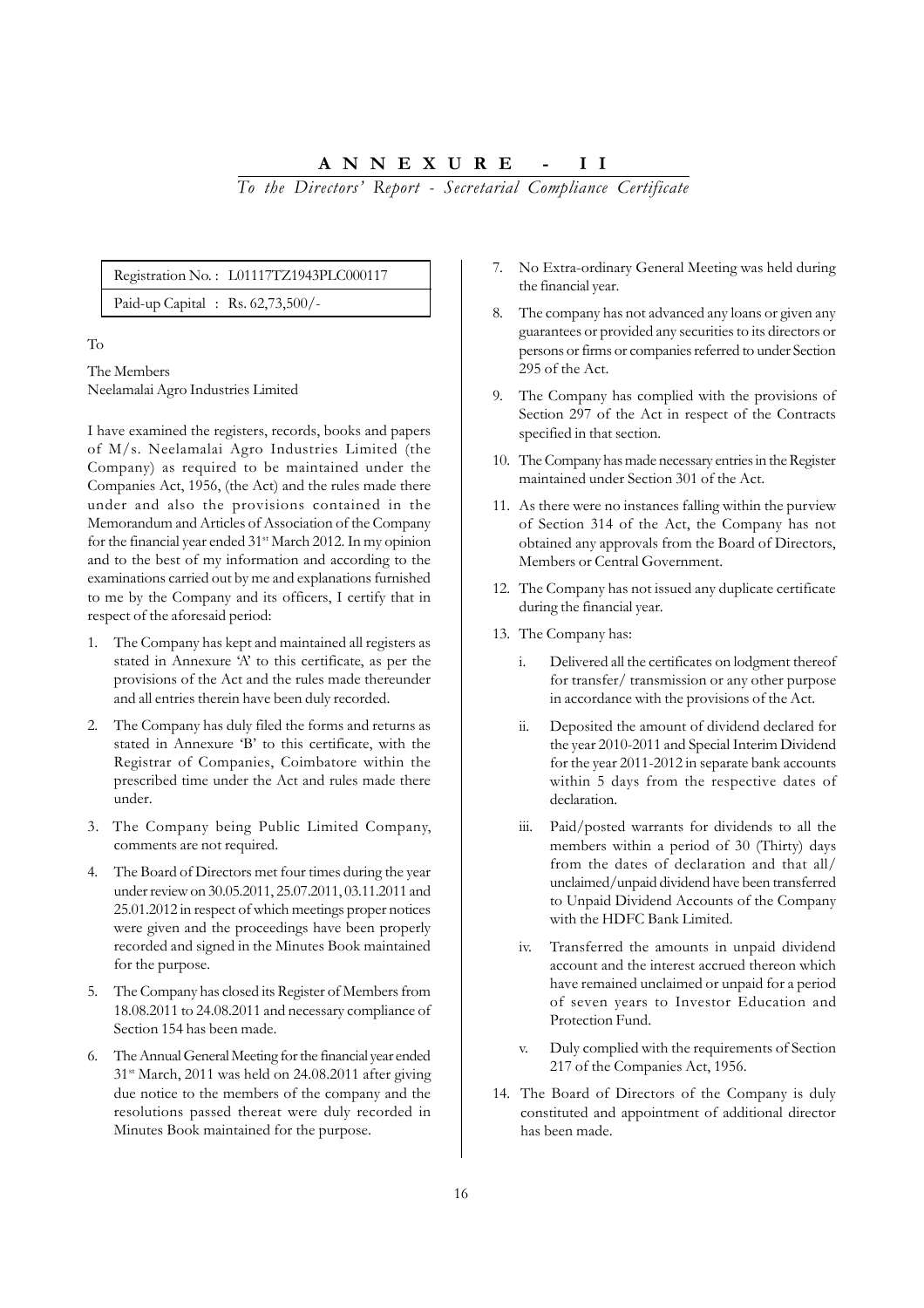**ANNEXURE - II**

*To the Directors' Report - Secretarial Compliance Certificate*

#### Registration No. : L01117TZ1943PLC000117

Paid-up Capital : Rs. 62,73,500/-

### To

The Members Neelamalai Agro Industries Limited

I have examined the registers, records, books and papers of M/s. Neelamalai Agro Industries Limited (the Company) as required to be maintained under the Companies Act, 1956, (the Act) and the rules made there under and also the provisions contained in the Memorandum and Articles of Association of the Company for the financial year ended 31<sup>st</sup> March 2012. In my opinion and to the best of my information and according to the examinations carried out by me and explanations furnished to me by the Company and its officers, I certify that in respect of the aforesaid period:

- 1. The Company has kept and maintained all registers as stated in Annexure 'A' to this certificate, as per the provisions of the Act and the rules made thereunder and all entries therein have been duly recorded.
- 2. The Company has duly filed the forms and returns as stated in Annexure 'B' to this certificate, with the Registrar of Companies, Coimbatore within the prescribed time under the Act and rules made there under.
- 3. The Company being Public Limited Company, comments are not required.
- 4. The Board of Directors met four times during the year under review on 30.05.2011, 25.07.2011, 03.11.2011 and 25.01.2012 in respect of which meetings proper notices were given and the proceedings have been properly recorded and signed in the Minutes Book maintained for the purpose.
- 5. The Company has closed its Register of Members from 18.08.2011 to 24.08.2011 and necessary compliance of Section 154 has been made.
- 6. The Annual General Meeting for the financial year ended 31st March, 2011 was held on 24.08.2011 after giving due notice to the members of the company and the resolutions passed thereat were duly recorded in Minutes Book maintained for the purpose.
- 7. No Extra-ordinary General Meeting was held during the financial year.
- 8. The company has not advanced any loans or given any guarantees or provided any securities to its directors or persons or firms or companies referred to under Section 295 of the Act.
- 9. The Company has complied with the provisions of Section 297 of the Act in respect of the Contracts specified in that section.
- 10. The Company has made necessary entries in the Register maintained under Section 301 of the Act.
- 11. As there were no instances falling within the purview of Section 314 of the Act, the Company has not obtained any approvals from the Board of Directors, Members or Central Government.
- 12. The Company has not issued any duplicate certificate during the financial year.
- 13. The Company has:
	- i. Delivered all the certificates on lodgment thereof for transfer/ transmission or any other purpose in accordance with the provisions of the Act.
	- ii. Deposited the amount of dividend declared for the year 2010-2011 and Special Interim Dividend for the year 2011-2012 in separate bank accounts within 5 days from the respective dates of declaration.
	- iii. Paid/posted warrants for dividends to all the members within a period of 30 (Thirty) days from the dates of declaration and that all/ unclaimed/unpaid dividend have been transferred to Unpaid Dividend Accounts of the Company with the HDFC Bank Limited.
	- iv. Transferred the amounts in unpaid dividend account and the interest accrued thereon which have remained unclaimed or unpaid for a period of seven years to Investor Education and Protection Fund.
	- v. Duly complied with the requirements of Section 217 of the Companies Act, 1956.
- 14. The Board of Directors of the Company is duly constituted and appointment of additional director has been made.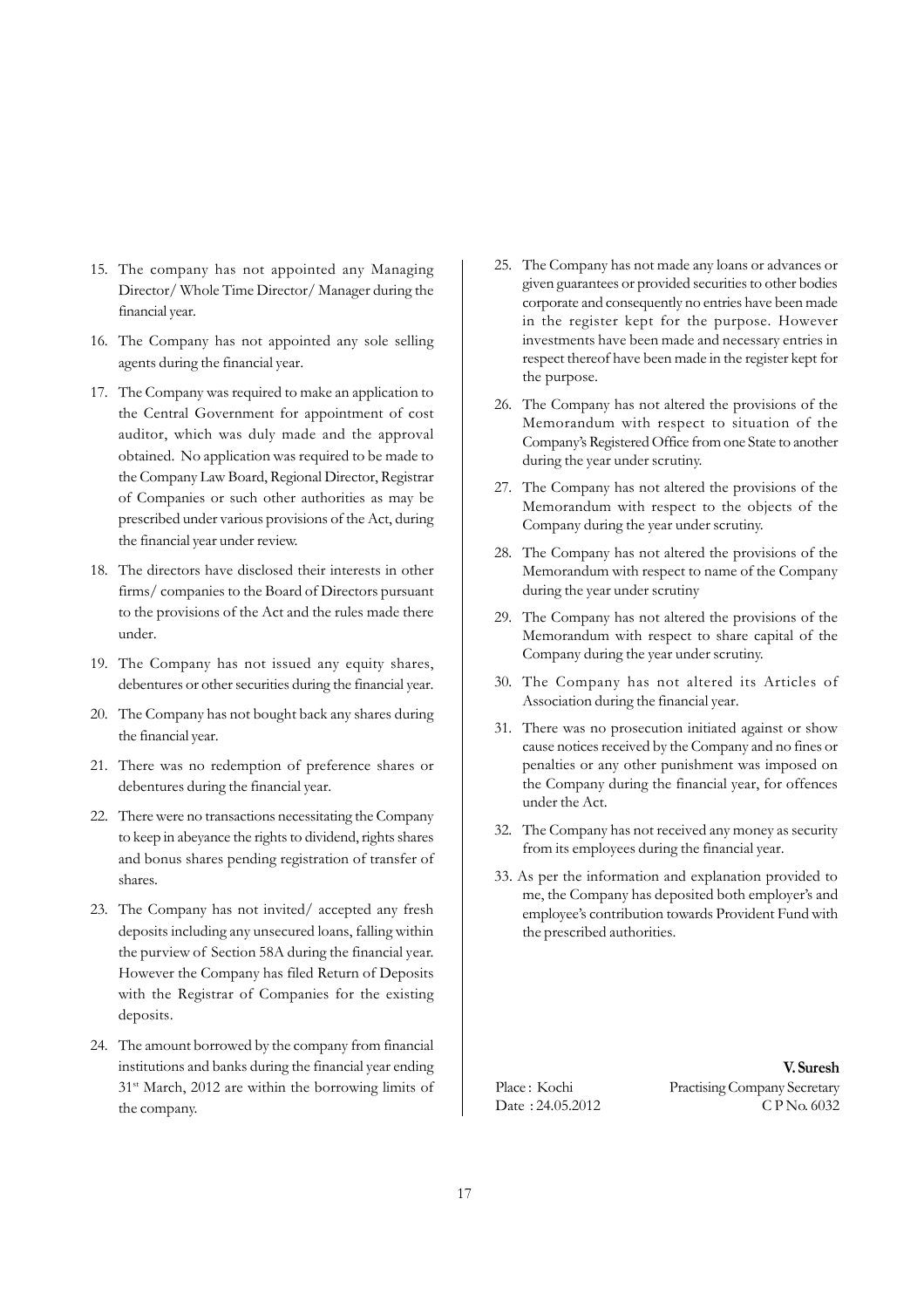- 15. The company has not appointed any Managing Director/ Whole Time Director/ Manager during the financial year.
- 16. The Company has not appointed any sole selling agents during the financial year.
- 17. The Company was required to make an application to the Central Government for appointment of cost auditor, which was duly made and the approval obtained. No application was required to be made to the Company Law Board, Regional Director, Registrar of Companies or such other authorities as may be prescribed under various provisions of the Act, during the financial year under review.
- 18. The directors have disclosed their interests in other firms/ companies to the Board of Directors pursuant to the provisions of the Act and the rules made there under.
- 19. The Company has not issued any equity shares, debentures or other securities during the financial year.
- 20. The Company has not bought back any shares during the financial year.
- 21. There was no redemption of preference shares or debentures during the financial year.
- 22. There were no transactions necessitating the Company to keep in abeyance the rights to dividend, rights shares and bonus shares pending registration of transfer of shares.
- 23. The Company has not invited/ accepted any fresh deposits including any unsecured loans, falling within the purview of Section 58A during the financial year. However the Company has filed Return of Deposits with the Registrar of Companies for the existing deposits.
- 24. The amount borrowed by the company from financial institutions and banks during the financial year ending 31st March, 2012 are within the borrowing limits of the company.
- 25. The Company has not made any loans or advances or given guarantees or provided securities to other bodies corporate and consequently no entries have been made in the register kept for the purpose. However investments have been made and necessary entries in respect thereof have been made in the register kept for the purpose.
- 26. The Company has not altered the provisions of the Memorandum with respect to situation of the Company's Registered Office from one State to another during the year under scrutiny.
- 27. The Company has not altered the provisions of the Memorandum with respect to the objects of the Company during the year under scrutiny.
- 28. The Company has not altered the provisions of the Memorandum with respect to name of the Company during the year under scrutiny
- 29. The Company has not altered the provisions of the Memorandum with respect to share capital of the Company during the year under scrutiny.
- 30. The Company has not altered its Articles of Association during the financial year.
- 31. There was no prosecution initiated against or show cause notices received by the Company and no fines or penalties or any other punishment was imposed on the Company during the financial year, for offences under the Act.
- 32. The Company has not received any money as security from its employees during the financial year.
- 33. As per the information and explanation provided to me, the Company has deposited both employer's and employee's contribution towards Provident Fund with the prescribed authorities.

**V. Suresh** Place : Kochi Practising Company Secretary Date : 24.05.2012 C P No. 6032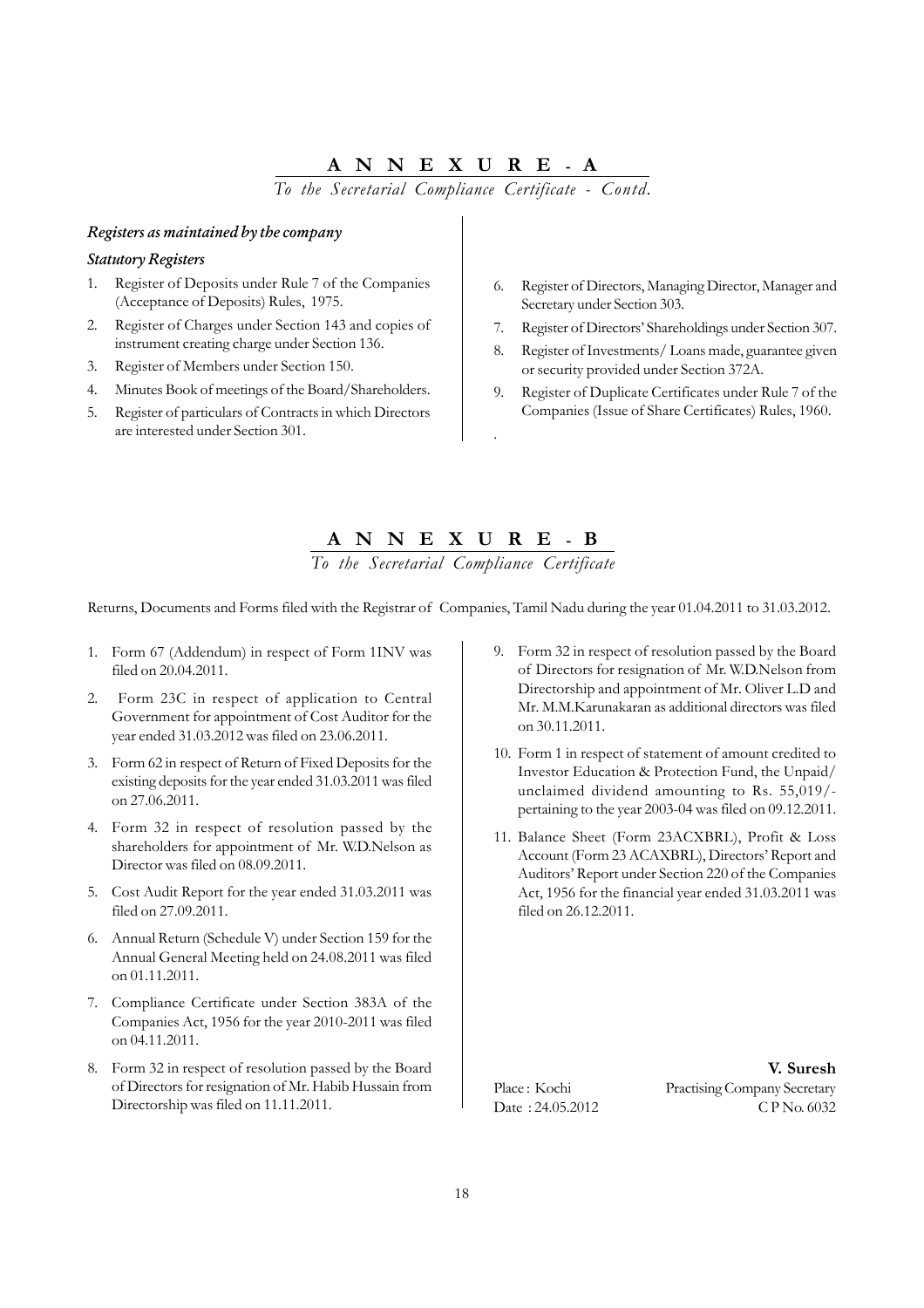# **ANNEXURE - A**

*To the Secretarial Compliance Certificate - Contd.*

# *Registers as maintained by the company*

#### *Statutory Registers*

- Register of Deposits under Rule 7 of the Companies (Acceptance of Deposits) Rules, 1975.
- 2. Register of Charges under Section 143 and copies of instrument creating charge under Section 136.
- 3. Register of Members under Section 150.
- 4. Minutes Book of meetings of the Board/Shareholders.
- 5. Register of particulars of Contracts in which Directors are interested under Section 301.
- 6. Register of Directors, Managing Director, Manager and Secretary under Section 303.
- 7. Register of Directors' Shareholdings under Section 307.
- 8. Register of Investments/ Loans made, guarantee given or security provided under Section 372A.
- 9. Register of Duplicate Certificates under Rule 7 of the Companies (Issue of Share Certificates) Rules, 1960.

# **ANNEXURE - B**

.

*To the Secretarial Compliance Certificate*

Returns, Documents and Forms filed with the Registrar of Companies, Tamil Nadu during the year 01.04.2011 to 31.03.2012.

- 1. Form 67 (Addendum) in respect of Form 1INV was filed on 20.04.2011.
- 2. Form 23C in respect of application to Central Government for appointment of Cost Auditor for the year ended 31.03.2012 was filed on 23.06.2011.
- 3. Form 62 in respect of Return of Fixed Deposits for the existing deposits for the year ended 31.03.2011 was filed on 27.06.2011.
- 4. Form 32 in respect of resolution passed by the shareholders for appointment of Mr. W.D.Nelson as Director was filed on 08.09.2011.
- 5. Cost Audit Report for the year ended 31.03.2011 was filed on 27.09.2011.
- 6. Annual Return (Schedule V) under Section 159 for the Annual General Meeting held on 24.08.2011 was filed on 01.11.2011.
- 7. Compliance Certificate under Section 383A of the Companies Act, 1956 for the year 2010-2011 was filed on 04.11.2011.
- 8. Form 32 in respect of resolution passed by the Board of Directors for resignation of Mr. Habib Hussain from Directorship was filed on 11.11.2011.
- 9. Form 32 in respect of resolution passed by the Board of Directors for resignation of Mr. W.D.Nelson from Directorship and appointment of Mr. Oliver L.D and Mr. M.M.Karunakaran as additional directors was filed on 30.11.2011.
- 10. Form 1 in respect of statement of amount credited to Investor Education & Protection Fund, the Unpaid/ unclaimed dividend amounting to Rs. 55,019/ pertaining to the year 2003-04 was filed on 09.12.2011.
- 11. Balance Sheet (Form 23ACXBRL), Profit & Loss Account (Form 23 ACAXBRL), Directors' Report and Auditors' Report under Section 220 of the Companies Act, 1956 for the financial year ended 31.03.2011 was filed on 26.12.2011.

**V. Suresh** Place : Kochi Practising Company Secretary Date : 24.05.2012 C P No. 6032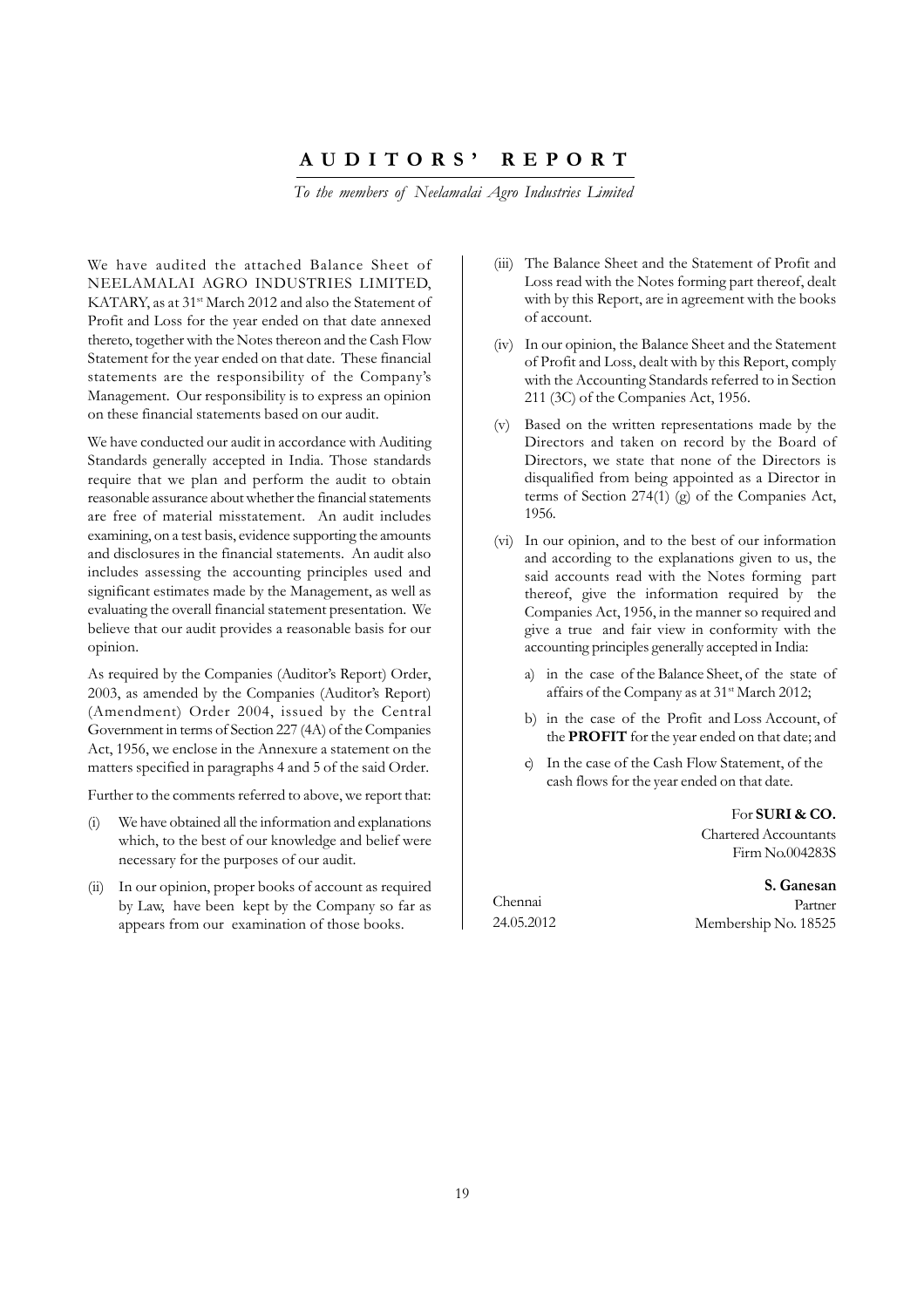## **AUDITORS' REPORT**

*To the members of Neelamalai Agro Industries Limited*

We have audited the attached Balance Sheet of NEELAMALAI AGRO INDUSTRIES LIMITED, KATARY, as at 31<sup>st</sup> March 2012 and also the Statement of Profit and Loss for the year ended on that date annexed thereto, together with the Notes thereon and the Cash Flow Statement for the year ended on that date. These financial statements are the responsibility of the Company's Management. Our responsibility is to express an opinion on these financial statements based on our audit.

We have conducted our audit in accordance with Auditing Standards generally accepted in India. Those standards require that we plan and perform the audit to obtain reasonable assurance about whether the financial statements are free of material misstatement. An audit includes examining, on a test basis, evidence supporting the amounts and disclosures in the financial statements. An audit also includes assessing the accounting principles used and significant estimates made by the Management, as well as evaluating the overall financial statement presentation. We believe that our audit provides a reasonable basis for our opinion.

As required by the Companies (Auditor's Report) Order, 2003, as amended by the Companies (Auditor's Report) (Amendment) Order 2004, issued by the Central Government in terms of Section 227 (4A) of the Companies Act, 1956, we enclose in the Annexure a statement on the matters specified in paragraphs 4 and 5 of the said Order.

Further to the comments referred to above, we report that:

- (i) We have obtained all the information and explanations which, to the best of our knowledge and belief were necessary for the purposes of our audit.
- (ii) In our opinion, proper books of account as required by Law, have been kept by the Company so far as appears from our examination of those books.
- (iii) The Balance Sheet and the Statement of Profit and Loss read with the Notes forming part thereof, dealt with by this Report, are in agreement with the books of account.
- (iv) In our opinion, the Balance Sheet and the Statement of Profit and Loss, dealt with by this Report, comply with the Accounting Standards referred to in Section 211 (3C) of the Companies Act, 1956.
- (v) Based on the written representations made by the Directors and taken on record by the Board of Directors, we state that none of the Directors is disqualified from being appointed as a Director in terms of Section 274(1) (g) of the Companies Act, 1956.
- (vi) In our opinion, and to the best of our information and according to the explanations given to us, the said accounts read with the Notes forming part thereof, give the information required by the Companies Act, 1956, in the manner so required and give a true and fair view in conformity with the accounting principles generally accepted in India:
	- a) in the case of the Balance Sheet, of the state of affairs of the Company as at 31<sup>st</sup> March 2012;
	- b) in the case of the Profit and Loss Account, of the **PROFIT** for the year ended on that date; and
	- In the case of the Cash Flow Statement, of the cash flows for the year ended on that date.

For **SURI & CO.** Chartered Accountants Firm No.004283S

Chennai 24.05.2012

 **S. Ganesan** Partner Membership No. 18525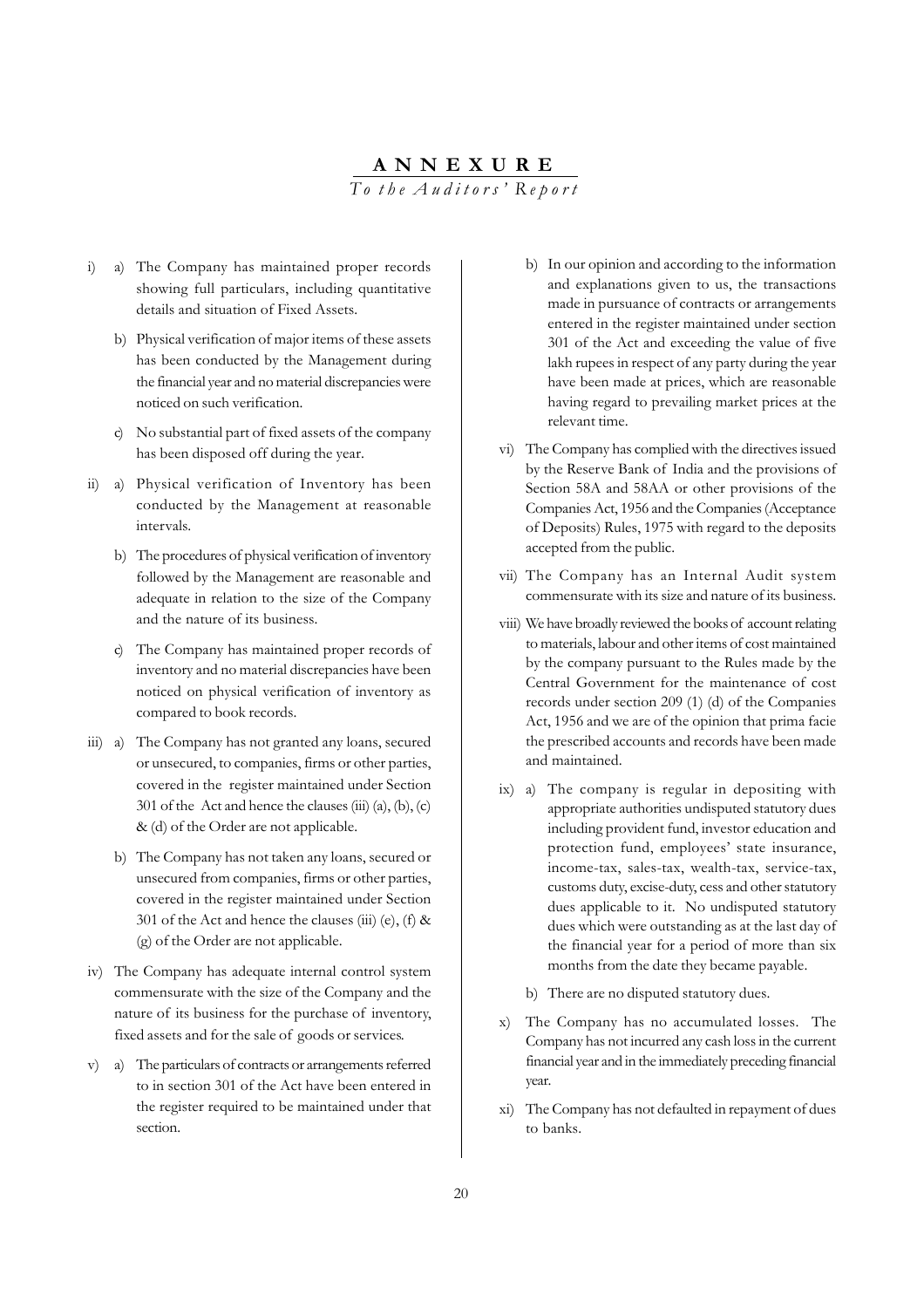# **ANNEXURE** *To the Auditors' Report*

- i) a) The Company has maintained proper records showing full particulars, including quantitative details and situation of Fixed Assets.
	- b) Physical verification of major items of these assets has been conducted by the Management during the financial year and no material discrepancies were noticed on such verification.
	- c) No substantial part of fixed assets of the company has been disposed off during the year.
- ii) a) Physical verification of Inventory has been conducted by the Management at reasonable intervals.
	- b) The procedures of physical verification of inventory followed by the Management are reasonable and adequate in relation to the size of the Company and the nature of its business.
	- c) The Company has maintained proper records of inventory and no material discrepancies have been noticed on physical verification of inventory as compared to book records.
- iii) a) The Company has not granted any loans, secured or unsecured, to companies, firms or other parties, covered in the register maintained under Section 301 of the Act and hence the clauses  $(iii)$   $(a)$ ,  $(b)$ ,  $(c)$ & (d) of the Order are not applicable.
	- b) The Company has not taken any loans, secured or unsecured from companies, firms or other parties, covered in the register maintained under Section 301 of the Act and hence the clauses (iii) (e), (f)  $\&$ (g) of the Order are not applicable.
- iv) The Company has adequate internal control system commensurate with the size of the Company and the nature of its business for the purchase of inventory, fixed assets and for the sale of goods or services.
- v) a) The particulars of contracts or arrangements referred to in section 301 of the Act have been entered in the register required to be maintained under that section.
- b) In our opinion and according to the information and explanations given to us, the transactions made in pursuance of contracts or arrangements entered in the register maintained under section 301 of the Act and exceeding the value of five lakh rupees in respect of any party during the year have been made at prices, which are reasonable having regard to prevailing market prices at the relevant time.
- vi) The Company has complied with the directives issued by the Reserve Bank of India and the provisions of Section 58A and 58AA or other provisions of the Companies Act, 1956 and the Companies (Acceptance of Deposits) Rules, 1975 with regard to the deposits accepted from the public.
- vii) The Company has an Internal Audit system commensurate with its size and nature of its business.
- viii) We have broadly reviewed the books of account relating to materials, labour and other items of cost maintained by the company pursuant to the Rules made by the Central Government for the maintenance of cost records under section 209 (1) (d) of the Companies Act, 1956 and we are of the opinion that prima facie the prescribed accounts and records have been made and maintained.
- ix) a) The company is regular in depositing with appropriate authorities undisputed statutory dues including provident fund, investor education and protection fund, employees' state insurance, income-tax, sales-tax, wealth-tax, service-tax, customs duty, excise-duty, cess and other statutory dues applicable to it. No undisputed statutory dues which were outstanding as at the last day of the financial year for a period of more than six months from the date they became payable.
	- b) There are no disputed statutory dues.
- x) The Company has no accumulated losses. The Company has not incurred any cash loss in the current financial year and in the immediately preceding financial year.
- xi) The Company has not defaulted in repayment of dues to banks.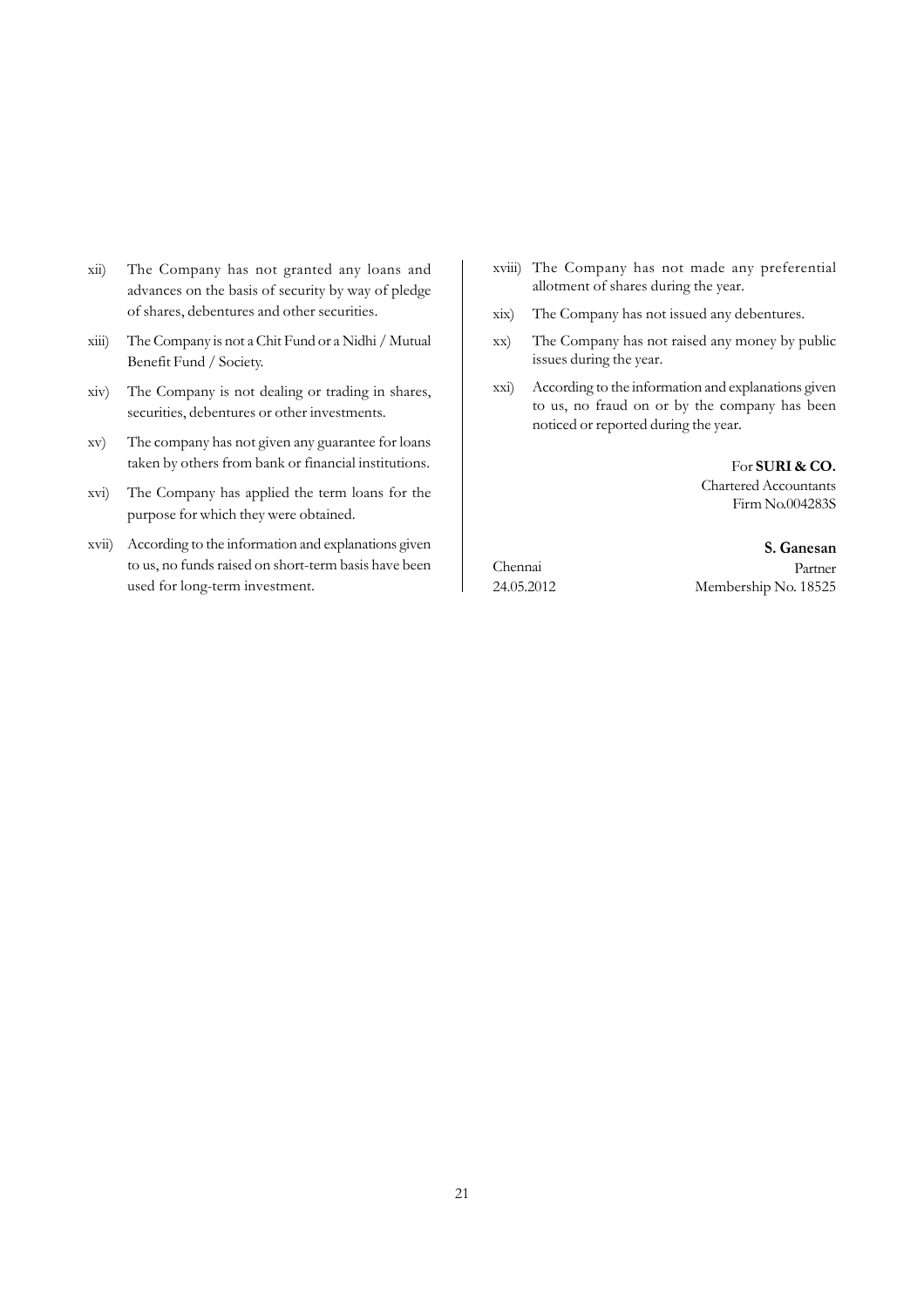- xii) The Company has not granted any loans and advances on the basis of security by way of pledge of shares, debentures and other securities.
- xiii) The Company is not a Chit Fund or a Nidhi / Mutual Benefit Fund / Society.
- xiv) The Company is not dealing or trading in shares, securities, debentures or other investments.
- xv) The company has not given any guarantee for loans taken by others from bank or financial institutions.
- xvi) The Company has applied the term loans for the purpose for which they were obtained.
- xvii) According to the information and explanations given to us, no funds raised on short-term basis have been used for long-term investment.
- xviii) The Company has not made any preferential allotment of shares during the year.
- xix) The Company has not issued any debentures.
- xx) The Company has not raised any money by public issues during the year.
- xxi) According to the information and explanations given to us, no fraud on or by the company has been noticed or reported during the year.

For **SURI & CO.** Chartered Accountants Firm No.004283S

### **S. Ganesan** Partner Membership No. 18525

Chennai 24.05.2012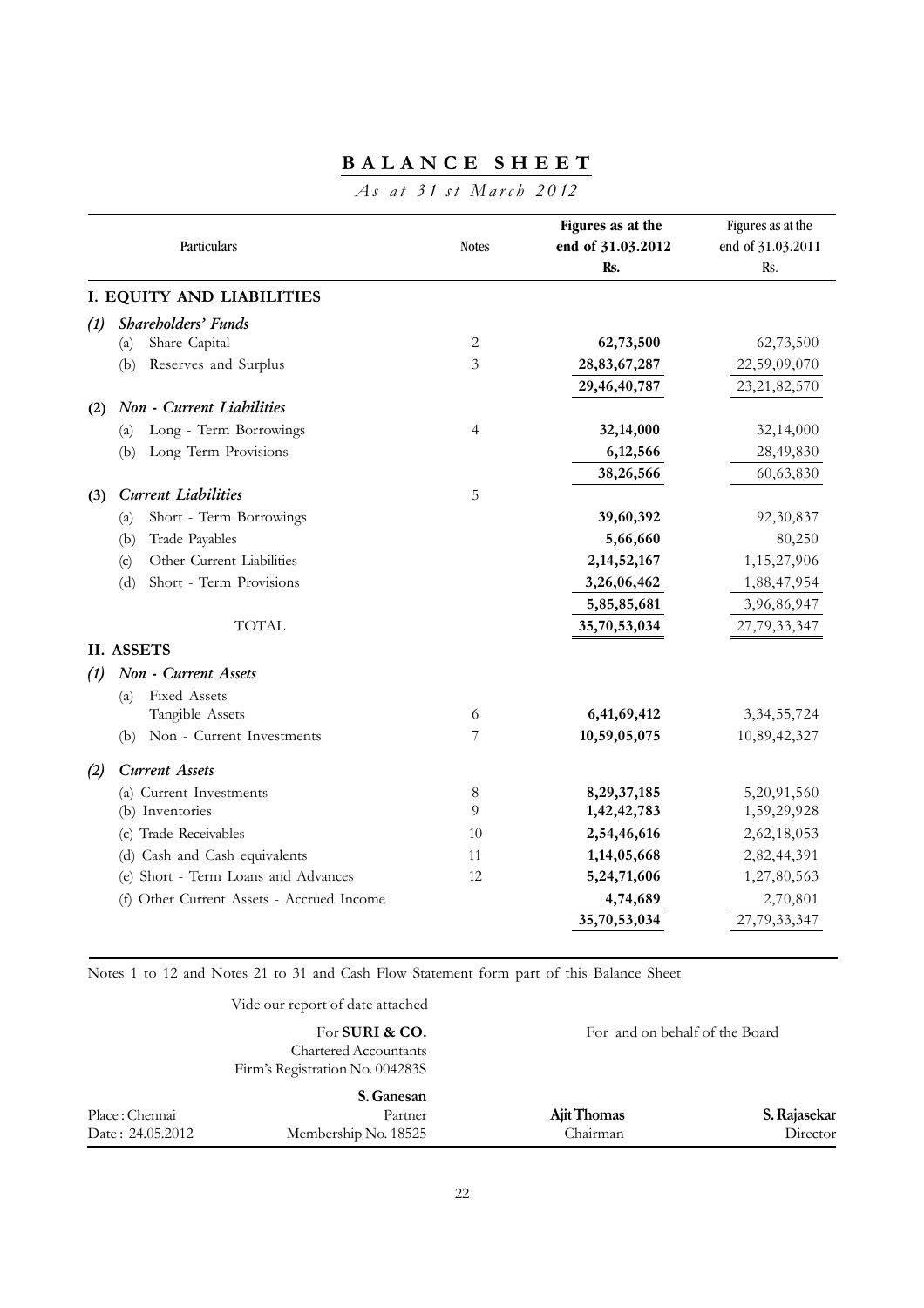# **BALANCE SHEET**

# *As at 31 st March 2012*

|     | Particulars                               | <b>Notes</b> | Figures as at the<br>end of 31.03.2012<br>Rs. | Figures as at the<br>end of 31.03.2011<br>Rs. |
|-----|-------------------------------------------|--------------|-----------------------------------------------|-----------------------------------------------|
|     | I. EQUITY AND LIABILITIES                 |              |                                               |                                               |
| (1) | Shareholders' Funds                       |              |                                               |                                               |
|     | Share Capital<br>(a)                      | 2            | 62,73,500                                     | 62,73,500                                     |
|     | Reserves and Surplus<br>(b)               | 3            | 28,83,67,287                                  | 22,59,09,070                                  |
|     |                                           |              | 29,46,40,787                                  | 23, 21, 82, 570                               |
| (2) | Non - Current Liabilities                 |              |                                               |                                               |
|     | Long - Term Borrowings<br>(a)             | 4            | 32,14,000                                     | 32,14,000                                     |
|     | Long Term Provisions<br>(b)               |              | 6,12,566                                      | 28,49,830                                     |
|     |                                           |              | 38,26,566                                     | 60,63,830                                     |
| (3) | <b>Current Liabilities</b>                | 5            |                                               |                                               |
|     | Short - Term Borrowings<br>(a)            |              | 39,60,392                                     | 92,30,837                                     |
|     | Trade Payables<br>(b)                     |              | 5,66,660                                      | 80,250                                        |
|     | Other Current Liabilities<br>(c)          |              | 2, 14, 52, 167                                | 1,15,27,906                                   |
|     | Short - Term Provisions<br>(d)            |              | 3,26,06,462                                   | 1,88,47,954                                   |
|     |                                           |              | 5,85,85,681                                   | 3,96,86,947                                   |
|     | <b>TOTAL</b>                              |              | 35,70,53,034                                  | 27,79,33,347                                  |
|     | <b>II. ASSETS</b>                         |              |                                               |                                               |
| (1) | Non - Current Assets                      |              |                                               |                                               |
|     | Fixed Assets<br>(a)                       |              |                                               |                                               |
|     | Tangible Assets                           | 6            | 6,41,69,412                                   | 3, 34, 55, 724                                |
|     | Non - Current Investments<br>(b)          | 7            | 10,59,05,075                                  | 10,89,42,327                                  |
| (2) | <b>Current Assets</b>                     |              |                                               |                                               |
|     | (a) Current Investments                   | 8            | 8,29,37,185                                   | 5,20,91,560                                   |
|     | (b) Inventories                           | 9            | 1,42,42,783                                   | 1,59,29,928                                   |
|     | (c) Trade Receivables                     | 10           | 2,54,46,616                                   | 2,62,18,053                                   |
|     | (d) Cash and Cash equivalents             | 11           | 1,14,05,668                                   | 2,82,44,391                                   |
|     | (e) Short - Term Loans and Advances       | 12           | 5,24,71,606                                   | 1,27,80,563                                   |
|     | (f) Other Current Assets - Accrued Income |              | 4,74,689                                      | 2,70,801                                      |
|     |                                           |              | 35,70,53,034                                  | 27,79,33,347                                  |

Notes 1 to 12 and Notes 21 to 31 and Cash Flow Statement form part of this Balance Sheet

|                   | Vide our report of date attached                                                  |                                |              |
|-------------------|-----------------------------------------------------------------------------------|--------------------------------|--------------|
|                   | For SURI & CO.<br><b>Chartered Accountants</b><br>Firm's Registration No. 004283S | For and on behalf of the Board |              |
|                   | S. Ganesan                                                                        |                                |              |
| Place : Chennai   | Partner                                                                           | Ajit Thomas                    | S. Rajasekar |
| Date : 24.05.2012 | Membership No. 18525                                                              | Chairman                       | Director     |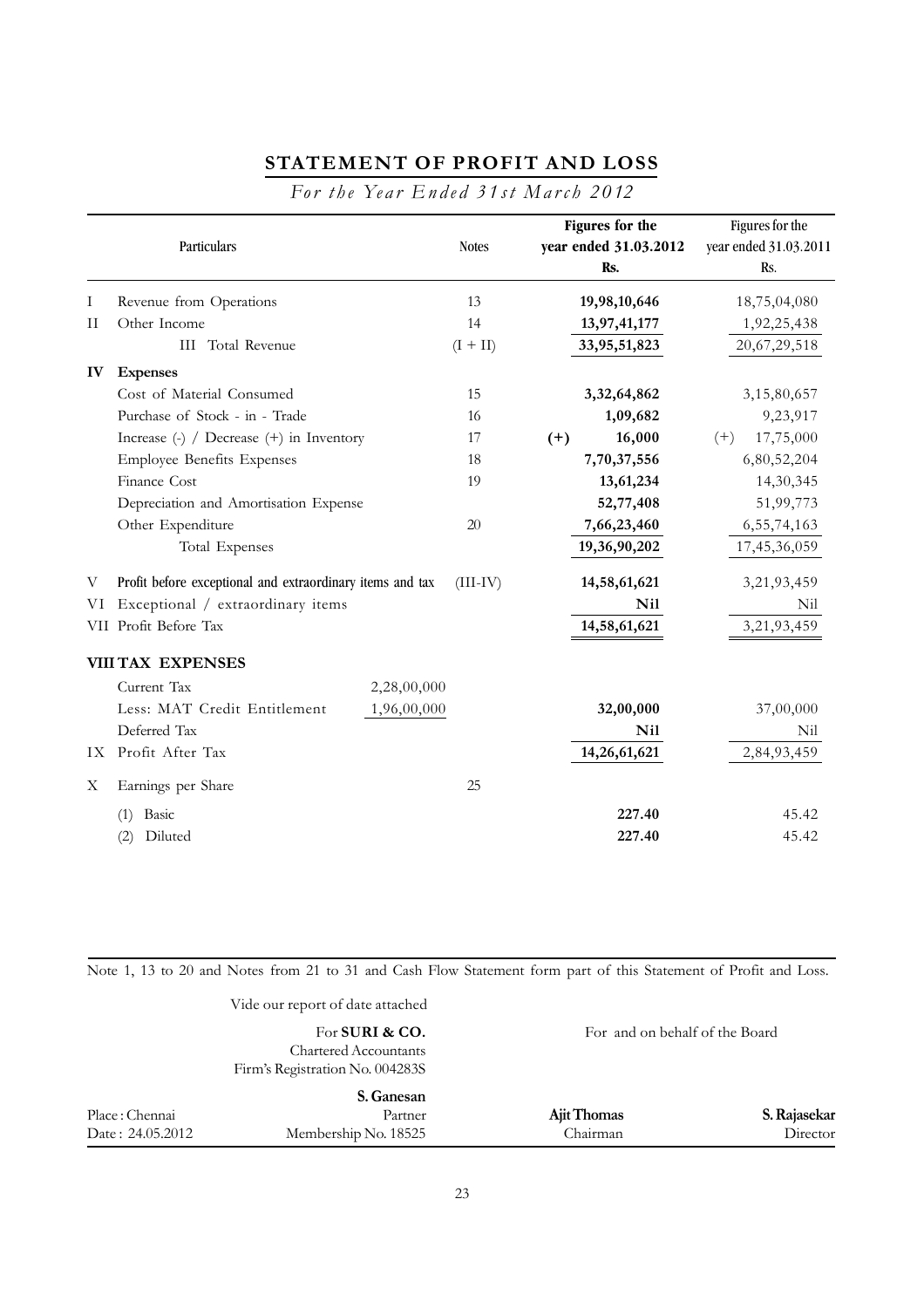# **STATEMENT OF PROFIT AND LOSS**

*For the Year Ended 31st March 2012* 

|             | Particulars                                                                      |             | <b>Notes</b> |       | Figures for the<br>year ended 31.03.2012<br>Rs. |       | Figures for the<br>year ended 31.03.2011<br>Rs. |
|-------------|----------------------------------------------------------------------------------|-------------|--------------|-------|-------------------------------------------------|-------|-------------------------------------------------|
| Ι           | Revenue from Operations                                                          |             | 13           |       | 19,98,10,646                                    |       | 18,75,04,080                                    |
| $_{\rm II}$ | Other Income                                                                     |             | 14           |       | 13,97,41,177                                    |       | 1,92,25,438                                     |
|             | <b>III</b> Total Revenue                                                         |             | $(I + II)$   |       | 33,95,51,823                                    |       | 20,67,29,518                                    |
| IV          | <b>Expenses</b>                                                                  |             |              |       |                                                 |       |                                                 |
|             | Cost of Material Consumed                                                        |             | 15           |       | 3,32,64,862                                     |       | 3,15,80,657                                     |
|             | Purchase of Stock - in - Trade                                                   |             | 16           |       | 1,09,682                                        |       | 9,23,917                                        |
|             | Increase $\left(\text{-}\right)$ / Decrease $\left(\text{+}\right)$ in Inventory |             | 17           | $(+)$ | 16,000                                          | $(+)$ | 17,75,000                                       |
|             | <b>Employee Benefits Expenses</b>                                                |             | 18           |       | 7,70,37,556                                     |       | 6,80,52,204                                     |
|             | Finance Cost                                                                     |             | 19           |       | 13,61,234                                       |       | 14,30,345                                       |
|             | Depreciation and Amortisation Expense                                            |             |              |       | 52,77,408                                       |       | 51,99,773                                       |
|             | Other Expenditure                                                                |             | 20           |       | 7,66,23,460                                     |       | 6, 55, 74, 163                                  |
|             | Total Expenses                                                                   |             |              |       | 19,36,90,202                                    |       | 17,45,36,059                                    |
| V           | Profit before exceptional and extraordinary items and tax                        |             | $(III-IV)$   |       | 14,58,61,621                                    |       | 3,21,93,459                                     |
| VI          | Exceptional / extraordinary items                                                |             |              |       | <b>Nil</b>                                      |       | Nil                                             |
|             | VII Profit Before Tax                                                            |             |              |       | 14,58,61,621                                    |       | 3,21,93,459                                     |
|             | <b>VIII TAX EXPENSES</b>                                                         |             |              |       |                                                 |       |                                                 |
|             | Current Tax                                                                      | 2,28,00,000 |              |       |                                                 |       |                                                 |
|             | Less: MAT Credit Entitlement                                                     | 1,96,00,000 |              |       | 32,00,000                                       |       | 37,00,000                                       |
|             | Deferred Tax                                                                     |             |              |       | <b>Nil</b>                                      |       | Nil                                             |
|             | IX Profit After Tax                                                              |             |              |       | 14,26,61,621                                    |       | 2,84,93,459                                     |
| Х           | Earnings per Share                                                               |             | 25           |       |                                                 |       |                                                 |
|             | $(1)$ Basic                                                                      |             |              |       | 227.40                                          |       | 45.42                                           |
|             | Diluted<br>(2)                                                                   |             |              |       | 227.40                                          |       | 45.42                                           |

Note 1, 13 to 20 and Notes from 21 to 31 and Cash Flow Statement form part of this Statement of Profit and Loss.

Vide our report of date attached

|                   | For SURI & CO.<br><b>Chartered Accountants</b><br>Firm's Registration No. 004283S | For and on behalf of the Board |              |
|-------------------|-----------------------------------------------------------------------------------|--------------------------------|--------------|
| Place : Chennai   | S. Ganesan<br>Partner                                                             | Ajit Thomas                    | S. Rajasekar |
| Date : 24.05.2012 | Membership No. 18525                                                              | Chairman                       | Director     |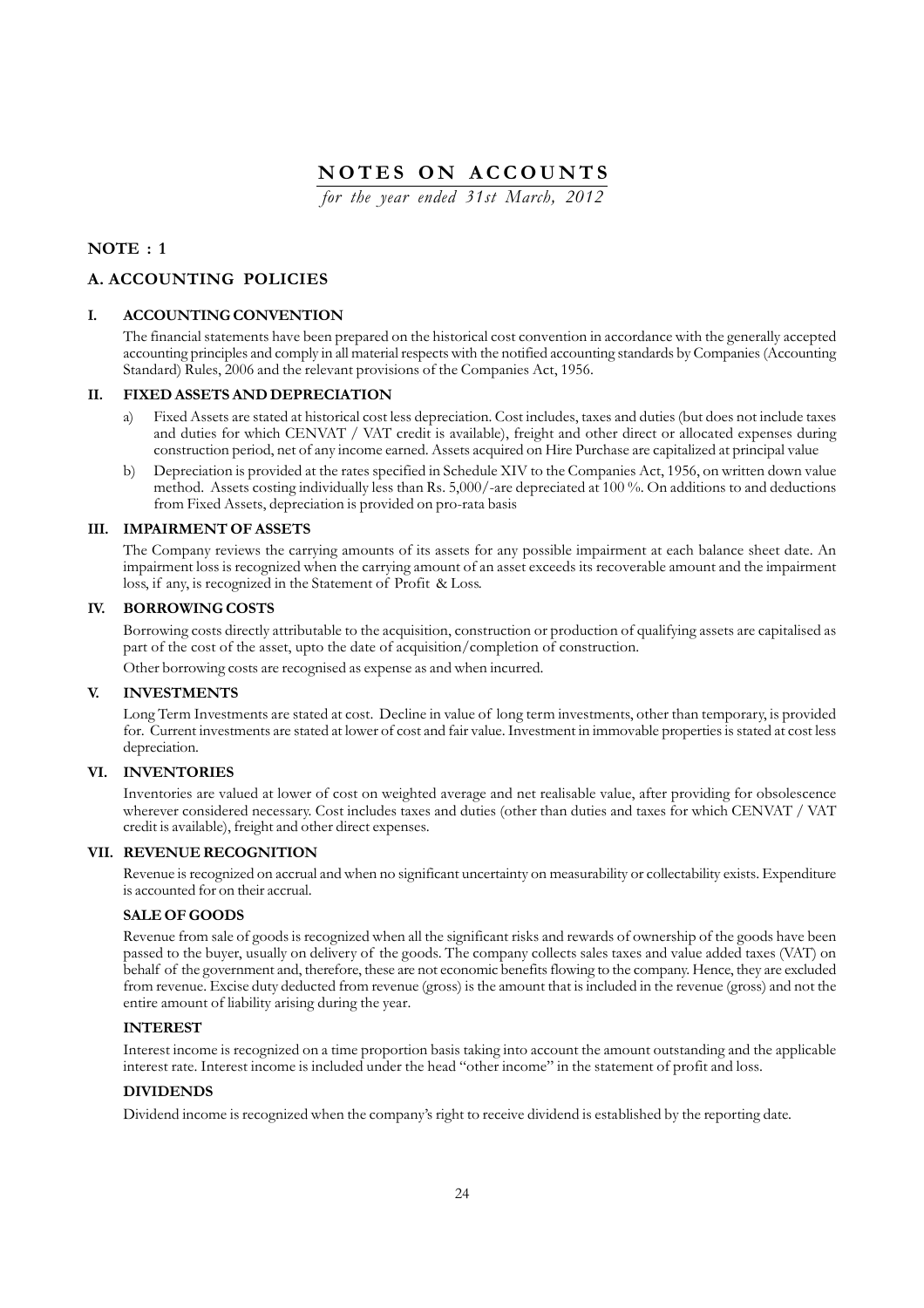*for the year ended 31st March, 2012*

### **NOTE : 1**

### **A. ACCOUNTING POLICIES**

#### **I. ACCOUNTING CONVENTION**

The financial statements have been prepared on the historical cost convention in accordance with the generally accepted accounting principles and comply in all material respects with the notified accounting standards by Companies (Accounting Standard) Rules, 2006 and the relevant provisions of the Companies Act, 1956.

#### **II. FIXED ASSETS AND DEPRECIATION**

- Fixed Assets are stated at historical cost less depreciation. Cost includes, taxes and duties (but does not include taxes and duties for which CENVAT / VAT credit is available), freight and other direct or allocated expenses during construction period, net of any income earned. Assets acquired on Hire Purchase are capitalized at principal value
- b) Depreciation is provided at the rates specified in Schedule XIV to the Companies Act, 1956, on written down value method. Assets costing individually less than Rs. 5,000/-are depreciated at 100 %. On additions to and deductions from Fixed Assets, depreciation is provided on pro-rata basis

#### **III. IMPAIRMENT OF ASSETS**

The Company reviews the carrying amounts of its assets for any possible impairment at each balance sheet date. An impairment loss is recognized when the carrying amount of an asset exceeds its recoverable amount and the impairment loss, if any, is recognized in the Statement of Profit & Loss.

### **IV. BORROWING COSTS**

Borrowing costs directly attributable to the acquisition, construction or production of qualifying assets are capitalised as part of the cost of the asset, upto the date of acquisition/completion of construction.

Other borrowing costs are recognised as expense as and when incurred.

#### **V. INVESTMENTS**

Long Term Investments are stated at cost. Decline in value of long term investments, other than temporary, is provided for. Current investments are stated at lower of cost and fair value. Investment in immovable properties is stated at cost less depreciation.

#### **VI. INVENTORIES**

Inventories are valued at lower of cost on weighted average and net realisable value, after providing for obsolescence wherever considered necessary. Cost includes taxes and duties (other than duties and taxes for which CENVAT / VAT credit is available), freight and other direct expenses.

#### **VII. REVENUE RECOGNITION**

Revenue is recognized on accrual and when no significant uncertainty on measurability or collectability exists. Expenditure is accounted for on their accrual.

#### **SALE OF GOODS**

Revenue from sale of goods is recognized when all the significant risks and rewards of ownership of the goods have been passed to the buyer, usually on delivery of the goods. The company collects sales taxes and value added taxes (VAT) on behalf of the government and, therefore, these are not economic benefits flowing to the company. Hence, they are excluded from revenue. Excise duty deducted from revenue (gross) is the amount that is included in the revenue (gross) and not the entire amount of liability arising during the year.

#### **INTEREST**

Interest income is recognized on a time proportion basis taking into account the amount outstanding and the applicable interest rate. Interest income is included under the head "other income" in the statement of profit and loss.

### **DIVIDENDS**

Dividend income is recognized when the company's right to receive dividend is established by the reporting date.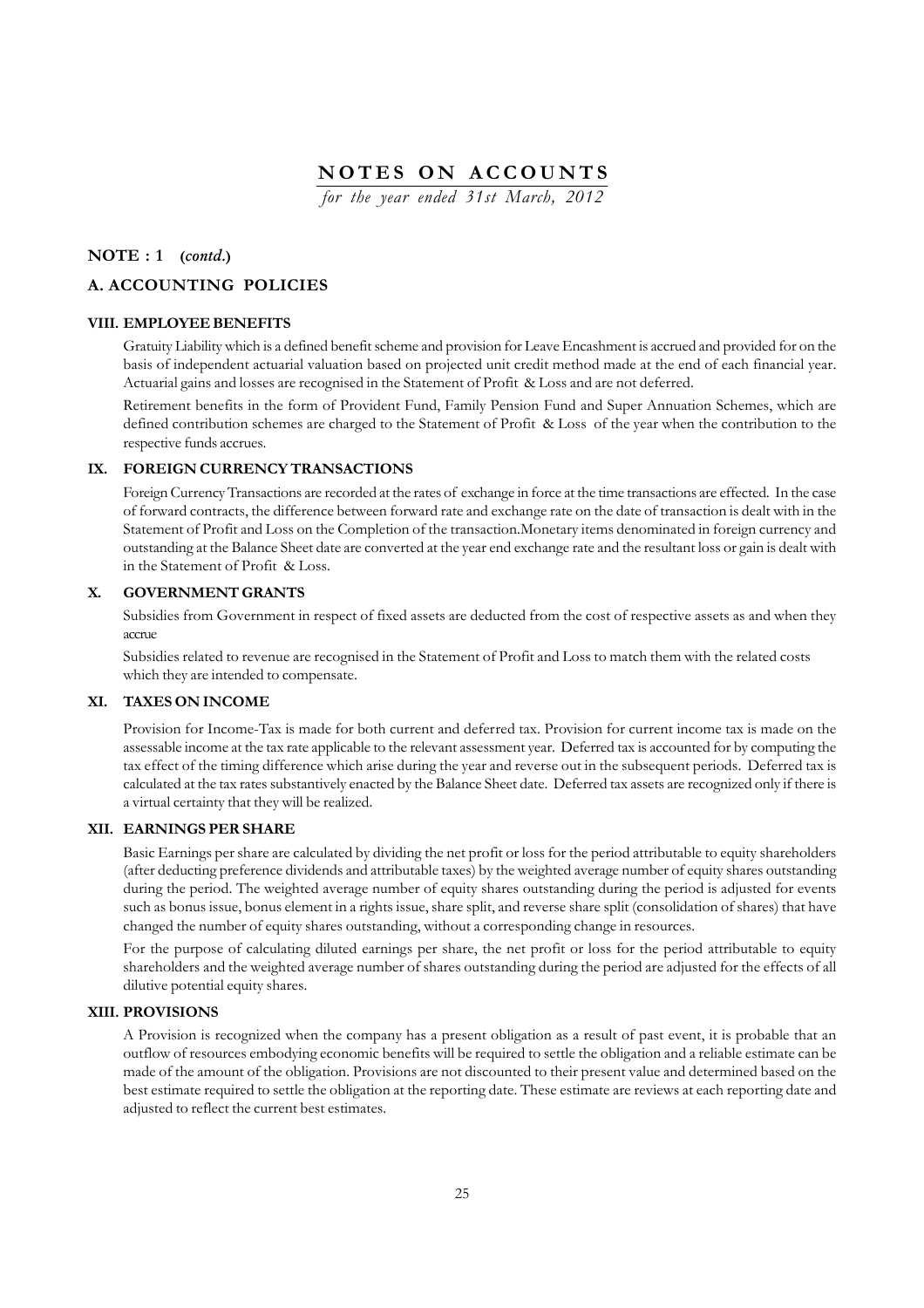*for the year ended 31st March, 2012*

### **NOTE : 1 (***contd.***)**

## **A. ACCOUNTING POLICIES**

### **VIII. EMPLOYEE BENEFITS**

Gratuity Liability which is a defined benefit scheme and provision for Leave Encashment is accrued and provided for on the basis of independent actuarial valuation based on projected unit credit method made at the end of each financial year. Actuarial gains and losses are recognised in the Statement of Profit & Loss and are not deferred.

Retirement benefits in the form of Provident Fund, Family Pension Fund and Super Annuation Schemes, which are defined contribution schemes are charged to the Statement of Profit & Loss of the year when the contribution to the respective funds accrues.

### **IX. FOREIGN CURRENCY TRANSACTIONS**

Foreign Currency Transactions are recorded at the rates of exchange in force at the time transactions are effected. In the case of forward contracts, the difference between forward rate and exchange rate on the date of transaction is dealt with in the Statement of Profit and Loss on the Completion of the transaction.Monetary items denominated in foreign currency and outstanding at the Balance Sheet date are converted at the year end exchange rate and the resultant loss or gain is dealt with in the Statement of Profit & Loss.

#### **X. GOVERNMENT GRANTS**

Subsidies from Government in respect of fixed assets are deducted from the cost of respective assets as and when they accrue

Subsidies related to revenue are recognised in the Statement of Profit and Loss to match them with the related costs which they are intended to compensate.

#### **XI. TAXES ON INCOME**

Provision for Income-Tax is made for both current and deferred tax. Provision for current income tax is made on the assessable income at the tax rate applicable to the relevant assessment year. Deferred tax is accounted for by computing the tax effect of the timing difference which arise during the year and reverse out in the subsequent periods. Deferred tax is calculated at the tax rates substantively enacted by the Balance Sheet date. Deferred tax assets are recognized only if there is a virtual certainty that they will be realized.

### **XII. EARNINGS PER SHARE**

Basic Earnings per share are calculated by dividing the net profit or loss for the period attributable to equity shareholders (after deducting preference dividends and attributable taxes) by the weighted average number of equity shares outstanding during the period. The weighted average number of equity shares outstanding during the period is adjusted for events such as bonus issue, bonus element in a rights issue, share split, and reverse share split (consolidation of shares) that have changed the number of equity shares outstanding, without a corresponding change in resources.

For the purpose of calculating diluted earnings per share, the net profit or loss for the period attributable to equity shareholders and the weighted average number of shares outstanding during the period are adjusted for the effects of all dilutive potential equity shares.

### **XIII. PROVISIONS**

A Provision is recognized when the company has a present obligation as a result of past event, it is probable that an outflow of resources embodying economic benefits will be required to settle the obligation and a reliable estimate can be made of the amount of the obligation. Provisions are not discounted to their present value and determined based on the best estimate required to settle the obligation at the reporting date. These estimate are reviews at each reporting date and adjusted to reflect the current best estimates.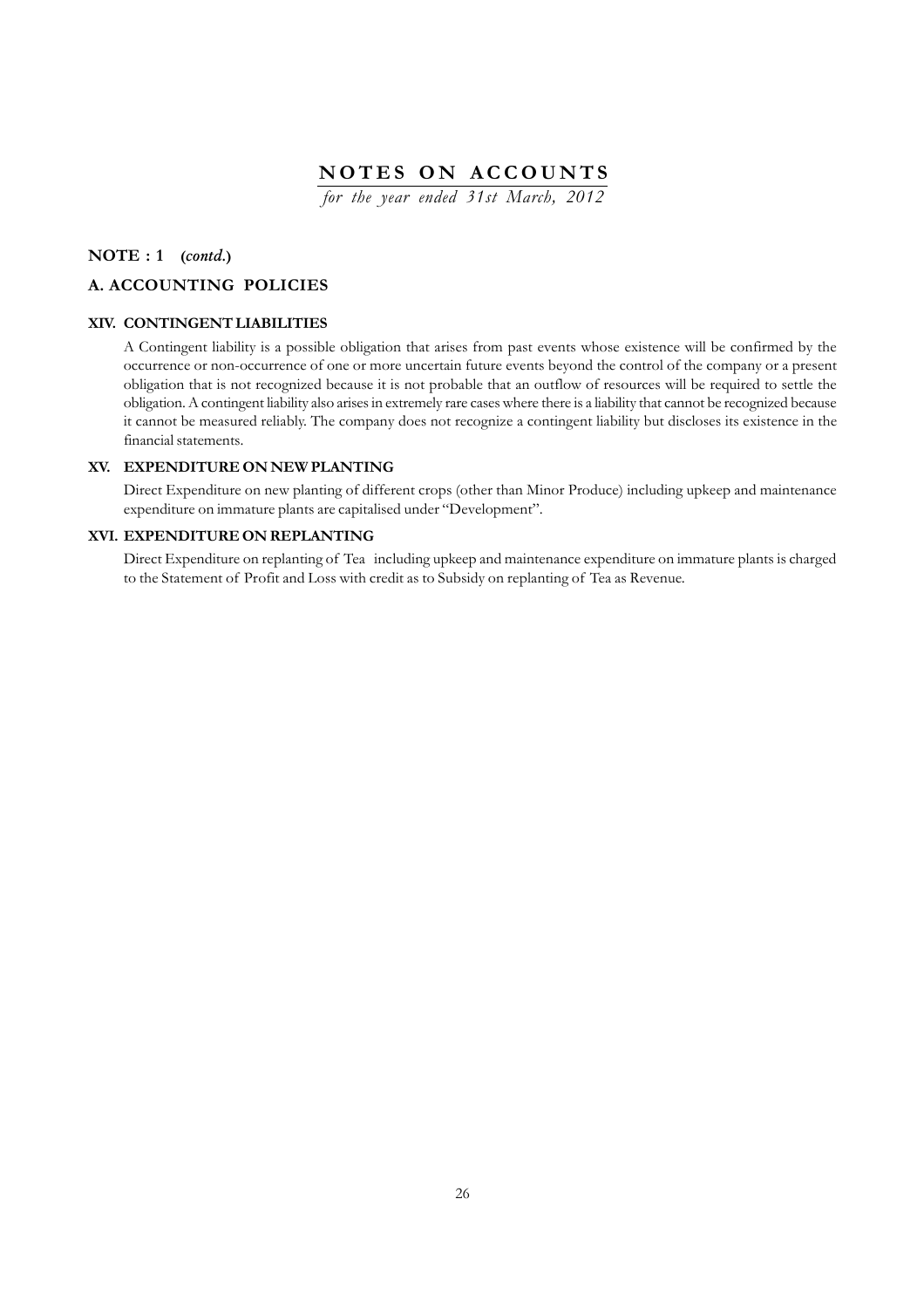*for the year ended 31st March, 2012*

### **NOTE : 1 (***contd.***)**

### **A. ACCOUNTING POLICIES**

### **XIV. CONTINGENT LIABILITIES**

A Contingent liability is a possible obligation that arises from past events whose existence will be confirmed by the occurrence or non-occurrence of one or more uncertain future events beyond the control of the company or a present obligation that is not recognized because it is not probable that an outflow of resources will be required to settle the obligation. A contingent liability also arises in extremely rare cases where there is a liability that cannot be recognized because it cannot be measured reliably. The company does not recognize a contingent liability but discloses its existence in the financial statements.

### **XV. EXPENDITURE ON NEW PLANTING**

Direct Expenditure on new planting of different crops (other than Minor Produce) including upkeep and maintenance expenditure on immature plants are capitalised under "Development".

### **XVI. EXPENDITURE ON REPLANTING**

Direct Expenditure on replanting of Tea including upkeep and maintenance expenditure on immature plants is charged to the Statement of Profit and Loss with credit as to Subsidy on replanting of Tea as Revenue.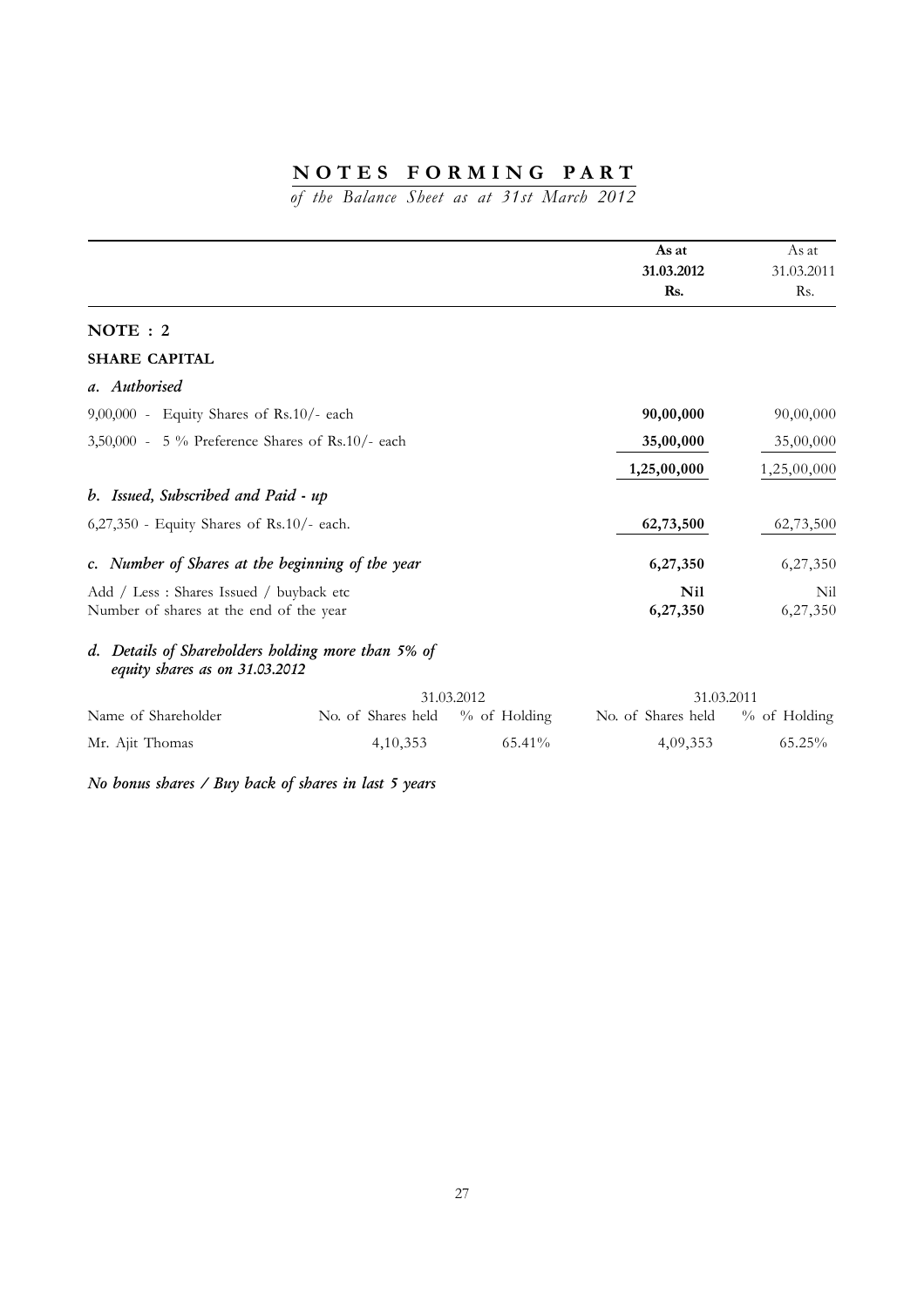*of the Balance Sheet as at 31st March 2012*

|                                                                                      |                                 |            | As at                           | As at       |
|--------------------------------------------------------------------------------------|---------------------------------|------------|---------------------------------|-------------|
|                                                                                      |                                 |            | 31.03.2012                      | 31.03.2011  |
|                                                                                      |                                 |            | Rs.                             | Rs.         |
| NOTE: 2                                                                              |                                 |            |                                 |             |
| <b>SHARE CAPITAL</b>                                                                 |                                 |            |                                 |             |
| a. Authorised                                                                        |                                 |            |                                 |             |
| 9,00,000 - Equity Shares of Rs.10/- each                                             |                                 |            | 90,00,000                       | 90,00,000   |
| 3,50,000 - 5 % Preference Shares of Rs.10/- each                                     |                                 |            | 35,00,000                       | 35,00,000   |
|                                                                                      |                                 |            | 1,25,00,000                     | 1,25,00,000 |
| b. Issued, Subscribed and Paid - up                                                  |                                 |            |                                 |             |
| 6,27,350 - Equity Shares of Rs.10/- each.                                            |                                 |            | 62,73,500                       | 62,73,500   |
| c. Number of Shares at the beginning of the year                                     |                                 |            | 6,27,350                        | 6,27,350    |
| Add / Less : Shares Issued / buyback etc                                             |                                 |            | <b>Nil</b>                      | Nil         |
| Number of shares at the end of the year                                              |                                 |            | 6,27,350                        | 6,27,350    |
| d. Details of Shareholders holding more than 5% of<br>equity shares as on 31.03.2012 |                                 |            |                                 |             |
|                                                                                      |                                 | 31.03.2012 | 31.03.2011                      |             |
| Name of Shareholder                                                                  | No. of Shares held % of Holding |            | No. of Shares held % of Holding |             |
| Mr. Ajit Thomas                                                                      | 4, 10, 353                      | 65.41%     | 4,09,353                        | 65.25%      |

*No bonus shares / Buy back of shares in last 5 years*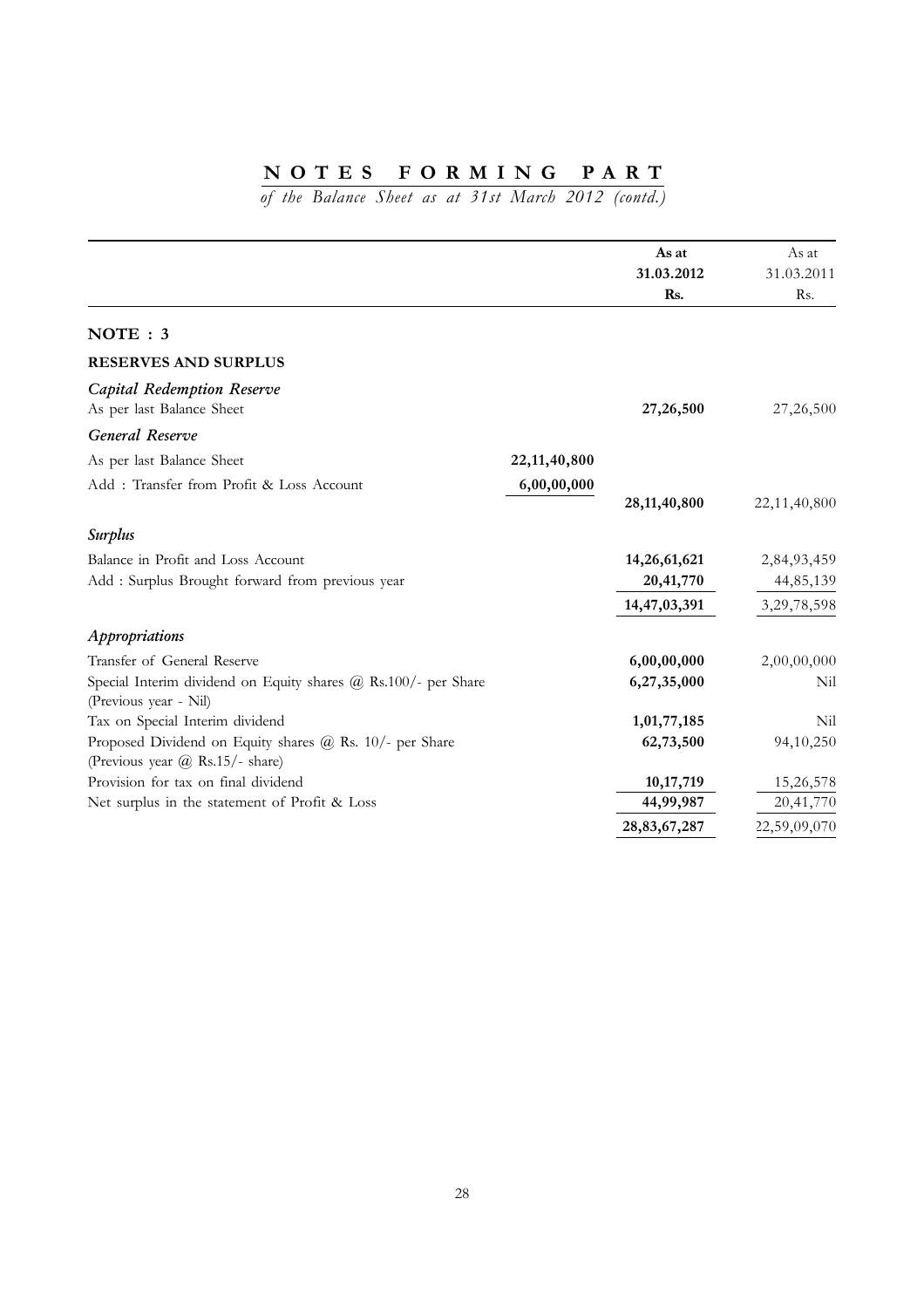|                                                                                            |                 | As at           | As at        |
|--------------------------------------------------------------------------------------------|-----------------|-----------------|--------------|
|                                                                                            |                 | 31.03.2012      | 31.03.2011   |
|                                                                                            |                 | Rs.             | Rs.          |
| NOTE: 3                                                                                    |                 |                 |              |
| <b>RESERVES AND SURPLUS</b>                                                                |                 |                 |              |
| Capital Redemption Reserve<br>As per last Balance Sheet                                    |                 | 27,26,500       | 27,26,500    |
| General Reserve                                                                            |                 |                 |              |
| As per last Balance Sheet                                                                  | 22, 11, 40, 800 |                 |              |
| Add: Transfer from Profit & Loss Account                                                   | 6,00,00,000     |                 |              |
|                                                                                            |                 | 28, 11, 40, 800 | 22,11,40,800 |
| <b>Surplus</b>                                                                             |                 |                 |              |
| Balance in Profit and Loss Account                                                         |                 | 14,26,61,621    | 2,84,93,459  |
| Add : Surplus Brought forward from previous year                                           |                 | 20,41,770       | 44,85,139    |
|                                                                                            |                 | 14,47,03,391    | 3,29,78,598  |
| Appropriations                                                                             |                 |                 |              |
| Transfer of General Reserve                                                                |                 | 6,00,00,000     | 2,00,00,000  |
| Special Interim dividend on Equity shares @ Rs.100/- per Share<br>(Previous year - Nil)    |                 | 6,27,35,000     | Nil          |
| Tax on Special Interim dividend                                                            |                 | 1,01,77,185     | Nil          |
| Proposed Dividend on Equity shares @ Rs. 10/- per Share<br>(Previous year @ Rs.15/- share) |                 | 62,73,500       | 94,10,250    |
| Provision for tax on final dividend                                                        |                 | 10,17,719       | 15,26,578    |
| Net surplus in the statement of Profit & Loss                                              |                 | 44,99,987       | 20,41,770    |
|                                                                                            |                 | 28,83,67,287    | 22,59,09,070 |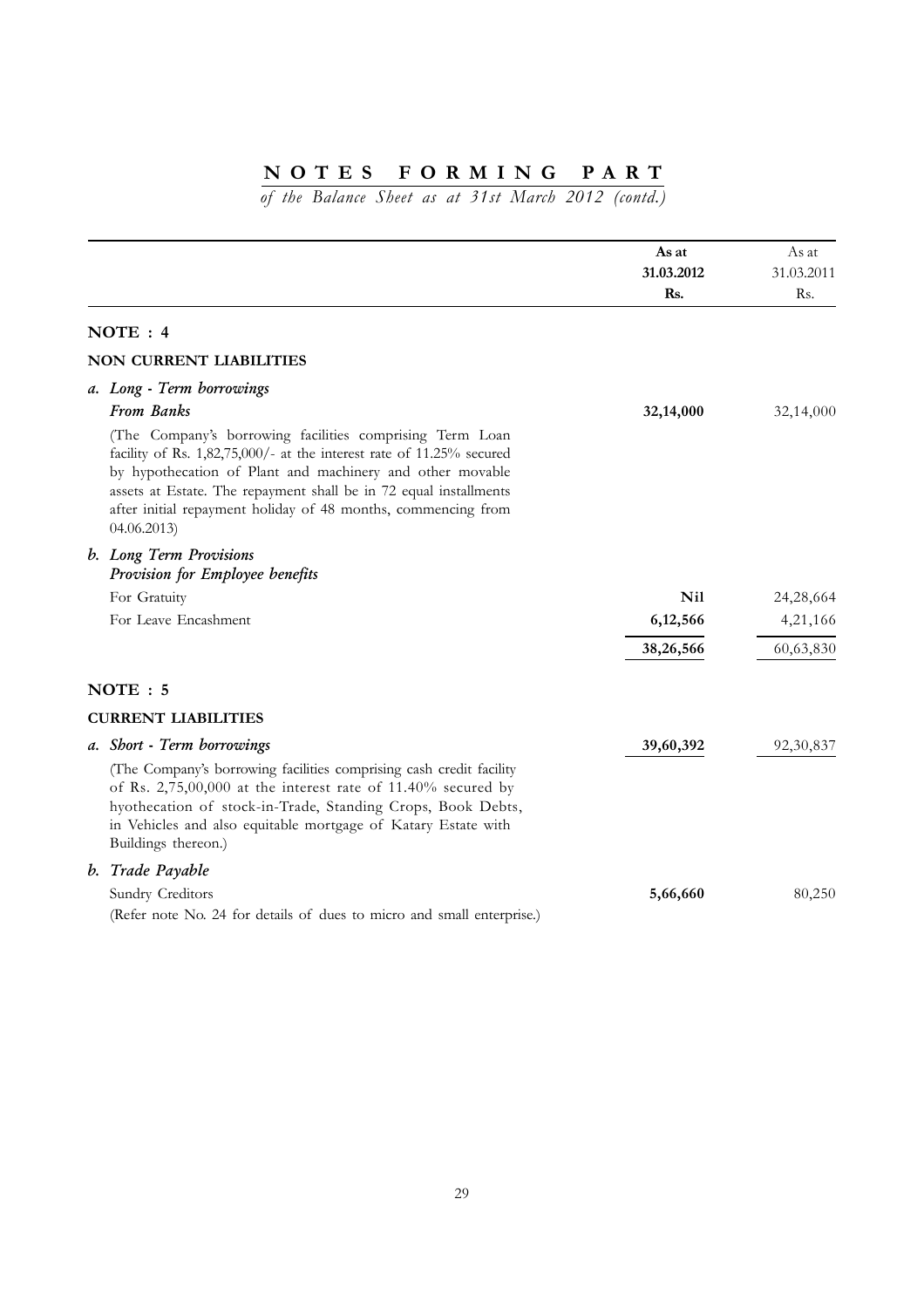|                                                                                                                                                                                                                                                                                                                                                   | As at<br>31.03.2012<br>Rs. | As at<br>31.03.2011<br>Rs. |
|---------------------------------------------------------------------------------------------------------------------------------------------------------------------------------------------------------------------------------------------------------------------------------------------------------------------------------------------------|----------------------------|----------------------------|
| NOTE: 4                                                                                                                                                                                                                                                                                                                                           |                            |                            |
| <b>NON CURRENT LIABILITIES</b>                                                                                                                                                                                                                                                                                                                    |                            |                            |
| a. Long - Term borrowings<br>From Banks                                                                                                                                                                                                                                                                                                           | 32,14,000                  | 32,14,000                  |
| (The Company's borrowing facilities comprising Term Loan<br>facility of Rs. 1,82,75,000/- at the interest rate of 11.25% secured<br>by hypothecation of Plant and machinery and other movable<br>assets at Estate. The repayment shall be in 72 equal installments<br>after initial repayment holiday of 48 months, commencing from<br>04.06.2013 |                            |                            |
| b. Long Term Provisions<br>Provision for Employee benefits                                                                                                                                                                                                                                                                                        |                            |                            |
| For Gratuity                                                                                                                                                                                                                                                                                                                                      | <b>Nil</b>                 | 24,28,664                  |
| For Leave Encashment                                                                                                                                                                                                                                                                                                                              | 6,12,566                   | 4,21,166                   |
|                                                                                                                                                                                                                                                                                                                                                   | 38,26,566                  | 60,63,830                  |
| NOTE: 5                                                                                                                                                                                                                                                                                                                                           |                            |                            |
| <b>CURRENT LIABILITIES</b>                                                                                                                                                                                                                                                                                                                        |                            |                            |
| a. Short - Term borrowings                                                                                                                                                                                                                                                                                                                        | 39,60,392                  | 92, 30, 837                |
| (The Company's borrowing facilities comprising cash credit facility<br>of Rs. 2,75,00,000 at the interest rate of 11.40% secured by<br>hyothecation of stock-in-Trade, Standing Crops, Book Debts,<br>in Vehicles and also equitable mortgage of Katary Estate with<br>Buildings thereon.)                                                        |                            |                            |
| b. Trade Payable                                                                                                                                                                                                                                                                                                                                  |                            |                            |
| Sundry Creditors<br>(Refer note No. 24 for details of dues to micro and small enterprise.)                                                                                                                                                                                                                                                        | 5,66,660                   | 80,250                     |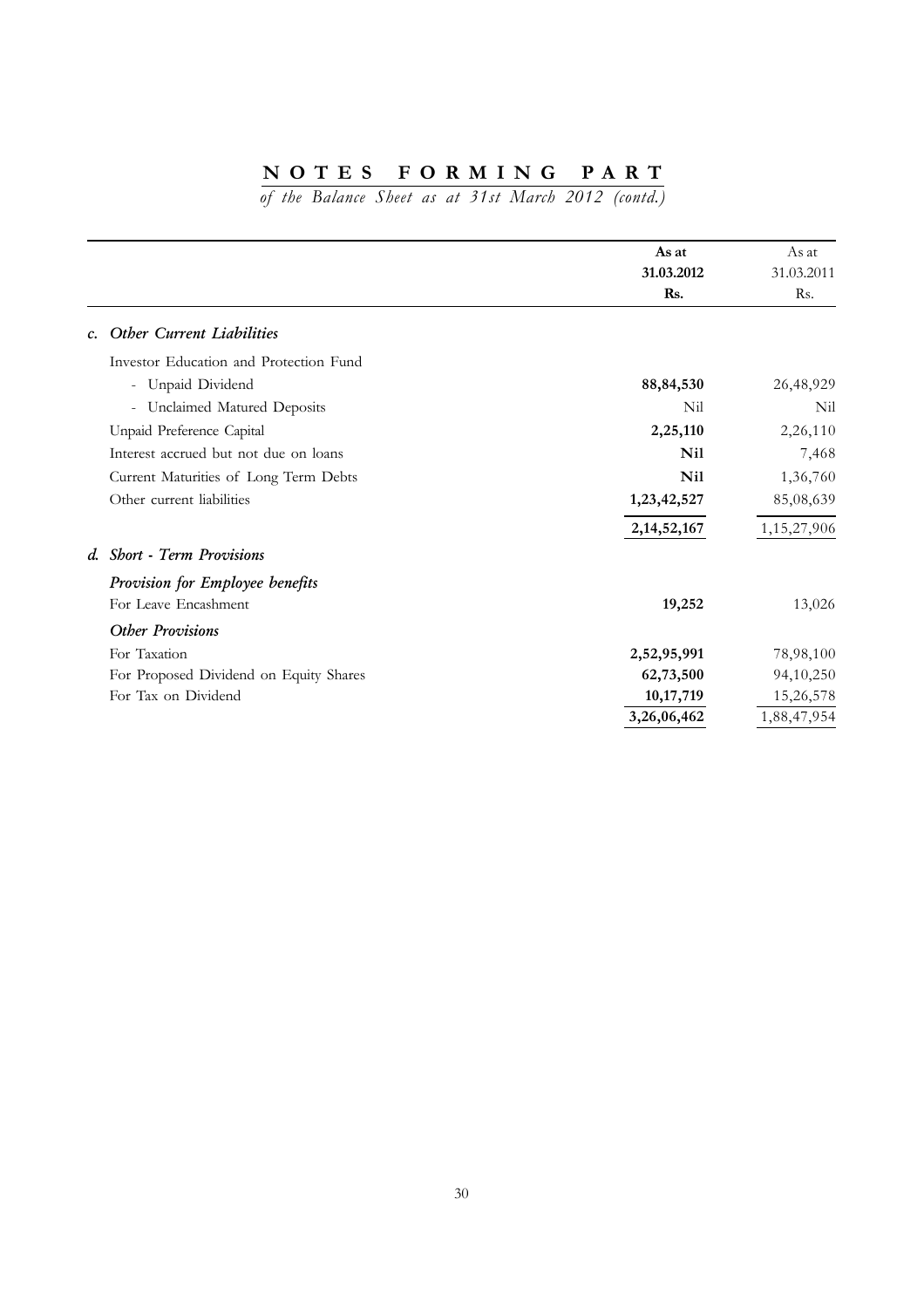|                                        | As at<br>31.03.2012 | As at<br>31.03.2011 |
|----------------------------------------|---------------------|---------------------|
|                                        | Rs.                 | Rs.                 |
| c. Other Current Liabilities           |                     |                     |
| Investor Education and Protection Fund |                     |                     |
| - Unpaid Dividend                      | 88, 84, 530         | 26,48,929           |
| - Unclaimed Matured Deposits           | Nil                 | Nil                 |
| Unpaid Preference Capital              | 2,25,110            | 2,26,110            |
| Interest accrued but not due on loans  | <b>Nil</b>          | 7,468               |
| Current Maturities of Long Term Debts  | <b>Nil</b>          | 1,36,760            |
| Other current liabilities              | 1,23,42,527         | 85,08,639           |
|                                        | 2, 14, 52, 167      | 1,15,27,906         |
| d. Short - Term Provisions             |                     |                     |
| Provision for Employee benefits        |                     |                     |
| For Leave Encashment                   | 19,252              | 13,026              |
| <b>Other Provisions</b>                |                     |                     |
| For Taxation                           | 2,52,95,991         | 78,98,100           |
| For Proposed Dividend on Equity Shares | 62,73,500           | 94,10,250           |
| For Tax on Dividend                    | 10, 17, 719         | 15,26,578           |
|                                        | 3,26,06,462         | 1,88,47,954         |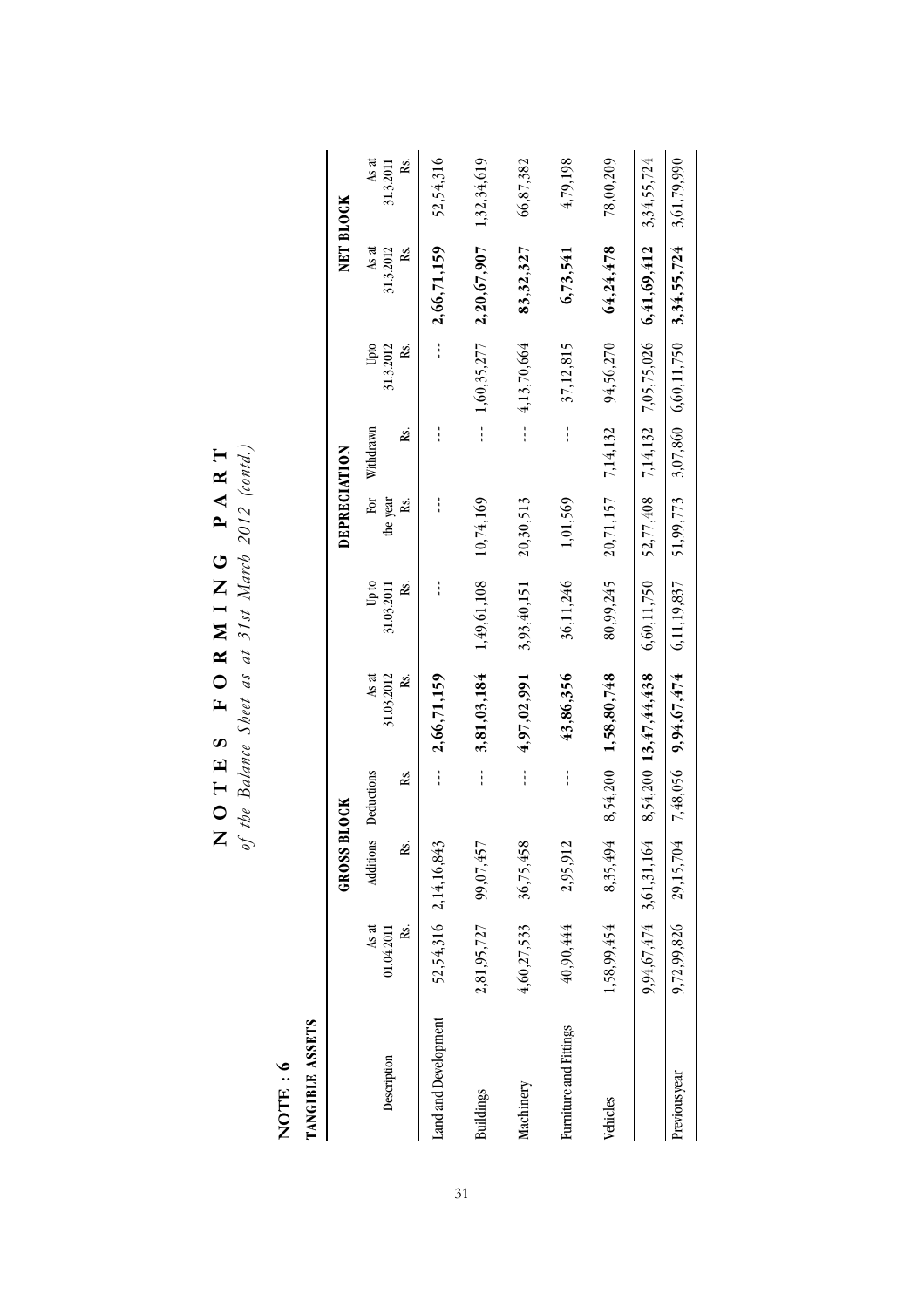$\frac{\mathbf{N} \mathbf{O} \mathbf{T} \mathbf{E} \mathbf{S}}{g f h b e} \frac{\mathbf{F} \mathbf{O} \mathbf{R} \mathbf{M} \mathbf{I} \mathbf{N} \mathbf{G} \mathbf{P} \mathbf{A} \mathbf{R} \mathbf{T}}{g f h b e} \frac{\mathbf{F} \mathbf{O} \mathbf{M} \mathbf{M} \mathbf{M} \mathbf{M} \mathbf{S}}{g h e t a s a t } \frac{\partial \mathbf{M} \mathbf{M} \mathbf{M} \mathbf{S}}{g h t a t b} \frac{\partial \mathbf{D} \mathbf{S}}{2$ **NOTES FORMING PART**

*of the Balance Sheet as at 31st March 2012 (contd.)*

 $NOTE: 6$ **NOTE : 6**

TANGIBLE ASSETS<br>TANGIBLE ASSETS **TANGIBLE ASSETS**

|                        |                     | GROSS <sub>1</sub>      | BLOCK      |                            |                     | DEPRECIATION         |           |                   |                                                        | NET BLOCK          |
|------------------------|---------------------|-------------------------|------------|----------------------------|---------------------|----------------------|-----------|-------------------|--------------------------------------------------------|--------------------|
| Description            | As at<br>01.04.2011 | Additions               | Deductions | 31.03.2012<br>As at        | Up to<br>31.03.2011 | For<br>the year      | Withdrawn | 31.3.2012<br>Upto | As at<br>31.3.2012                                     | As at<br>31.3.2011 |
|                        | ŘS.                 | Řs.                     | Ŗs.        | Rs.                        | ż.                  | ŘS.                  | Rs.       | Ř.                | ż                                                      | Ř.                 |
| Land and Development   |                     | 52,54,316 2,14,16,843   | ł          | 2,66,71,159                |                     |                      |           |                   | 2,66,71,159                                            | 52,54,316          |
| <b>Buildings</b>       | 2,81,95,727         | 99,07,457               | ł          | 3,81,03,184                | 1,49,61,108         | 10,74,169            | ł         | 1,60,35,277       | 2,20,67,907                                            | 1,32,34,619        |
| Machinery              | 4,60,27,533         | 36,75,458               | ł          | 4,97,02,991                | 3,93,40,151         | 20,30,513            |           | $-4,13,70,664$    | 83,32,327                                              | 66,87,382          |
| Furniture and Fittings | 40,90,444           | 2,95,912                | i          | 43,86,356                  | 36,11,246           | 1,01,569             |           | 37,12,815         | 6,73,541                                               | 4,79,198           |
| Vehicles               | 1,58,99,454         | 8,35,494                |            | $8,54,200$ 1,58,80,748     | 80,99,245           | $20,71,157$ 7,14,132 |           | 94,56,270         | 64,24,478                                              | 78,00,209          |
|                        |                     | 9,94,67,474 3,61,31,164 |            | $8,54,200$ 13, $47,44,438$ | 6,60,11,750         |                      |           |                   | 52,77,408 7,14,132 7,05,75,026 6,41,69,412 3,34,55,724 |                    |
| Previous year          |                     | 9,72,99,826 29,15,704   |            | $7,48,056$ 9,94,67,474     | 6,11,19,837         |                      |           |                   | 51,99,773 3,07,860 6,60,11,750 3,34,55,724 3,61,79,990 |                    |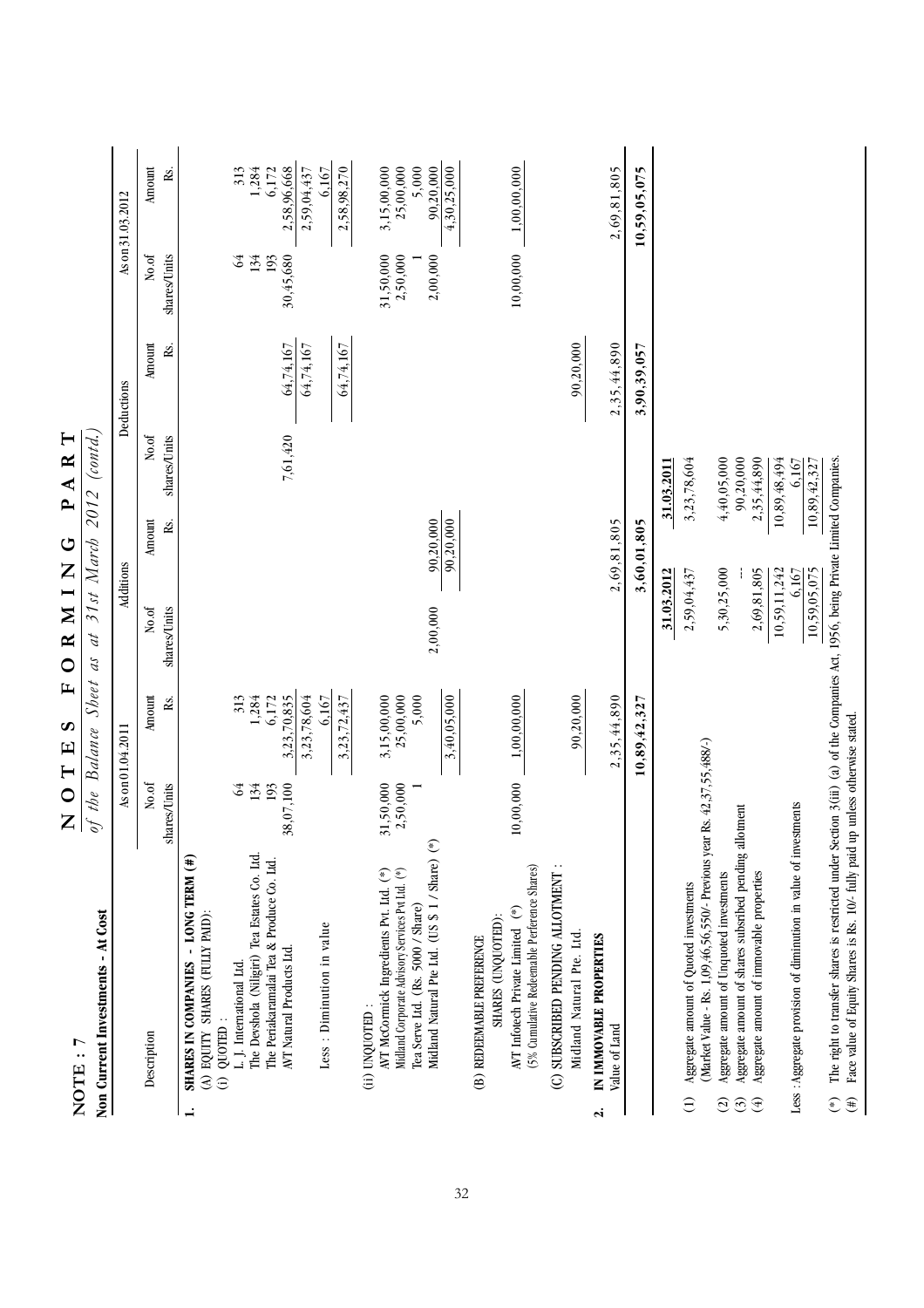|                            | NOTE:7                                                                                                                           | $\vdash$<br>$\circ$<br>Z | $\mathbf{L}$<br>S<br>$\mathbf{E}$ | Z<br>$\mathbf{z}$<br>$\mathbf{\underline{\alpha}}$<br>C | $\mathbf{p}$<br>$\circ$ | $R$ T<br>$\blacktriangleleft$ |               |                       |                    |
|----------------------------|----------------------------------------------------------------------------------------------------------------------------------|--------------------------|-----------------------------------|---------------------------------------------------------|-------------------------|-------------------------------|---------------|-----------------------|--------------------|
|                            | Non Current Investments - At Cost                                                                                                | of the Balance           | Sheet                             | 31st March<br>аt<br>$\mathcal{U}$                       | 2012                    | (contd.)                      |               |                       |                    |
|                            |                                                                                                                                  |                          | As on 01.04.2011                  | Additions                                               |                         |                               | Deductions    |                       | As on 31.03.2012   |
|                            | Description                                                                                                                      | No.of<br>shares/Units    | Amount<br>Rs.                     | No.of<br>shares/Units                                   | Amount<br>Rs.           | No.of<br>shares/Units         | Amount<br>Rs. | No.of<br>shares/Units | Amount<br>Rs.      |
|                            | SHARES IN COMPANIES - LONG TERM (#)<br>(A) EQUITY SHARES (FULLY PAID):                                                           |                          |                                   |                                                         |                         |                               |               |                       |                    |
|                            | $(i)$ QUOTED:                                                                                                                    |                          |                                   |                                                         |                         |                               |               |                       |                    |
|                            | L. J. International Ltd.                                                                                                         | 64                       | 313                               |                                                         |                         |                               |               | $\Im$                 | 313                |
|                            | The Devshola (Niligiri) Tea Estates Co. Ltd.                                                                                     | 134<br>193               | 1,284<br>6,172                    |                                                         |                         |                               |               | 134<br>193            | 1,284<br>6,172     |
|                            | The Periakaramalai Tea & Produce Co. Ltd.<br>AVT Natural Products Ltd.                                                           | 38,07,100                | 3,23,70,835                       |                                                         |                         | 7,61,420                      | 64,74,167     | 30,45,680             | 2,58,96,668        |
|                            |                                                                                                                                  |                          | 3,23,78,604                       |                                                         |                         |                               | 64,74,167     |                       | 2,59,04,437        |
|                            | Less : Diminution in value                                                                                                       |                          | 6.167                             |                                                         |                         |                               |               |                       | 6.167              |
|                            |                                                                                                                                  |                          | 3,23,72,437                       |                                                         |                         |                               | 64,74,167     |                       | 2,58,98,270        |
|                            | (ii) UNQUOTED:                                                                                                                   |                          |                                   |                                                         |                         |                               |               |                       |                    |
|                            | AVT McCormick Ingredients Pvt. Ltd. (*)                                                                                          | 31,50,000                | 3,15,00,000                       |                                                         |                         |                               |               | 31,50,000             | 3,15,00,000        |
|                            | Midland Corporate Advisory Services Pvt Ltd. (*)                                                                                 | 2,50,000                 | 25,00,000                         |                                                         |                         |                               |               | 2,50,000              | 25,00,000          |
|                            | Midland Natural Pte Ltd. (US \$ 1 / Share) (*)<br>Tea Serve Ltd. (Rs. 5000 / Share)                                              |                          | 5,000                             | 2,00,000                                                | 90,20,000               |                               |               | 2,00,000              | 5,000<br>90,20,000 |
|                            |                                                                                                                                  |                          | 3,40,05,000                       |                                                         | 90,20,000               |                               |               |                       | 4,30,25,000        |
|                            | SHARES (UNQUOTED):<br>(B) REDEEMABLE PREFERENCE                                                                                  |                          |                                   |                                                         |                         |                               |               |                       |                    |
|                            | (5% Cumulative Redeemable Perference Shares)<br>AVT Infotech Private Limited (*)                                                 | 10,00,000                | 1,00,00,000                       |                                                         |                         |                               |               | 10,00,000             | 1,00,00,000        |
|                            | (C) SUBSCRIBED PENDING ALLOTMENT :                                                                                               |                          |                                   |                                                         |                         |                               |               |                       |                    |
|                            | Midland Natural Pte. Ltd.                                                                                                        |                          | 90,20,000                         |                                                         |                         |                               | 90,20,000     |                       |                    |
| $\dot{\mathbf{z}}$         | IN IMMOVABLE PROPERTIES<br>Value of Land                                                                                         |                          | 2,35,44,890                       |                                                         | 2,69,81,805             |                               | 2,35,44,890   |                       | 2,69,81,805        |
|                            |                                                                                                                                  |                          | 10,89,42,32                       |                                                         | 3,60,01,805             |                               | 3,90,39,057   |                       | S<br>10,59,05,07   |
|                            |                                                                                                                                  |                          |                                   | 31.03.2012                                              |                         | 31.03.2011                    |               |                       |                    |
| Ξ                          | Aggregate amount of Quoted investments                                                                                           |                          |                                   | 2,59,04,437                                             |                         | 3,23,78,604                   |               |                       |                    |
| $\widehat{c}$              | (Market Value - Rs. 1,09,46,56,550/- Previous year<br>Aggregate amount of Unquoted investments                                   | Rs. 42,37,55,488/-)      |                                   | 5,30,25,000                                             |                         | 4,40,05,000                   |               |                       |                    |
| $\odot$                    | Aggregate amount of shares subsribed pending allotment                                                                           |                          |                                   |                                                         |                         | 90,20,000                     |               |                       |                    |
| $\textcircled{\texttt{f}}$ | Aggregate amount of immovable properties                                                                                         |                          |                                   | 2,69,81,805                                             |                         | 2,35,44,890                   |               |                       |                    |
|                            |                                                                                                                                  |                          |                                   | 10,59,11,242                                            |                         | 10,89,48,494                  |               |                       |                    |
|                            | Less : Aggregate provision of diminution in value of investments                                                                 |                          |                                   | 6,167<br>10,59,05,075                                   |                         | 6,167<br>10,89,42,327         |               |                       |                    |
| $(*)$                      | The right to transfer shares is restricted under Section 3(iii) (a) of the Companies Act, 1956, being Private Limited Companies. |                          |                                   |                                                         |                         |                               |               |                       |                    |
| $(\ddot{t})$               | Face value of Equity Shares is Rs. 10/- fully paid up unless otherwise stated.                                                   |                          |                                   |                                                         |                         |                               |               |                       |                    |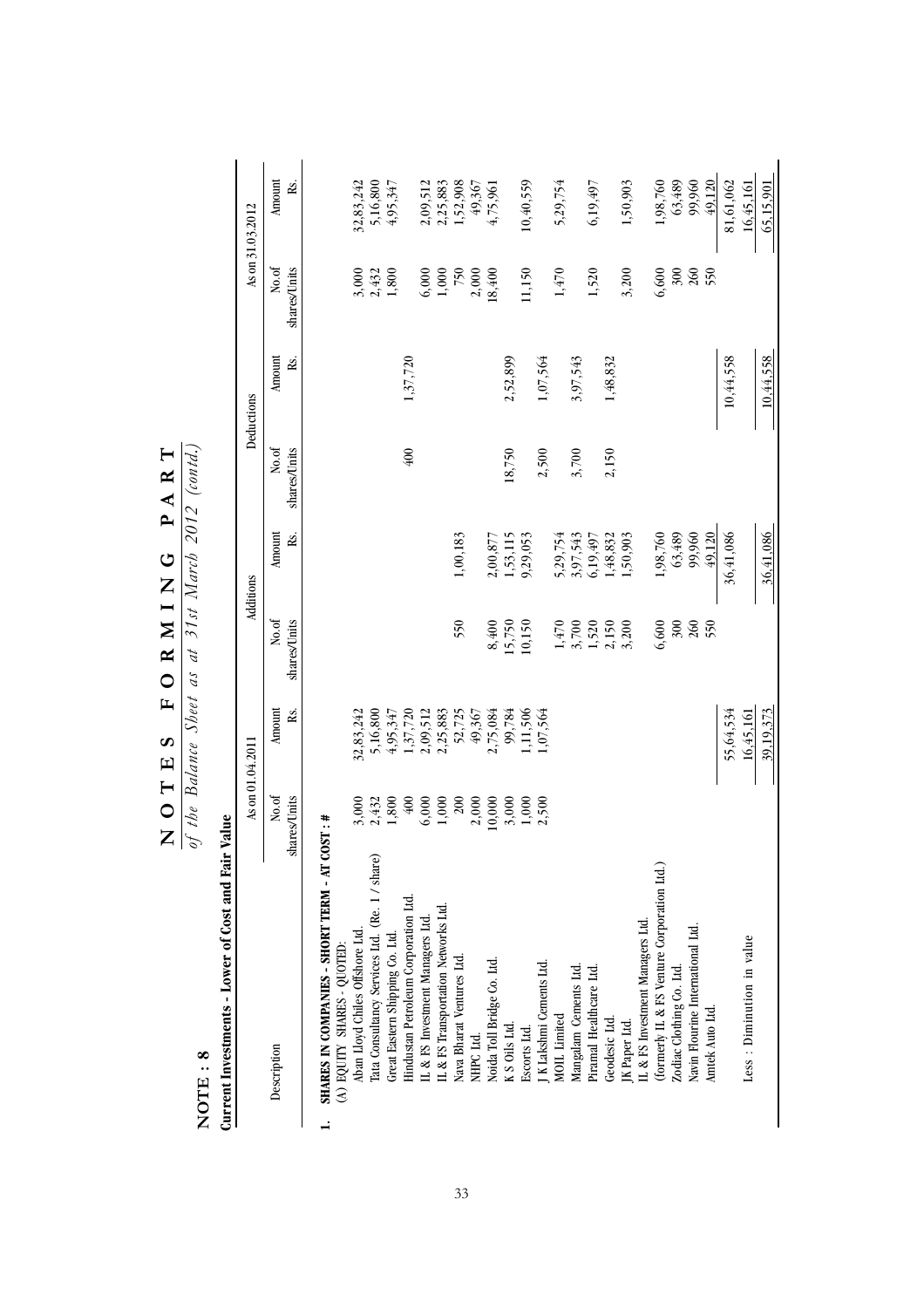| NOTE:8                                             |                       |                  | of the Balance Sheet as at 21st Indren 2012 (conta.) |               |                       |               |                       |                           |
|----------------------------------------------------|-----------------------|------------------|------------------------------------------------------|---------------|-----------------------|---------------|-----------------------|---------------------------|
| Current Investments - Lower of Cost and Fair Value |                       |                  |                                                      |               |                       |               |                       |                           |
|                                                    |                       | As on 01.04.2011 |                                                      | Additions     |                       | Deductions    |                       | As on 31.03.2012          |
| T<br>Description                                   | No.of<br>shares/Units | Amount<br>Rs.    | No.of<br>shares/Units                                | Amount<br>Rs. | shares/Units<br>No.of | Amount<br>Rs. | No.of<br>shares/Units | Amount<br>Rs.             |
| SHARES IN COMPANIES - SHORT TERM - AT COST : #     |                       |                  |                                                      |               |                       |               |                       |                           |
| (A) EQUITY SHARES - QUOTED:                        |                       |                  |                                                      |               |                       |               |                       |                           |
| Aban Lloyd Chiles Offshore Ltd.                    |                       | 32,83,242        |                                                      |               |                       |               | 3,000                 |                           |
| Tata Consultancy Services Ltd. (Re. 1 / share)     | $3,000$<br>$2,432$    | 5,16,800         |                                                      |               |                       |               | 2,432                 | $32,83,242$<br>5, 16, 800 |
| Great Eastern Shipping Co. Ltd                     | 1,800                 | 4,95,347         |                                                      |               |                       |               | 1,800                 | 4,95,347                  |
| Hindustan Petroleum Corporation Ltd.               | $\frac{400}{5}$       | 1,37,720         |                                                      |               | 400                   | 1,37,720      |                       |                           |
| IL & FS Investment Managers Ltd.                   | 6,000                 | 2,09,512         |                                                      |               |                       |               | 6,000                 | 2,09,512                  |
| IL & FS Transportation Networks Ltd.               | 1,000                 | 2,25,883         |                                                      |               |                       |               | 1,000                 | 2,25,883                  |
| Nava Bharat Ventures Ltd.                          | $200\,$               | 52,725           | 550                                                  | $1,00,183$    |                       |               | 750                   | 1,52,908                  |
| NHPC Ltd.                                          | 2,000                 | 49,367           |                                                      |               |                       |               | 2,000                 | 49,367                    |
| Noida Toll Bridge Co. Ltd.                         | 10,000                | 2,75,084         | 8,400                                                | 2,00,877      |                       |               | 18,400                | 4,75,961                  |
| K S Oils Ltd.                                      | 3,000                 | 99,784           | 15,750                                               | 1,53,115      | 18,750                | 2,52,899      |                       |                           |
| Escorts Ltd.                                       | 1,000                 | 1,11,506         | 10,150                                               | 9,29,053      |                       |               | 11,150                | 10,40,559                 |
| J K Lakshmi Cements Ltd.                           | 2,500                 | 1,07,564         |                                                      |               | 2,500                 | 1,07,564      |                       |                           |
| <b>MOIL</b> Limited                                |                       |                  |                                                      | 5,29,754      |                       |               | 1,470                 | 5,29,754                  |
| Mangalam Cements Ltd.                              |                       |                  | $1,470$<br>$3,700$<br>$1,520$<br>$2,150$<br>$3,200$  | 3,97,543      | 3,700                 | 3,97,543      |                       |                           |
| Piramal Healthcare Ltd.                            |                       |                  |                                                      | 6,19,497      |                       |               | 1,520                 | 6, 19, 497                |
| Geodesic Ltd.                                      |                       |                  |                                                      | 1,48,832      | 2,150                 | 1,48,832      |                       |                           |
| JK Paper Ltd.                                      |                       |                  |                                                      | 1,50,903      |                       |               | 3,200                 | 1,50,903                  |
| IL & FS Investment Managers Ltd.                   |                       |                  |                                                      |               |                       |               |                       |                           |
| (formerly IL & FS Venture Corporation Ltd.)        |                       |                  | 6,600                                                | 1,98,760      |                       |               | 6,600                 | 1,98,760                  |
| Zodiac Clothing Co. Ltd.                           |                       |                  | 300                                                  | 63,489        |                       |               |                       | 63,489                    |
| Navin Flourine International Ltd.                  |                       |                  | $260\,$                                              | 99,960        |                       |               | $\frac{300}{260}$     | 99,960                    |
| Amtek Auto Ltd.                                    |                       |                  | 550                                                  | 49,120        |                       |               | 550                   | 49,120                    |
|                                                    |                       | 55,64,534        |                                                      | 36,41,086     |                       | 10,44,558     |                       | 81,61,062                 |
| Less : Diminution in value                         |                       | 16,45,161        |                                                      |               |                       |               |                       | 16.45.161                 |
|                                                    |                       | 39,19,373        |                                                      | 36,41,086     |                       | 10,44,558     |                       | 65,15,901                 |

 $\frac{N}{\omega f}$   $\frac{N}{\omega h}$   $\frac{N}{B}$   $\frac{N}{B}$   $\frac{N}{B}$   $\frac{N}{B}$   $\frac{N}{B}$   $\frac{N}{B}$   $\frac{N}{B}$   $\frac{N}{B}$   $\frac{N}{B}$   $\frac{N}{B}$   $\frac{N}{B}$   $\frac{N}{B}$   $\frac{N}{B}$   $\frac{N}{B}$   $\frac{N}{B}$   $\frac{N}{B}$   $\frac{N}{B}$   $\frac{N}{B}$   $\frac{N}{B}$   $\frac{N}{B$ **NOTES FORMING PART**

*of the Balance Sheet as at 31st March 2012 (contd.)*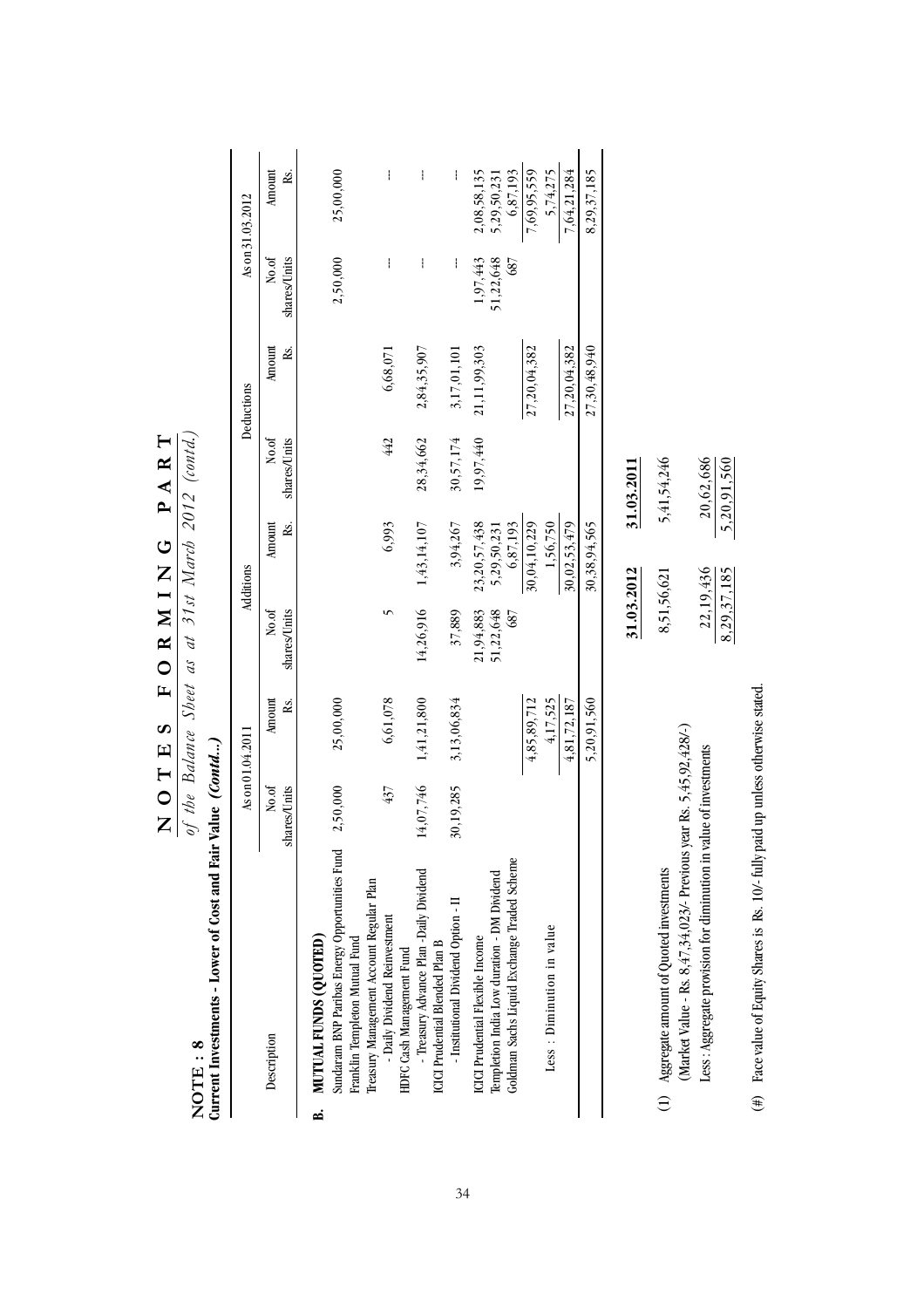|    |                                                                                                                                         |                       | As on 01.04.2011        |                               | Additions                               |                          | Deductions    |                              | As on 31.03.2012                       |
|----|-----------------------------------------------------------------------------------------------------------------------------------------|-----------------------|-------------------------|-------------------------------|-----------------------------------------|--------------------------|---------------|------------------------------|----------------------------------------|
|    | $\mathsf{I}$<br>Description                                                                                                             | No.of<br>shares/Units | Amount<br>Rs.           | No.of<br>shares/Units         | Amount<br>Rs.                           | shares/Units<br>No.of    | Amount<br>Rs. | No.of<br>shares/Units        | Amount<br>Rs.                          |
| ۵á | Sundaram BNP Paribas Energy Opportunities Fund<br><b>MUTUAL FUNDS (QUOTED)</b>                                                          | 2,50,000              | 25,00,000               |                               |                                         |                          |               | 2,50,000                     | 25,00,000                              |
|    | Franklin Templeton Mutual Fund                                                                                                          |                       |                         |                               |                                         |                          |               |                              |                                        |
|    | Treasury Management Account Regular Plan<br>- Daily Dividend Reinvestment                                                               | 437                   | 6,61,078                | 5                             | 6,993                                   | 442                      | 6,68,071      | ł                            | ł                                      |
|    | - Treasury Advance Plan -Daily Dividend<br>ICICI Prudential Blended Plan B<br>HDFC Cash Management Fund                                 | 14,07,746             | 1,41,21,800             | 14,26,916                     | 1,43,14,107                             | 28,34,662                | 2,84,35,907   | ł                            | ł                                      |
|    | Institutional Dividend Option - II                                                                                                      | 30,19,285             | 3,13,06,834             | 37,889                        | 3,94,267                                | 30,57,174                | 3,17,01,101   | ł                            |                                        |
|    | Goldman Sachs Liquid Exchange Traded Scheme<br>Templetion India Low duration - DM Dividend<br>ICICI Prudential Flexible Income          |                       |                         | 51,22,648<br>21,94,883<br>687 | 23,20,57,438<br>6,87,193<br>5,29,50,231 | 19,97,440                | 21,11,99,303  | 51,22,648<br>1,97,443<br>687 | 2,08,58,135<br>6,87,193<br>5,29,50,231 |
|    |                                                                                                                                         |                       | 4,85,89,712             |                               | 30,04,10,229                            |                          | 27,20,04,382  |                              | 7,69,95,559                            |
|    | Less : Diminution in value                                                                                                              |                       | 4,17,525<br>4,81,72,187 |                               | 1,56,750<br>30,02,53,479                |                          | 27,20,04,382  |                              | 5,74,275<br>7,64,21,284                |
|    |                                                                                                                                         |                       | 5,20,91,560             |                               | 30,38,94,565                            |                          | 27,30,48,940  |                              | 8,29,37,185                            |
|    |                                                                                                                                         |                       |                         | 31.03.2012                    |                                         | 31.03.2011               |               |                              |                                        |
|    | (1) Aggregate amount of Quoted investments                                                                                              |                       |                         | 8,51,56,621                   |                                         | 5,41,54,246              |               |                              |                                        |
|    | (Market Value - Rs. 8,47,34,023/- Previous year Rs. 5,45,92,428/-)<br>Less : Aggregate provision for diminution in value of investments |                       |                         | 8,29,37,185                   | 22,19,436                               | 20,62,686<br>5,20,91,560 |               |                              |                                        |

(#) Face value of Equity Shares is Rs. 10/- fully paid up unless otherwise stated.

(#) Face value of Equity Shares is Rs. 10/- fully paid up unless otherwise stated.

 $\frac{\mathbf{N} \cdot \mathbf{O} \cdot \mathbf{T} \cdot \mathbf{E} \cdot \mathbf{S}}{\mathbf{O} \cdot \mathbf{E} \cdot \mathbf{B} \cdot \mathbf{C} \cdot \mathbf{C} \cdot \mathbf{D} \cdot \mathbf{A} \cdot \mathbf{C}} \cdot \frac{\mathbf{F} \cdot \mathbf{O} \cdot \mathbf{R} \cdot \mathbf{M} \cdot \mathbf{I} \cdot \mathbf{N} \cdot \mathbf{G} \cdot \mathbf{D} \cdot \mathbf{A} \cdot \mathbf{R} \cdot \mathbf{T}}{\mathbf{O} \cdot \mathbf{D} \cdot \mathbf{D} \cdot \mathbf{D}$ **NOTES FORMING PART**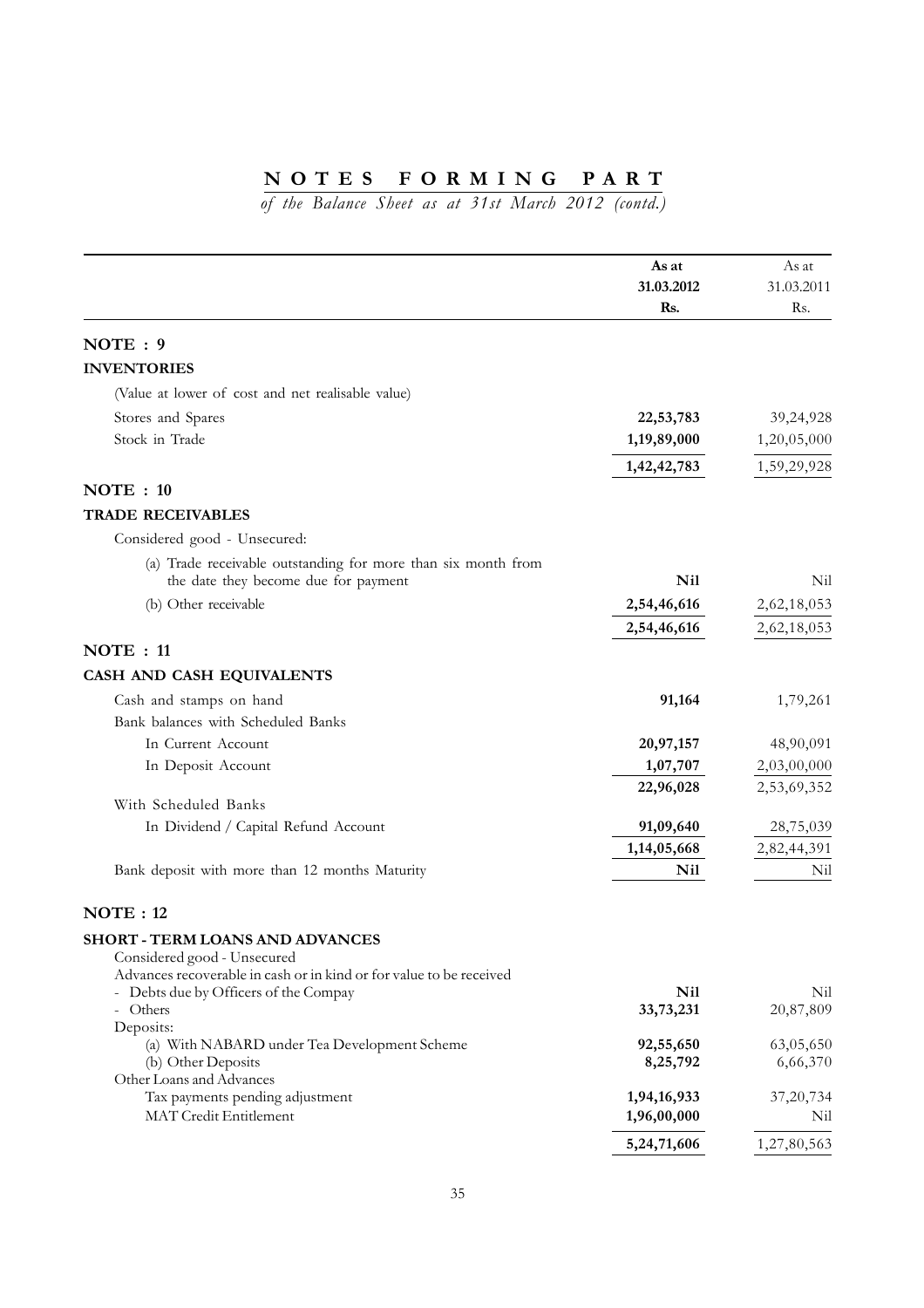|                                                                                                                                       | As at<br>31.03.2012<br>Rs. | As at<br>31.03.2011<br>Rs. |
|---------------------------------------------------------------------------------------------------------------------------------------|----------------------------|----------------------------|
| NOTE: 9                                                                                                                               |                            |                            |
| <b>INVENTORIES</b>                                                                                                                    |                            |                            |
| (Value at lower of cost and net realisable value)                                                                                     |                            |                            |
| Stores and Spares                                                                                                                     | 22,53,783                  | 39,24,928                  |
| Stock in Trade                                                                                                                        | 1,19,89,000                | 1,20,05,000                |
|                                                                                                                                       | 1,42,42,783                | 1,59,29,928                |
| NOTE : 10                                                                                                                             |                            |                            |
| <b>TRADE RECEIVABLES</b>                                                                                                              |                            |                            |
| Considered good - Unsecured:                                                                                                          |                            |                            |
| (a) Trade receivable outstanding for more than six month from                                                                         |                            |                            |
| the date they become due for payment                                                                                                  | <b>Nil</b>                 | Nil                        |
| (b) Other receivable                                                                                                                  | 2,54,46,616                | 2,62,18,053                |
|                                                                                                                                       | 2,54,46,616                | 2,62,18,053                |
| <b>NOTE</b> : 11                                                                                                                      |                            |                            |
| CASH AND CASH EQUIVALENTS                                                                                                             |                            |                            |
| Cash and stamps on hand                                                                                                               | 91,164                     | 1,79,261                   |
| Bank balances with Scheduled Banks                                                                                                    |                            |                            |
| In Current Account                                                                                                                    | 20,97,157                  | 48,90,091                  |
| In Deposit Account                                                                                                                    | 1,07,707<br>22,96,028      | 2,03,00,000<br>2,53,69,352 |
| With Scheduled Banks                                                                                                                  |                            |                            |
| In Dividend / Capital Refund Account                                                                                                  | 91,09,640                  | 28,75,039                  |
|                                                                                                                                       | 1,14,05,668                | 2,82,44,391                |
| Bank deposit with more than 12 months Maturity                                                                                        | Nil                        | Nil                        |
| <b>NOTE: 12</b>                                                                                                                       |                            |                            |
| SHORT - TERM LOANS AND ADVANCES<br>Considered good - Unsecured<br>Advances recoverable in cash or in kind or for value to be received |                            |                            |
| - Debts due by Officers of the Compay                                                                                                 | <b>Nil</b>                 | Nil                        |
| Others<br>$\overline{\phantom{a}}$                                                                                                    | 33,73,231                  | 20,87,809                  |
| Deposits:<br>(a) With NABARD under Tea Development Scheme                                                                             | 92,55,650                  | 63,05,650                  |
| (b) Other Deposits                                                                                                                    | 8,25,792                   | 6,66,370                   |
| Other Loans and Advances<br>Tax payments pending adjustment                                                                           | 1,94,16,933                | 37,20,734                  |
| MAT Credit Entitlement                                                                                                                | 1,96,00,000                | Nil                        |
|                                                                                                                                       | 5,24,71,606                | 1,27,80,563                |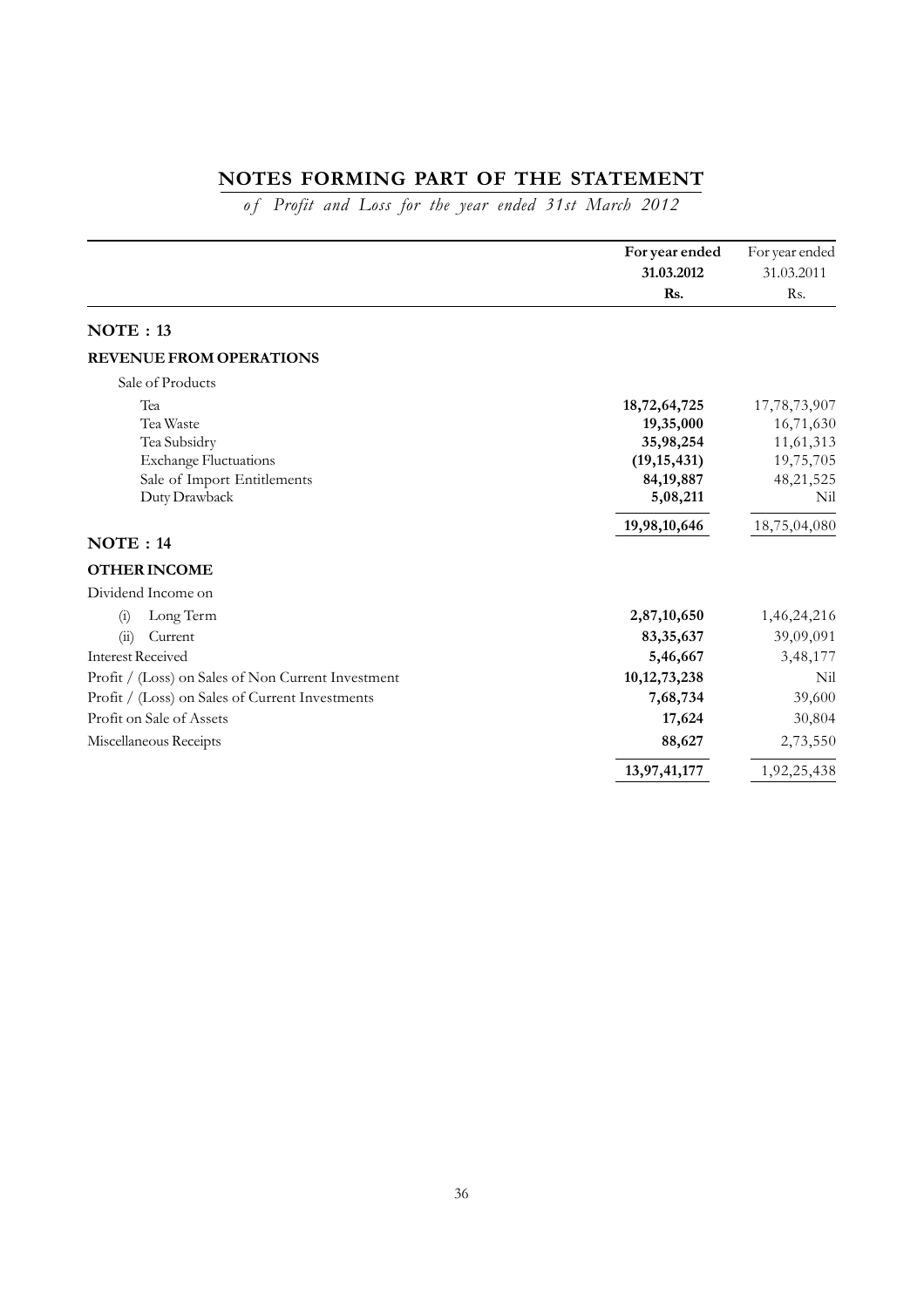# **NOTES FORMING PART OF THE STATEMENT**

*o f Profit and Loss for the year ended 31st March 2012*

|                                                                                                                  | For year ended<br>31.03.2012                                                       | For year ended<br>31.03.2011                                            |
|------------------------------------------------------------------------------------------------------------------|------------------------------------------------------------------------------------|-------------------------------------------------------------------------|
|                                                                                                                  | Rs.                                                                                | Rs.                                                                     |
| <b>NOTE: 13</b>                                                                                                  |                                                                                    |                                                                         |
| <b>REVENUE FROM OPERATIONS</b>                                                                                   |                                                                                    |                                                                         |
| Sale of Products                                                                                                 |                                                                                    |                                                                         |
| Tea<br>Tea Waste<br>Tea Subsidry<br><b>Exchange Fluctuations</b><br>Sale of Import Entitlements<br>Duty Drawback | 18,72,64,725<br>19,35,000<br>35,98,254<br>(19, 15, 431)<br>84, 19, 887<br>5,08,211 | 17,78,73,907<br>16,71,630<br>11,61,313<br>19,75,705<br>48,21,525<br>Nil |
|                                                                                                                  | 19,98,10,646                                                                       | 18,75,04,080                                                            |
| NOTE : 14                                                                                                        |                                                                                    |                                                                         |
| <b>OTHER INCOME</b>                                                                                              |                                                                                    |                                                                         |
| Dividend Income on                                                                                               |                                                                                    |                                                                         |
| Long Term<br>(i)                                                                                                 | 2,87,10,650                                                                        | 1,46,24,216                                                             |
| (ii)<br>Current                                                                                                  | 83, 35, 637                                                                        | 39,09,091                                                               |
| <b>Interest Received</b>                                                                                         | 5,46,667                                                                           | 3,48,177                                                                |
| Profit / (Loss) on Sales of Non Current Investment                                                               | 10, 12, 73, 238                                                                    | Nil                                                                     |
| Profit / (Loss) on Sales of Current Investments                                                                  | 7,68,734                                                                           | 39,600                                                                  |
| Profit on Sale of Assets                                                                                         | 17,624                                                                             | 30,804                                                                  |
| Miscellaneous Receipts                                                                                           | 88,627                                                                             | 2,73,550                                                                |
|                                                                                                                  | 13,97,41,177                                                                       | 1,92,25,438                                                             |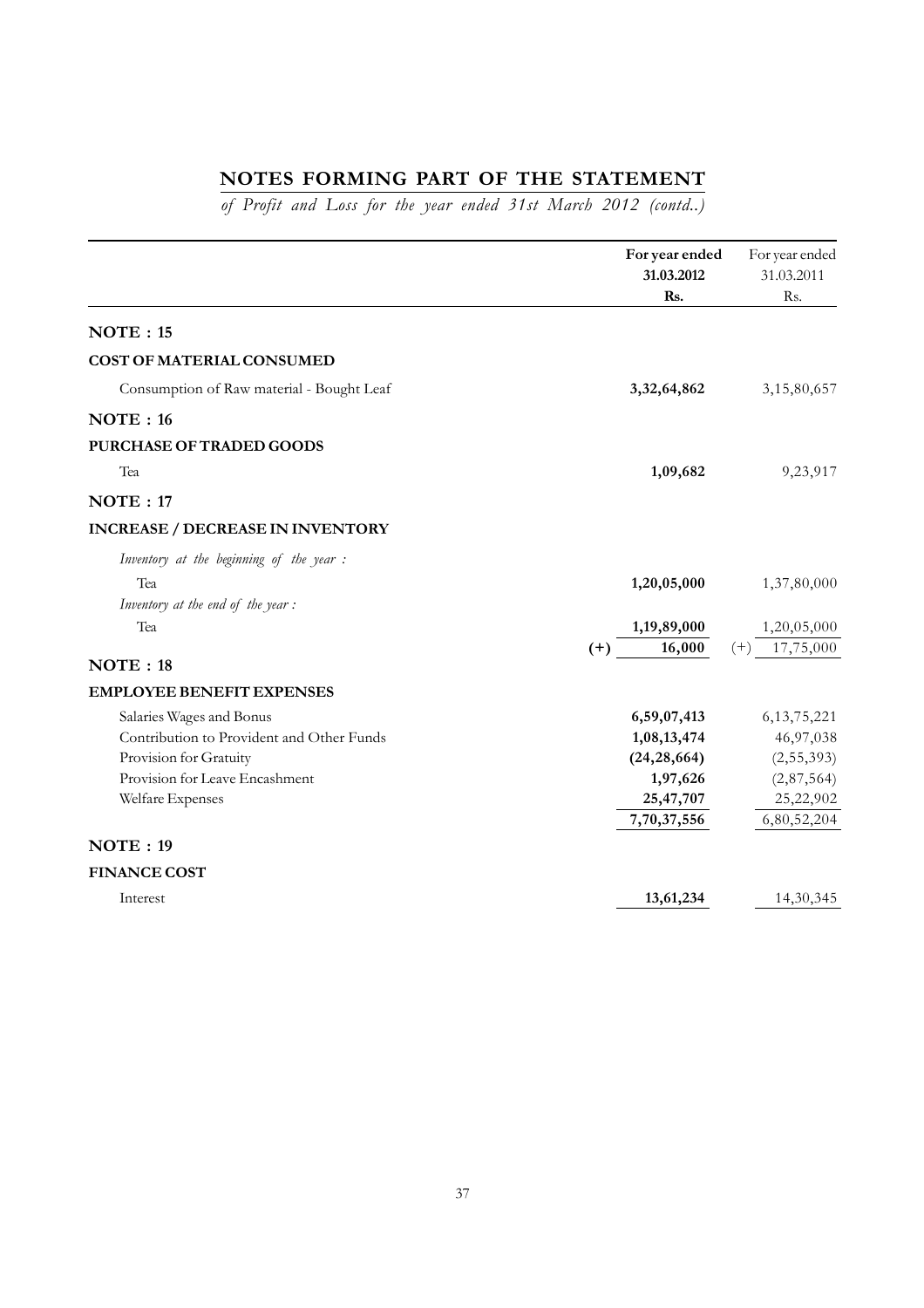# **NOTES FORMING PART OF THE STATEMENT**

*of Profit and Loss for the year ended 31st March 2012 (contd..)*

|                                           | For year ended<br>31.03.2012<br>Rs. | For year ended<br>31.03.2011<br>Rs. |
|-------------------------------------------|-------------------------------------|-------------------------------------|
| NOTE : 15                                 |                                     |                                     |
| COST OF MATERIAL CONSUMED                 |                                     |                                     |
| Consumption of Raw material - Bought Leaf | 3,32,64,862                         | 3,15,80,657                         |
| NOTE : 16                                 |                                     |                                     |
| PURCHASE OF TRADED GOODS                  |                                     |                                     |
| Tea                                       | 1,09,682                            | 9,23,917                            |
| NOTE: 17                                  |                                     |                                     |
| <b>INCREASE / DECREASE IN INVENTORY</b>   |                                     |                                     |
| Inventory at the beginning of the year:   |                                     |                                     |
| Tea                                       | 1,20,05,000                         | 1,37,80,000                         |
| Inventory at the end of the year:         |                                     |                                     |
| Tea                                       | 1,19,89,000                         | 1,20,05,000                         |
| NOTE : 18                                 | 16,000<br>$(+)$                     | 17,75,000<br>$(+)$                  |
|                                           |                                     |                                     |
| <b>EMPLOYEE BENEFIT EXPENSES</b>          |                                     |                                     |
| Salaries Wages and Bonus                  | 6,59,07,413                         | 6, 13, 75, 221                      |
| Contribution to Provident and Other Funds | 1,08,13,474                         | 46,97,038                           |
| Provision for Gratuity                    | (24, 28, 664)                       | (2, 55, 393)                        |
| Provision for Leave Encashment            | 1,97,626                            | (2,87,564)                          |
| Welfare Expenses                          | 25,47,707                           | 25,22,902                           |
|                                           | 7,70,37,556                         | 6,80,52,204                         |
| NOTE: 19                                  |                                     |                                     |
| <b>FINANCE COST</b>                       |                                     |                                     |
| Interest                                  | 13,61,234                           | 14,30,345                           |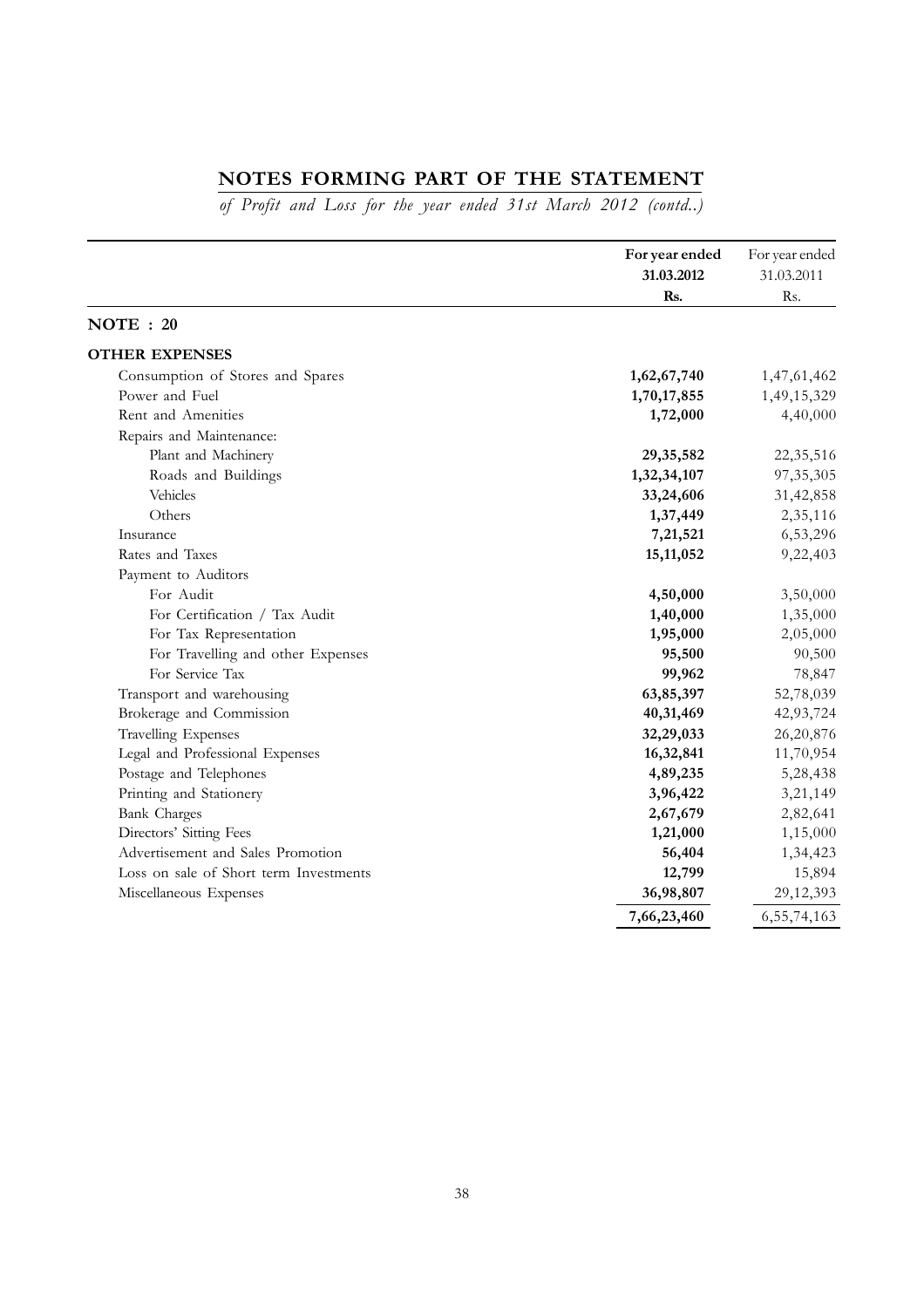# **NOTES FORMING PART OF THE STATEMENT**

*of Profit and Loss for the year ended 31st March 2012 (contd..)*

|                                        | For year ended<br>31.03.2012<br>Rs. | For year ended<br>31.03.2011<br>Rs. |
|----------------------------------------|-------------------------------------|-------------------------------------|
| NOTE: 20                               |                                     |                                     |
| <b>OTHER EXPENSES</b>                  |                                     |                                     |
| Consumption of Stores and Spares       | 1,62,67,740                         | 1,47,61,462                         |
| Power and Fuel                         | 1,70,17,855                         | 1,49,15,329                         |
| Rent and Amenities                     | 1,72,000                            | 4,40,000                            |
| Repairs and Maintenance:               |                                     |                                     |
| Plant and Machinery                    | 29, 35, 582                         | 22,35,516                           |
| Roads and Buildings                    | 1,32,34,107                         | 97, 35, 305                         |
| Vehicles                               | 33,24,606                           | 31,42,858                           |
| Others                                 | 1,37,449                            | 2,35,116                            |
| Insurance                              | 7,21,521                            | 6,53,296                            |
| Rates and Taxes                        | 15, 11, 052                         | 9,22,403                            |
| Payment to Auditors                    |                                     |                                     |
| For Audit                              | 4,50,000                            | 3,50,000                            |
| For Certification / Tax Audit          | 1,40,000                            | 1,35,000                            |
| For Tax Representation                 | 1,95,000                            | 2,05,000                            |
| For Travelling and other Expenses      | 95,500                              | 90,500                              |
| For Service Tax                        | 99,962                              | 78,847                              |
| Transport and warehousing              | 63,85,397                           | 52,78,039                           |
| Brokerage and Commission               | 40,31,469                           | 42,93,724                           |
| Travelling Expenses                    | 32,29,033                           | 26,20,876                           |
| Legal and Professional Expenses        | 16,32,841                           | 11,70,954                           |
| Postage and Telephones                 | 4,89,235                            | 5,28,438                            |
| Printing and Stationery                | 3,96,422                            | 3,21,149                            |
| <b>Bank Charges</b>                    | 2,67,679                            | 2,82,641                            |
| Directors' Sitting Fees                | 1,21,000                            | 1,15,000                            |
| Advertisement and Sales Promotion      | 56,404                              | 1,34,423                            |
| Loss on sale of Short term Investments | 12,799                              | 15,894                              |
| Miscellaneous Expenses                 | 36,98,807                           | 29,12,393                           |
|                                        | 7,66,23,460                         | 6,55,74,163                         |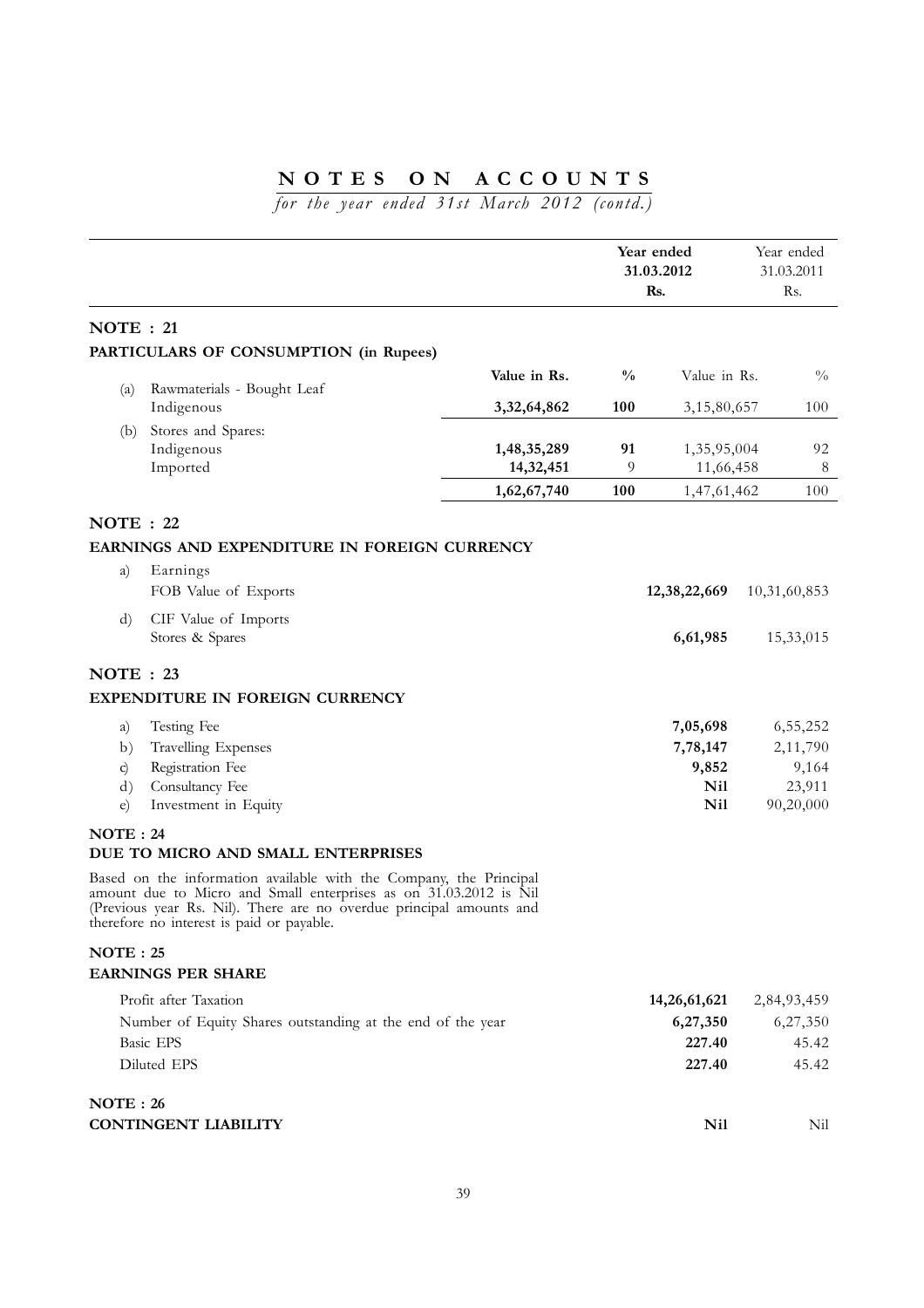*for the year ended 31st March 2012 (contd.)*

|                  |                                                                                                                                                                                                                                                             |              | Year ended<br>31.03.2012<br>Rs. |                      | Year ended<br>31.03.2011<br>Rs. |                      |
|------------------|-------------------------------------------------------------------------------------------------------------------------------------------------------------------------------------------------------------------------------------------------------------|--------------|---------------------------------|----------------------|---------------------------------|----------------------|
| <b>NOTE</b> : 21 |                                                                                                                                                                                                                                                             |              |                                 |                      |                                 |                      |
|                  | PARTICULARS OF CONSUMPTION (in Rupees)                                                                                                                                                                                                                      |              |                                 |                      |                                 |                      |
|                  |                                                                                                                                                                                                                                                             | Value in Rs. | $\frac{0}{0}$                   | Value in Rs.         |                                 | $\frac{0}{0}$        |
| (a)              | Rawmaterials - Bought Leaf                                                                                                                                                                                                                                  |              |                                 |                      |                                 |                      |
|                  | Indigenous                                                                                                                                                                                                                                                  | 3,32,64,862  | 100                             | 3,15,80,657          |                                 | 100                  |
| (b)              | Stores and Spares:<br>Indigenous                                                                                                                                                                                                                            | 1,48,35,289  | 91                              | 1,35,95,004          |                                 | 92                   |
|                  | Imported                                                                                                                                                                                                                                                    | 14,32,451    | 9                               | 11,66,458            |                                 | $\,8\,$              |
|                  |                                                                                                                                                                                                                                                             | 1,62,67,740  | 100                             | 1,47,61,462          |                                 | 100                  |
| NOTE : 22        |                                                                                                                                                                                                                                                             |              |                                 |                      |                                 |                      |
|                  | EARNINGS AND EXPENDITURE IN FOREIGN CURRENCY                                                                                                                                                                                                                |              |                                 |                      |                                 |                      |
| a)               | Earnings                                                                                                                                                                                                                                                    |              |                                 |                      |                                 |                      |
|                  | FOB Value of Exports                                                                                                                                                                                                                                        |              |                                 | 12, 38, 22, 669      |                                 | 10,31,60,853         |
| d)               | CIF Value of Imports                                                                                                                                                                                                                                        |              |                                 |                      |                                 |                      |
|                  | Stores & Spares                                                                                                                                                                                                                                             |              |                                 | 6,61,985             |                                 | 15,33,015            |
| <b>NOTE</b> : 23 |                                                                                                                                                                                                                                                             |              |                                 |                      |                                 |                      |
|                  | EXPENDITURE IN FOREIGN CURRENCY                                                                                                                                                                                                                             |              |                                 |                      |                                 |                      |
|                  |                                                                                                                                                                                                                                                             |              |                                 |                      |                                 |                      |
| a)<br>b)         | Testing Fee<br>Travelling Expenses                                                                                                                                                                                                                          |              |                                 | 7,05,698<br>7,78,147 |                                 | 6,55,252<br>2,11,790 |
| c)               | Registration Fee                                                                                                                                                                                                                                            |              |                                 | 9,852                |                                 | 9,164                |
| $\rm d$          | Consultancy Fee                                                                                                                                                                                                                                             |              |                                 | <b>Nil</b>           |                                 | 23,911               |
| $\epsilon$       | Investment in Equity                                                                                                                                                                                                                                        |              |                                 | <b>Nil</b>           |                                 | 90,20,000            |
| <b>NOTE</b> : 24 |                                                                                                                                                                                                                                                             |              |                                 |                      |                                 |                      |
|                  | DUE TO MICRO AND SMALL ENTERPRISES                                                                                                                                                                                                                          |              |                                 |                      |                                 |                      |
|                  | Based on the information available with the Company, the Principal<br>amount due to Micro and Small enterprises as on 31.03.2012 is Nil<br>(Previous year Rs. Nil). There are no overdue principal amounts and<br>therefore no interest is paid or payable. |              |                                 |                      |                                 |                      |
| NOTE: 25         |                                                                                                                                                                                                                                                             |              |                                 |                      |                                 |                      |
|                  | <b>EARNINGS PER SHARE</b>                                                                                                                                                                                                                                   |              |                                 |                      |                                 |                      |
|                  | Profit after Taxation                                                                                                                                                                                                                                       |              |                                 | 14,26,61,621         |                                 | 2,84,93,459          |
|                  | Number of Equity Shares outstanding at the end of the year                                                                                                                                                                                                  |              |                                 | 6,27,350             |                                 | 6,27,350             |
|                  | <b>Basic EPS</b>                                                                                                                                                                                                                                            |              |                                 | 227.40               |                                 | 45.42                |
|                  | Diluted EPS                                                                                                                                                                                                                                                 |              |                                 | 227.40               |                                 | 45.42                |
| <b>NOTE: 26</b>  |                                                                                                                                                                                                                                                             |              |                                 |                      |                                 |                      |
|                  | <b>CONTINGENT LIABILITY</b>                                                                                                                                                                                                                                 |              |                                 | Nil                  |                                 | Nil                  |
|                  |                                                                                                                                                                                                                                                             |              |                                 |                      |                                 |                      |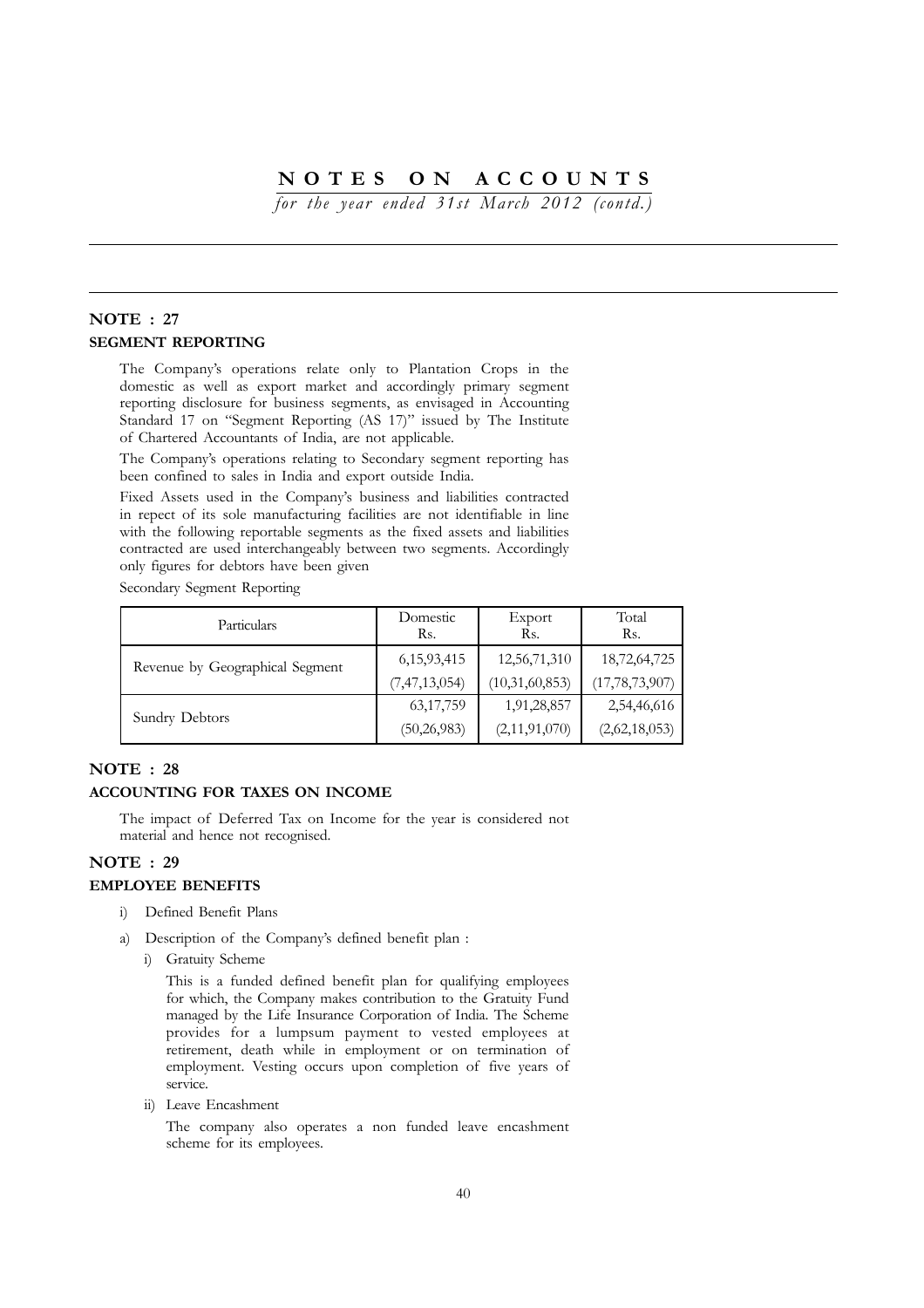*for the year ended 31st March 2012 (contd.)*

### **NOTE : 27 SEGMENT REPORTING**

The Company's operations relate only to Plantation Crops in the domestic as well as export market and accordingly primary segment reporting disclosure for business segments, as envisaged in Accounting Standard 17 on "Segment Reporting (AS 17)" issued by The Institute of Chartered Accountants of India, are not applicable.

The Company's operations relating to Secondary segment reporting has been confined to sales in India and export outside India.

Fixed Assets used in the Company's business and liabilities contracted in repect of its sole manufacturing facilities are not identifiable in line with the following reportable segments as the fixed assets and liabilities contracted are used interchangeably between two segments. Accordingly only figures for debtors have been given

Secondary Segment Reporting

| Particulars                     | Domestic<br>Rs.  | Export<br>Rs.  | Total<br>Rs.      |
|---------------------------------|------------------|----------------|-------------------|
| Revenue by Geographical Segment | 6, 15, 93, 415   | 12,56,71,310   | 18,72,64,725      |
|                                 | (7, 47, 13, 054) | (10,31,60,853) | (17, 78, 73, 907) |
|                                 | 63, 17, 759      | 1,91,28,857    | 2,54,46,616       |
| Sundry Debtors                  | (50, 26, 983)    | (2,11,91,070)  | (2,62,18,053)     |

### **NOTE : 28**

### **ACCOUNTING FOR TAXES ON INCOME**

The impact of Deferred Tax on Income for the year is considered not material and hence not recognised.

### **NOTE : 29**

### **EMPLOYEE BENEFITS**

- i) Defined Benefit Plans
- a) Description of the Company's defined benefit plan :
	- i) Gratuity Scheme

This is a funded defined benefit plan for qualifying employees for which, the Company makes contribution to the Gratuity Fund managed by the Life Insurance Corporation of India. The Scheme provides for a lumpsum payment to vested employees at retirement, death while in employment or on termination of employment. Vesting occurs upon completion of five years of service.

ii) Leave Encashment

The company also operates a non funded leave encashment scheme for its employees.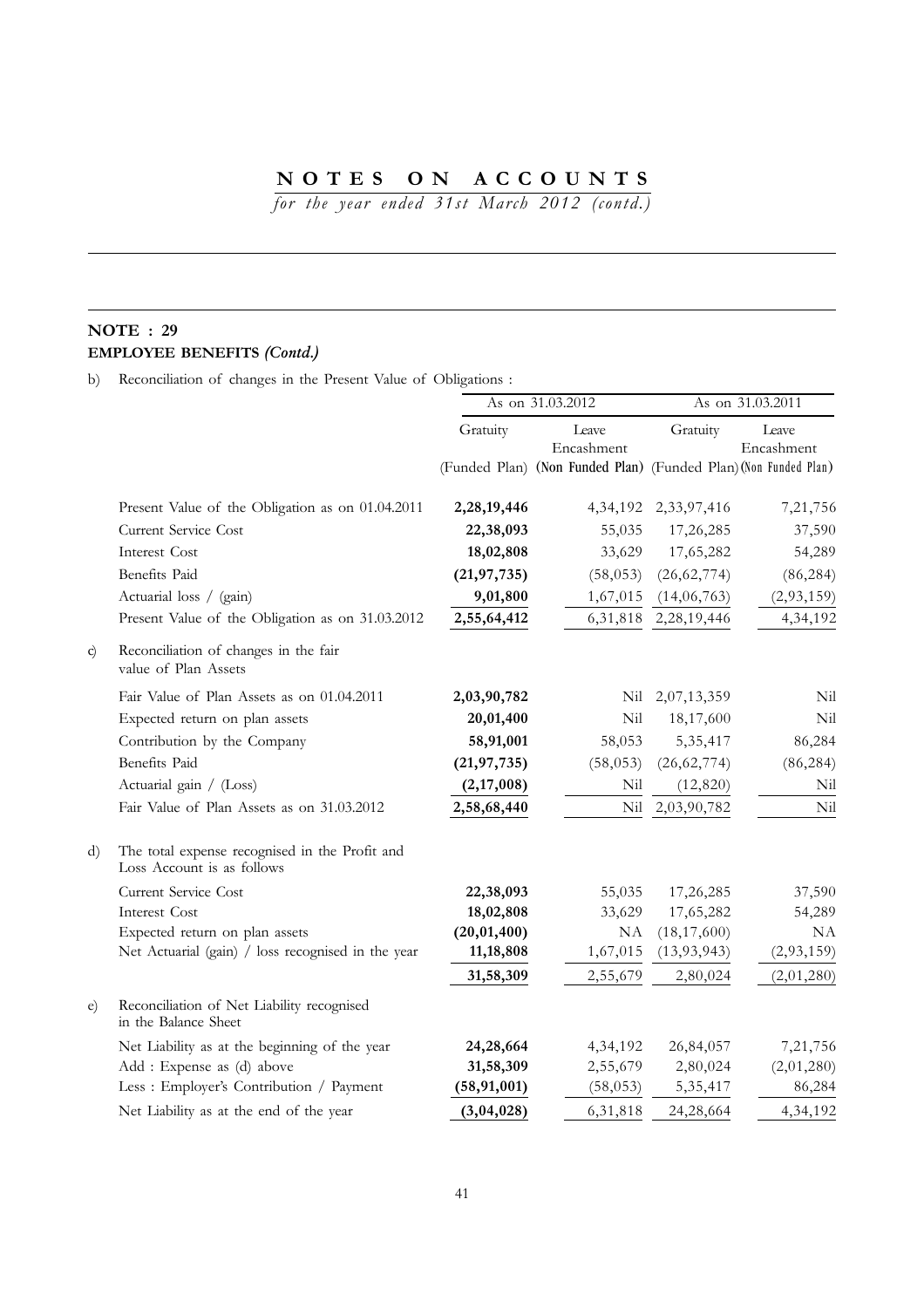*for the year ended 31st March 2012 (contd.)*

# **NOTE : 29 EMPLOYEE BENEFITS** *(Contd.)*

b) Reconciliation of changes in the Present Value of Obligations :

|            |                                                                              | As on 31.03.2012 |                                                                 | As on 31.03.2011          |                     |  |
|------------|------------------------------------------------------------------------------|------------------|-----------------------------------------------------------------|---------------------------|---------------------|--|
|            |                                                                              | Gratuity         | Leave<br>Encashment                                             | Gratuity                  | Leave<br>Encashment |  |
|            |                                                                              |                  | (Funded Plan) (Non Funded Plan) (Funded Plan) (Non Funded Plan) |                           |                     |  |
|            | Present Value of the Obligation as on 01.04.2011                             | 2,28,19,446      |                                                                 | 4, 34, 192 2, 33, 97, 416 | 7,21,756            |  |
|            | Current Service Cost                                                         | 22,38,093        | 55,035                                                          | 17,26,285                 | 37,590              |  |
|            | Interest Cost                                                                | 18,02,808        | 33,629                                                          | 17,65,282                 | 54,289              |  |
|            | Benefits Paid                                                                | (21, 97, 735)    | (58, 053)                                                       | (26, 62, 774)             | (86, 284)           |  |
|            | Actuarial loss / (gain)                                                      | 9,01,800         | 1,67,015                                                        | (14,06,763)               | (2,93,159)          |  |
|            | Present Value of the Obligation as on 31.03.2012                             | 2,55,64,412      | 6,31,818                                                        | 2,28,19,446               | 4,34,192            |  |
| c)         | Reconciliation of changes in the fair<br>value of Plan Assets                |                  |                                                                 |                           |                     |  |
|            | Fair Value of Plan Assets as on 01.04.2011                                   | 2,03,90,782      | Nil                                                             | 2,07,13,359               | Nil                 |  |
|            | Expected return on plan assets                                               | 20,01,400        | Nil                                                             | 18,17,600                 | Nil                 |  |
|            | Contribution by the Company                                                  | 58,91,001        | 58,053                                                          | 5, 35, 417                | 86,284              |  |
|            | <b>Benefits</b> Paid                                                         | (21, 97, 735)    | (58, 053)                                                       | (26, 62, 774)             | (86, 284)           |  |
|            | Actuarial gain / (Loss)                                                      | (2,17,008)       | Nil                                                             | (12, 820)                 | Nil                 |  |
|            | Fair Value of Plan Assets as on 31.03.2012                                   | 2,58,68,440      | Nil                                                             | 2,03,90,782               | Nil                 |  |
| d)         | The total expense recognised in the Profit and<br>Loss Account is as follows |                  |                                                                 |                           |                     |  |
|            | Current Service Cost                                                         | 22,38,093        | 55,035                                                          | 17,26,285                 | 37,590              |  |
|            | Interest Cost                                                                | 18,02,808        | 33,629                                                          | 17,65,282                 | 54,289              |  |
|            | Expected return on plan assets                                               | (20, 01, 400)    | NA                                                              | (18, 17, 600)             | NA                  |  |
|            | Net Actuarial (gain) / loss recognised in the year                           | 11,18,808        | 1,67,015                                                        | (13, 93, 943)             | (2,93,159)          |  |
|            |                                                                              | 31,58,309        | 2,55,679                                                        | 2,80,024                  | (2,01,280)          |  |
| $\epsilon$ | Reconciliation of Net Liability recognised<br>in the Balance Sheet           |                  |                                                                 |                           |                     |  |
|            | Net Liability as at the beginning of the year                                | 24,28,664        | 4,34,192                                                        | 26,84,057                 | 7,21,756            |  |
|            | Add: Expense as (d) above                                                    | 31,58,309        | 2,55,679                                                        | 2,80,024                  | (2,01,280)          |  |
|            | Less : Employer's Contribution / Payment                                     | (58, 91, 001)    | (58, 053)                                                       | 5, 35, 417                | 86,284              |  |
|            | Net Liability as at the end of the year                                      | (3,04,028)       | 6,31,818                                                        | 24,28,664                 | 4,34,192            |  |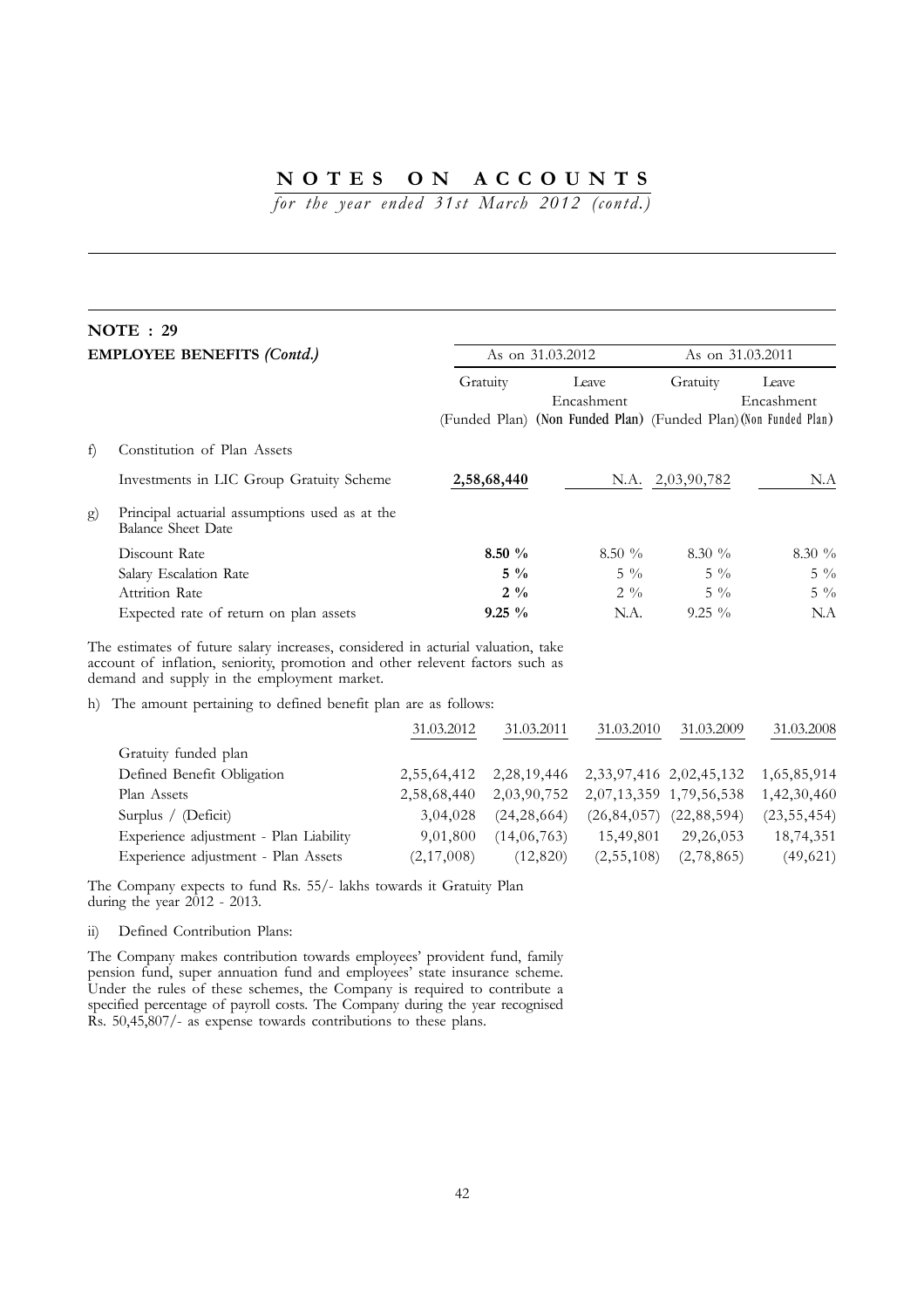*for the year ended 31st March 2012 (contd.)*

# **NOTE : 29**

|    | <b>EMPLOYEE BENEFITS (Contd.)</b>                                                                                                                                                                                |                | As on 31.03.2012                                                |                  | As on 31.03.2011    |  |
|----|------------------------------------------------------------------------------------------------------------------------------------------------------------------------------------------------------------------|----------------|-----------------------------------------------------------------|------------------|---------------------|--|
|    |                                                                                                                                                                                                                  | Gratuity       | Leave<br>Encashment                                             |                  | Leave<br>Encashment |  |
|    |                                                                                                                                                                                                                  |                | (Funded Plan) (Non Funded Plan) (Funded Plan) (Non Funded Plan) |                  |                     |  |
| f) | Constitution of Plan Assets                                                                                                                                                                                      |                |                                                                 |                  |                     |  |
|    | Investments in LIC Group Gratuity Scheme                                                                                                                                                                         | 2,58,68,440    |                                                                 | N.A. 2,03,90,782 | N.A                 |  |
| g) | Principal actuarial assumptions used as at the<br><b>Balance Sheet Date</b>                                                                                                                                      |                |                                                                 |                  |                     |  |
|    | Discount Rate                                                                                                                                                                                                    | $8.50 \%$      | $8.50\%$                                                        | $8.30 \%$        | $8.30\%$            |  |
|    | Salary Escalation Rate                                                                                                                                                                                           | $5\%$          | $5\frac{0}{6}$                                                  | $5\frac{0}{0}$   | $5\frac{0}{0}$      |  |
|    | Attrition Rate                                                                                                                                                                                                   | $2\frac{9}{6}$ | $2\frac{9}{6}$                                                  | $5\%$            | $5\frac{0}{0}$      |  |
|    | Expected rate of return on plan assets                                                                                                                                                                           | $9.25 \%$      | N.A.                                                            | $9.25\%$         | N.A                 |  |
|    | The estimates of future salary increases, considered in acturial valuation, take<br>account of inflation, seniority, promotion and other relevent factors such as<br>demand and supply in the employment market. |                |                                                                 |                  |                     |  |
|    | h) The amount pertaining to defined benefit plan are as follows:                                                                                                                                                 |                |                                                                 |                  |                     |  |
|    |                                                                                                                                                                                                                  | 31.03.2012     | 31.03.2011<br>31.03.2010                                        | 31.03.2009       | 31.03.2008          |  |

|                                        | ----------- | $\sim$ + $\sim$ $\sim$ $\sim$ + $\sim$                      | $\sim$ + $\sim$ $\sim$ $\sim$ $\sim$            | $\sim$ 1.000 $\sim$ | $\sim$ 1.000 $\sim$ |
|----------------------------------------|-------------|-------------------------------------------------------------|-------------------------------------------------|---------------------|---------------------|
| Gratuity funded plan                   |             |                                                             |                                                 |                     |                     |
| Defined Benefit Obligation             |             | 2,55,64,412 2,28,19,446 2,33,97,416 2,02,45,132 1,65,85,914 |                                                 |                     |                     |
| Plan Assets                            | 2,58,68,440 | 2,03,90,752 2,07,13,359 1,79,56,538 1,42,30,460             |                                                 |                     |                     |
| Surplus / $(Deficit)$                  | 3,04,028    |                                                             | $(24, 28, 664)$ $(26, 84, 057)$ $(22, 88, 594)$ |                     | (23, 55, 454)       |
| Experience adjustment - Plan Liability | 9,01,800    | (14,06,763)                                                 | 15,49,801                                       | 29, 26, 053         | 18,74,351           |
| Experience adjustment - Plan Assets    | (2,17,008)  | (12,820)                                                    | (2,55,108)                                      | (2,78,865)          | (49, 621)           |

The Company expects to fund Rs. 55/- lakhs towards it Gratuity Plan during the year 2012 - 2013.

ii) Defined Contribution Plans:

The Company makes contribution towards employees' provident fund, family pension fund, super annuation fund and employees' state insurance scheme. Under the rules of these schemes, the Company is required to contribute a specified percentage of payroll costs. The Company during the year recognised Rs. 50,45,807/- as expense towards contributions to these plans.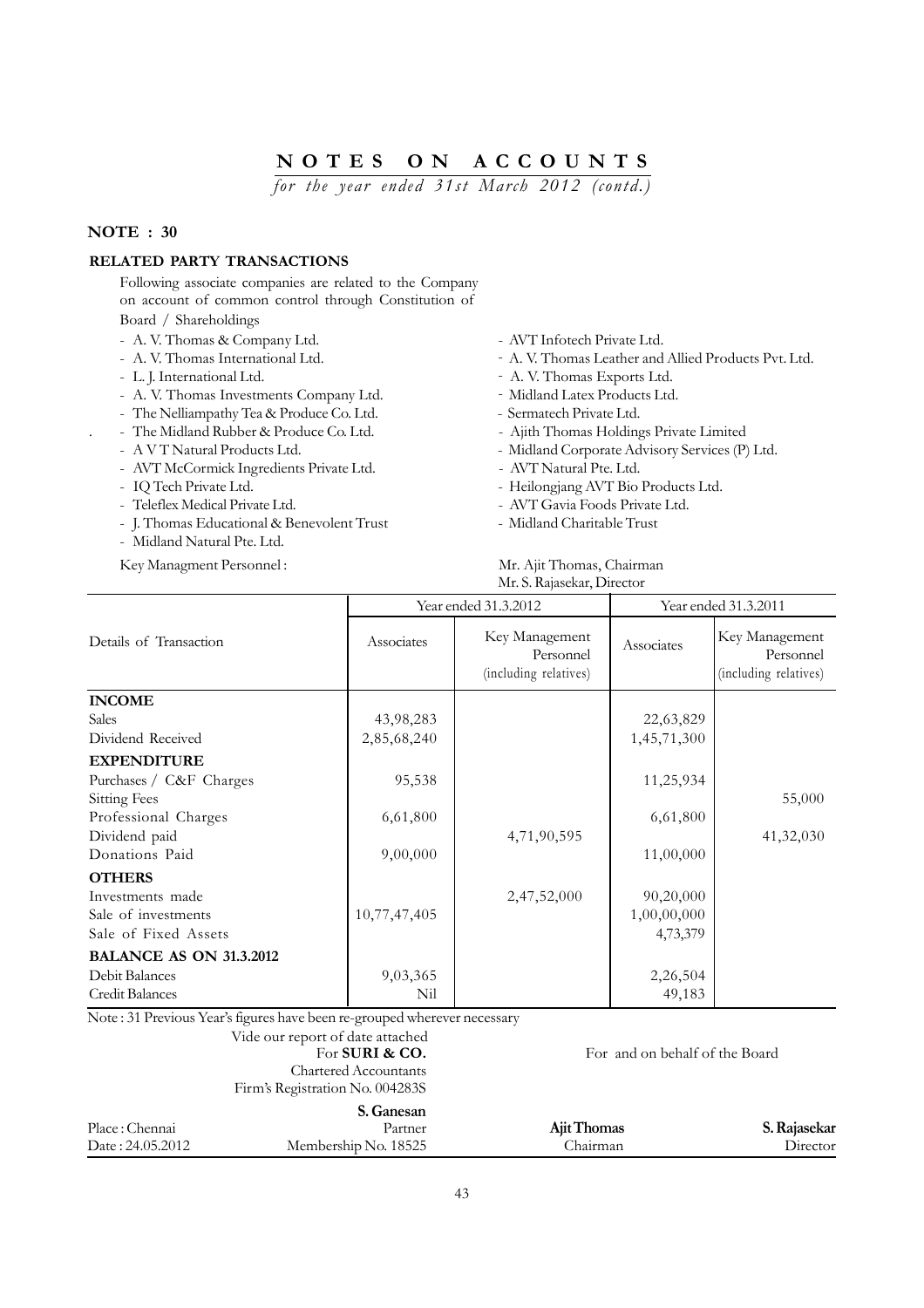*for the year ended 31st March 2012 (contd.)*

### **NOTE : 30**

### **RELATED PARTY TRANSACTIONS**

Following associate companies are related to the Company on account of common control through Constitution of Board / Shareholdings

- 
- 
- 
- A. V. Thomas Investments Company Ltd. Midland Latex Products Ltd.
- The Nelliampathy Tea & Produce Co. Ltd. Sermatech Private Ltd.
- 
- 
- AVT McCormick Ingredients Private Ltd. AVT Natural Pte. Ltd.
- 
- Teleflex Medical Private Ltd. AVT Gavia Foods Private Ltd.
- I. Thomas Educational & Benevolent Trust Midland Charitable Trust
- Midland Natural Pte. Ltd.
- 
- A. V. Thomas & Company Ltd.  $\overline{a}$  AVT Infotech Private Ltd.
- A. V. Thomas International Ltd.  $\qquad \qquad A.$  V. Thomas Leather and Allied Products Pvt. Ltd.
- L. J. International Ltd.  $\qquad \qquad A. V.$  Thomas Exports Ltd.
	-
	-
- . The Midland Rubber & Produce Co. Ltd. Ajith Thomas Holdings Private Limited
- A V T Natural Products Ltd.  $\blacksquare$  Midland Corporate Advisory Services (P) Ltd.
	-
- IQ Tech Private Ltd.  $\blacksquare$ 
	-
	-

#### Key Managment Personnel : Mr. Ajit Thomas, Chairman Mr. S. Rajasekar, Director

|                                |              | Year ended 31.3.2012                                 | Year ended 31.3.2011 |                                                      |
|--------------------------------|--------------|------------------------------------------------------|----------------------|------------------------------------------------------|
| Details of Transaction         | Associates   | Key Management<br>Personnel<br>(including relatives) | Associates           | Key Management<br>Personnel<br>(including relatives) |
| <b>INCOME</b>                  |              |                                                      |                      |                                                      |
| <b>Sales</b>                   | 43,98,283    |                                                      | 22,63,829            |                                                      |
| Dividend Received              | 2,85,68,240  |                                                      | 1,45,71,300          |                                                      |
| <b>EXPENDITURE</b>             |              |                                                      |                      |                                                      |
| Purchases / C&F Charges        | 95,538       |                                                      | 11,25,934            |                                                      |
| <b>Sitting Fees</b>            |              |                                                      |                      | 55,000                                               |
| Professional Charges           | 6,61,800     |                                                      | 6,61,800             |                                                      |
| Dividend paid                  |              | 4,71,90,595                                          |                      | 41,32,030                                            |
| Donations Paid                 | 9,00,000     |                                                      | 11,00,000            |                                                      |
| <b>OTHERS</b>                  |              |                                                      |                      |                                                      |
| Investments made               |              | 2,47,52,000                                          | 90,20,000            |                                                      |
| Sale of investments            | 10,77,47,405 |                                                      | 1,00,00,000          |                                                      |
| Sale of Fixed Assets           |              |                                                      | 4,73,379             |                                                      |
| <b>BALANCE AS ON 31.3.2012</b> |              |                                                      |                      |                                                      |
| Debit Balances                 | 9,03,365     |                                                      | 2,26,504             |                                                      |
| Credit Balances                | Nil          |                                                      | 49,183               |                                                      |

Note : 31 Previous Year's figures have been re-grouped wherever necessary

### Vide our report of date attached For **SURI & CO.** For and on behalf of the Board Chartered Accountants Firm's Registration No. 004283S

#### **S. Ganesan**

|                  | v. vanvoan           |             |              |
|------------------|----------------------|-------------|--------------|
| Place: Chennai   | Partner              | Ajit Thomas | S. Rajasekar |
| Date: 24.05.2012 | Membership No. 18525 | .hairman    | Director     |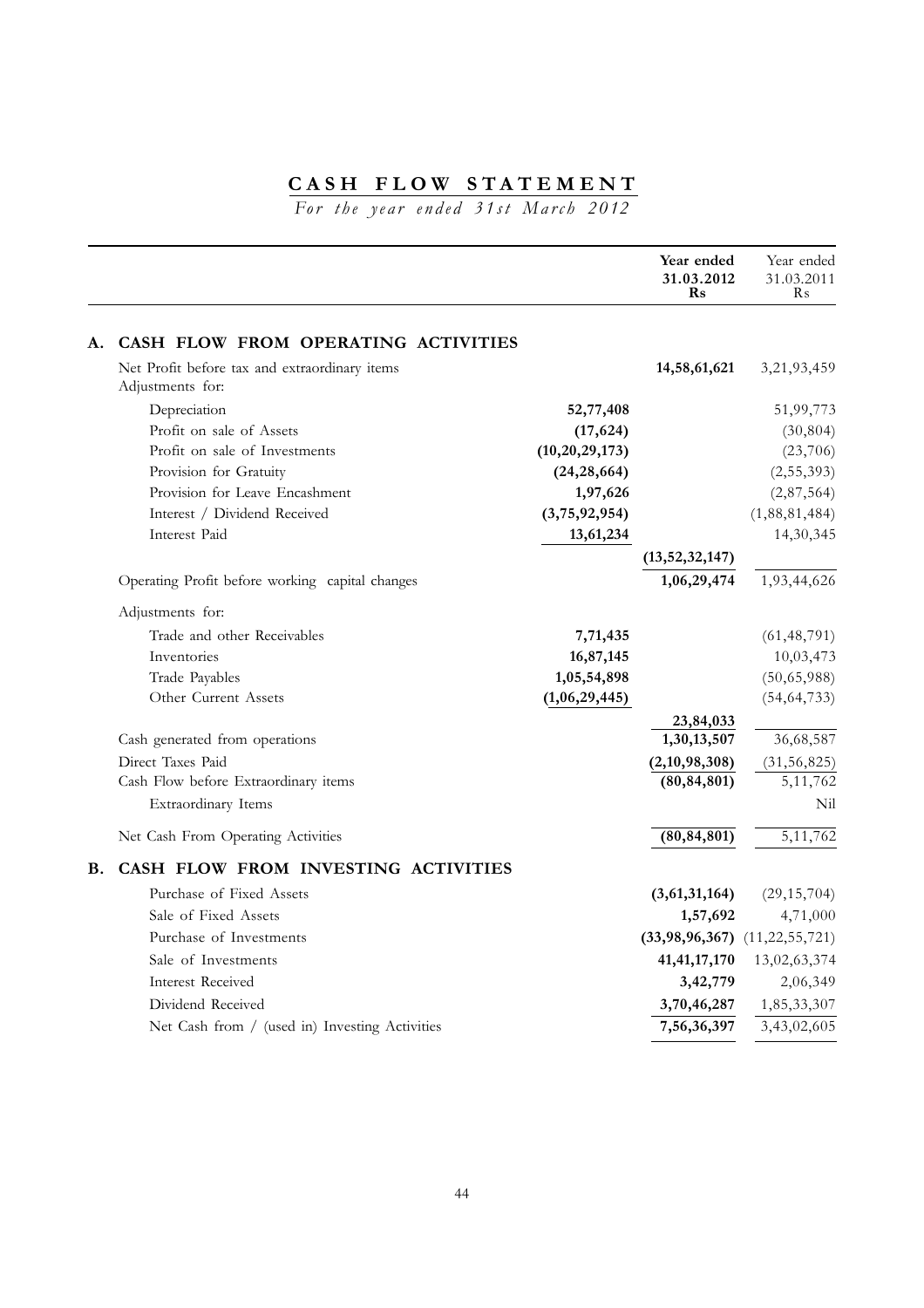# **CASH FLOW STATEMENT**

*For the year ended 31st March 2012*

|    |                                                                   |                   | Year ended<br>31.03.2012<br>$\mathbf{Rs}$ | Year ended<br>31.03.2011<br>R <sub>s</sub> |
|----|-------------------------------------------------------------------|-------------------|-------------------------------------------|--------------------------------------------|
| A. | CASH FLOW FROM OPERATING ACTIVITIES                               |                   |                                           |                                            |
|    | Net Profit before tax and extraordinary items<br>Adjustments for: |                   | 14,58,61,621                              | 3,21,93,459                                |
|    | Depreciation                                                      | 52,77,408         |                                           | 51,99,773                                  |
|    | Profit on sale of Assets                                          | (17, 624)         |                                           | (30, 804)                                  |
|    | Profit on sale of Investments                                     | (10, 20, 29, 173) |                                           | (23,706)                                   |
|    | Provision for Gratuity                                            | (24, 28, 664)     |                                           | (2,55,393)                                 |
|    | Provision for Leave Encashment                                    | 1,97,626          |                                           | (2,87,564)                                 |
|    | Interest / Dividend Received                                      | (3,75,92,954)     |                                           | (1,88,81,484)                              |
|    | Interest Paid                                                     | 13,61,234         |                                           | 14,30,345                                  |
|    |                                                                   |                   | (13, 52, 32, 147)                         |                                            |
|    | Operating Profit before working capital changes                   |                   | 1,06,29,474                               | 1,93,44,626                                |
|    | Adjustments for:                                                  |                   |                                           |                                            |
|    | Trade and other Receivables                                       | 7,71,435          |                                           | (61, 48, 791)                              |
|    | Inventories                                                       | 16,87,145         |                                           | 10,03,473                                  |
|    | Trade Payables                                                    | 1,05,54,898       |                                           | (50,65,988)                                |
|    | Other Current Assets                                              | (1,06,29,445)     |                                           | (54, 64, 733)                              |
|    | Cash generated from operations                                    |                   | 23,84,033<br>1,30,13,507                  | 36,68,587                                  |
|    | Direct Taxes Paid                                                 |                   | (2,10,98,308)                             | (31, 56, 825)                              |
|    | Cash Flow before Extraordinary items                              |                   | (80, 84, 801)                             | 5, 11, 762                                 |
|    | Extraordinary Items                                               |                   |                                           | Nil                                        |
|    | Net Cash From Operating Activities                                |                   | (80, 84, 801)                             | 5, 11, 762                                 |
| В. | CASH FLOW FROM INVESTING ACTIVITIES                               |                   |                                           |                                            |
|    | Purchase of Fixed Assets                                          |                   | (3,61,31,164)                             | (29, 15, 704)                              |
|    | Sale of Fixed Assets                                              |                   | 1,57,692                                  | 4,71,000                                   |
|    | Purchase of Investments                                           |                   | $(33,98,96,367)$ $(11,22,55,721)$         |                                            |
|    | Sale of Investments                                               |                   | 41, 41, 17, 170                           | 13,02,63,374                               |
|    | <b>Interest Received</b>                                          |                   | 3,42,779                                  | 2,06,349                                   |
|    | Dividend Received                                                 |                   | 3,70,46,287                               | 1,85,33,307                                |
|    | Net Cash from / (used in) Investing Activities                    |                   | 7,56,36,397                               | 3,43,02,605                                |
|    |                                                                   |                   |                                           |                                            |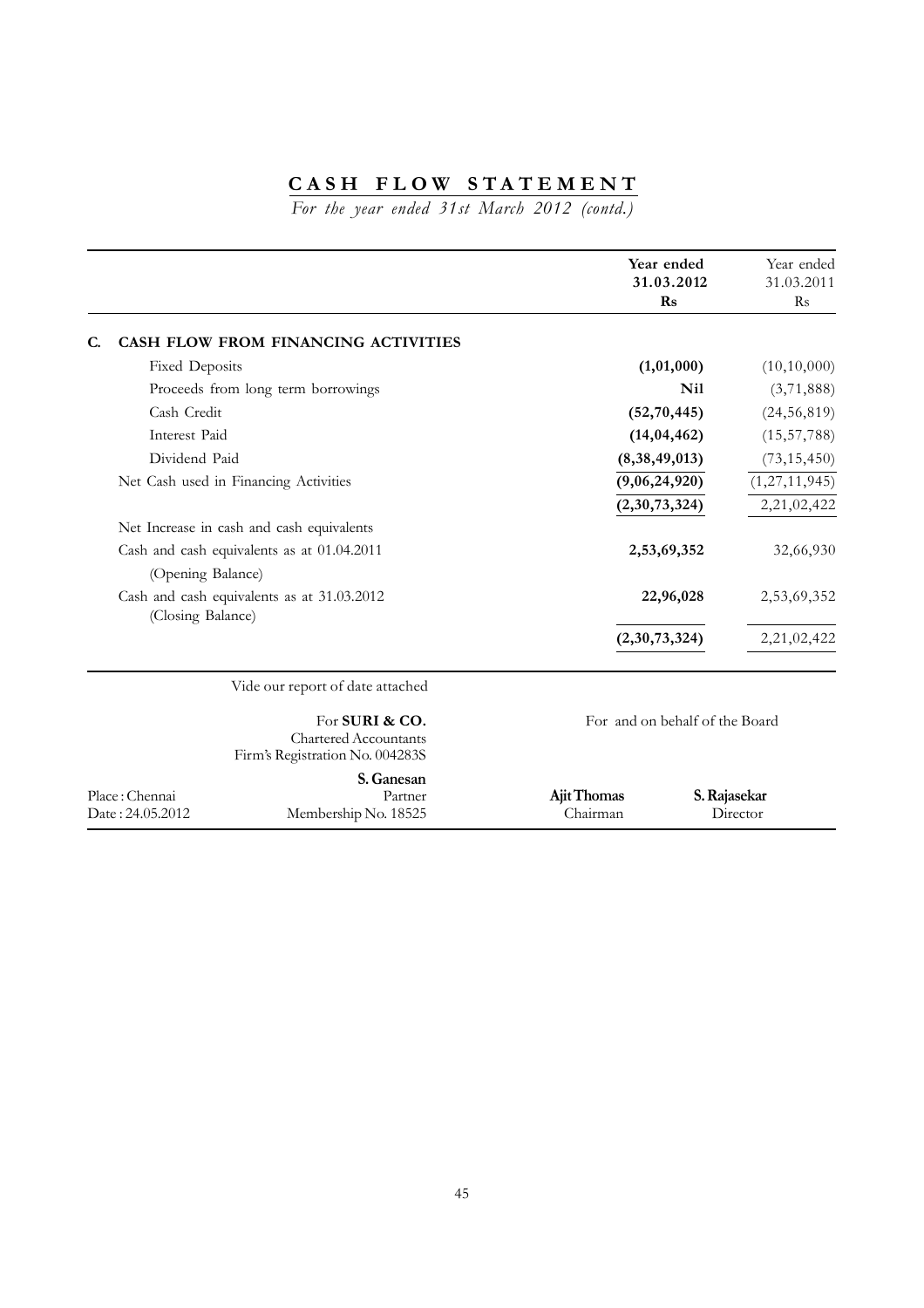# **CASH FLOW STATEMENT**

*For the year ended 31st March 2012 (contd.)*

|                |                                                                                   | Year ended<br>31.03.2012<br>Rs | Year ended<br>31.03.2011<br>$\rm Rs$ |
|----------------|-----------------------------------------------------------------------------------|--------------------------------|--------------------------------------|
| C.             | CASH FLOW FROM FINANCING ACTIVITIES                                               |                                |                                      |
|                | <b>Fixed Deposits</b>                                                             | (1,01,000)                     | (10,10,000)                          |
|                | Proceeds from long term borrowings                                                | <b>Nil</b>                     | (3,71,888)                           |
|                | Cash Credit                                                                       | (52, 70, 445)                  | (24, 56, 819)                        |
|                | Interest Paid                                                                     | (14, 04, 462)                  | (15, 57, 788)                        |
|                | Dividend Paid                                                                     | (8,38,49,013)                  | (73, 15, 450)                        |
|                | Net Cash used in Financing Activities                                             | (9,06,24,920)                  | (1, 27, 11, 945)                     |
|                |                                                                                   | (2,30,73,324)                  | 2,21,02,422                          |
|                | Net Increase in cash and cash equivalents                                         |                                |                                      |
|                | Cash and cash equivalents as at 01.04.2011                                        | 2,53,69,352                    | 32,66,930                            |
|                | (Opening Balance)                                                                 |                                |                                      |
|                | Cash and cash equivalents as at 31.03.2012<br>(Closing Balance)                   | 22,96,028                      | 2,53,69,352                          |
|                |                                                                                   | (2,30,73,324)                  | 2,21,02,422                          |
|                | Vide our report of date attached                                                  |                                |                                      |
|                | For SURI & CO.<br><b>Chartered Accountants</b><br>Firm's Registration No. 004283S | For and on behalf of the Board |                                      |
| Place: Chennai | S. Ganesan<br>Partner                                                             | Ajit Thomas                    | S. Rajasekar                         |

Date : 24.05.2012 Membership No. 18525 Chairman Director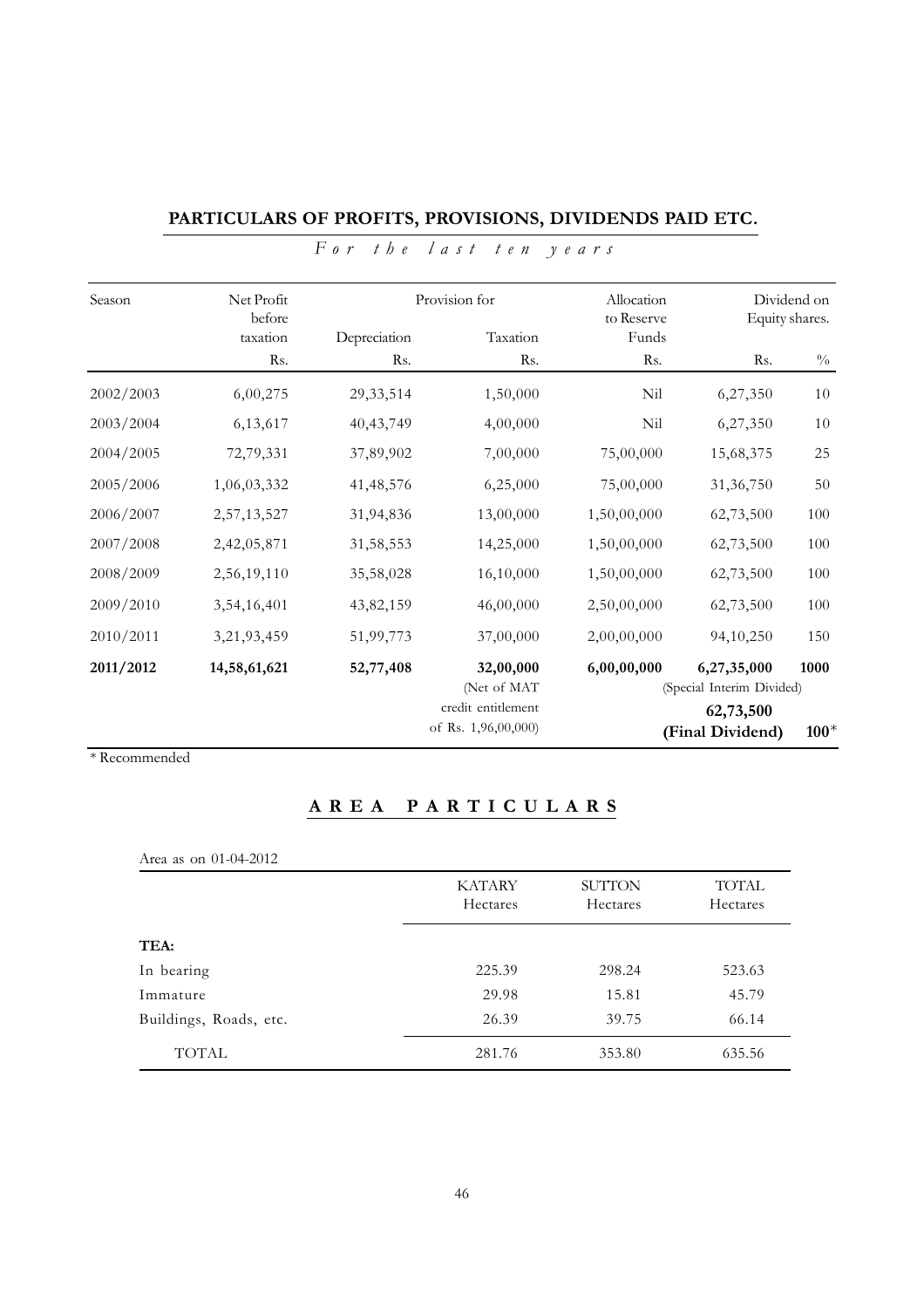| Season    | Net Profit<br>before | Provision for |                                            | Allocation<br>to Reserve |                                          | Dividend on<br>Equity shares. |  |
|-----------|----------------------|---------------|--------------------------------------------|--------------------------|------------------------------------------|-------------------------------|--|
|           | taxation             | Depreciation  | Taxation                                   | Funds                    |                                          |                               |  |
|           | Rs.                  | Rs.           | Rs.                                        | R <sub>s</sub> .         | Rs.                                      | $\frac{0}{0}$                 |  |
| 2002/2003 | 6,00,275             | 29, 33, 514   | 1,50,000                                   | Nil                      | 6,27,350                                 | $10\,$                        |  |
| 2003/2004 | 6,13,617             | 40, 43, 749   | 4,00,000                                   | Nil                      | 6,27,350                                 | 10                            |  |
| 2004/2005 | 72,79,331            | 37,89,902     | 7,00,000                                   | 75,00,000                | 15,68,375                                | 25                            |  |
| 2005/2006 | 1,06,03,332          | 41, 48, 576   | 6,25,000                                   | 75,00,000                | 31, 36, 750                              | $50\,$                        |  |
| 2006/2007 | 2,57,13,527          | 31,94,836     | 13,00,000                                  | 1,50,00,000              | 62,73,500                                | 100                           |  |
| 2007/2008 | 2,42,05,871          | 31,58,553     | 14,25,000                                  | 1,50,00,000              | 62,73,500                                | 100                           |  |
| 2008/2009 | 2,56,19,110          | 35,58,028     | 16,10,000                                  | 1,50,00,000              | 62,73,500                                | 100                           |  |
| 2009/2010 | 3,54,16,401          | 43,82,159     | 46,00,000                                  | 2,50,00,000              | 62,73,500                                | 100                           |  |
| 2010/2011 | 3,21,93,459          | 51,99,773     | 37,00,000                                  | 2,00,00,000              | 94,10,250                                | 150                           |  |
| 2011/2012 | 14,58,61,621         | 52,77,408     | 32,00,000<br>(Net of MAT                   | 6,00,00,000              | 6,27,35,000<br>(Special Interim Divided) | 1000                          |  |
|           |                      |               | credit entitlement<br>of Rs. $1,96,00,000$ |                          | 62,73,500<br>(Final Dividend)            | $100*$                        |  |

# **PARTICULARS OF PROFITS, PROVISIONS, DIVIDENDS PAID ETC.** *For the last ten years*

\* Recommended

# **AREA PARTICULARS**

| Area as on 01-04-2012  |                           |                                  |                          |  |
|------------------------|---------------------------|----------------------------------|--------------------------|--|
|                        | <b>KATARY</b><br>Hectares | <b>SUTTON</b><br><b>Hectares</b> | <b>TOTAL</b><br>Hectares |  |
| TEA:                   |                           |                                  |                          |  |
| In bearing             | 225.39                    | 298.24                           | 523.63                   |  |
| Immature               | 29.98                     | 15.81                            | 45.79                    |  |
| Buildings, Roads, etc. | 26.39                     | 39.75                            | 66.14                    |  |
| TOTAL                  | 281.76                    | 353.80                           | 635.56                   |  |